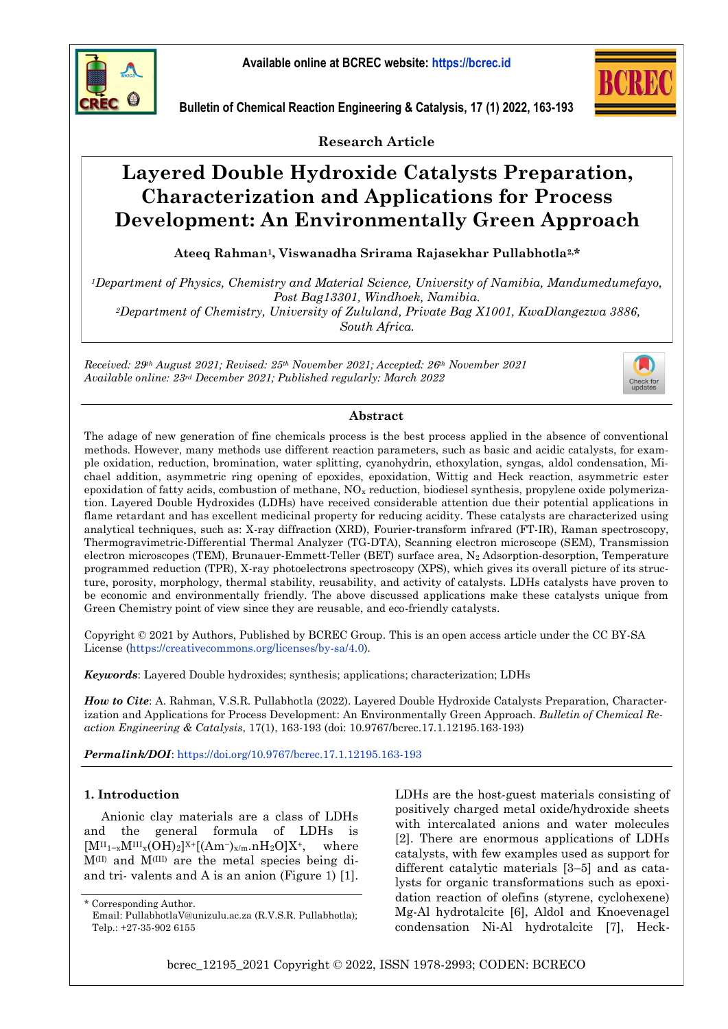



**Research Article**

# **Layered Double Hydroxide Catalysts Preparation, Characterization and Applications for Process Development: An Environmentally Green Approach**

**Ateeq Rahman1, Viswanadha Srirama Rajasekhar Pullabhotla2,\***

*<sup>1</sup>Department of Physics, Chemistry and Material Science, University of Namibia, Mandumedumefayo, Post Bag13301, Windhoek, Namibia.*

*<sup>2</sup>Department of Chemistry, University of Zululand, Private Bag X1001, KwaDlangezwa 3886, South Africa.* 

*Received: 29th August 2021; Revised: 25th November 2021; Accepted: 26th November 2021 Available online: 23rd December 2021; Published regularly: March 2022*



# **Abstract**

The adage of new generation of fine chemicals process is the best process applied in the absence of conventional methods. However, many methods use different reaction parameters, such as basic and acidic catalysts, for example oxidation, reduction, bromination, water splitting, cyanohydrin, ethoxylation, syngas, aldol condensation, Michael addition, asymmetric ring opening of epoxides, epoxidation, Wittig and Heck reaction, asymmetric ester epoxidation of fatty acids, combustion of methane,  $NO<sub>x</sub>$  reduction, biodiesel synthesis, propylene oxide polymerization. Layered Double Hydroxides (LDHs) have received considerable attention due their potential applications in flame retardant and has excellent medicinal property for reducing acidity. These catalysts are characterized using analytical techniques, such as: X-ray diffraction (XRD), Fourier-transform infrared (FT-IR), Raman spectroscopy, Thermogravimetric-Differential Thermal Analyzer (TG-DTA), Scanning electron microscope (SEM), Transmission electron microscopes (TEM), Brunauer-Emmett-Teller (BET) surface area, N<sup>2</sup> Adsorption-desorption, Temperature programmed reduction (TPR), X-ray photoelectrons spectroscopy (XPS), which gives its overall picture of its structure, porosity, morphology, thermal stability, reusability, and activity of catalysts. LDHs catalysts have proven to be economic and environmentally friendly. The above discussed applications make these catalysts unique from Green Chemistry point of view since they are reusable, and eco-friendly catalysts.

Copyright © 2021 by Authors, Published by BCREC Group. This is an open access article under the CC BY-SA License ([https://creativecommons.org/licenses/by-sa/4.0\)](https://creativecommons.org/licenses/by-sa/4.0).

*Keywords*: Layered Double hydroxides; synthesis; applications; characterization; LDHs

*How to Cite*: A. Rahman, V.S.R. Pullabhotla (2022). Layered Double Hydroxide Catalysts Preparation, Characterization and Applications for Process Development: An Environmentally Green Approach. *Bulletin of Chemical Reaction Engineering & Catalysis*, 17(1), 163-193 (doi: 10.9767/bcrec.17.1.12195.163-193)

*Permalink/DOI*: <https://doi.org/10.9767/bcrec.17.1.12195.163-193>

# **1. Introduction**

Anionic clay materials are a class of LDHs and the general formula of LDHs is  $[M<sup>II</sup><sub>1-x</sub>M<sup>III</sup><sub>x</sub>(OH)<sub>2</sub>]<sup>X+[</sup>(Am<sup>-</sup>)<sub>x/m</sub>.nH<sub>2</sub>O]X<sup>+</sup>, where$ M(II) and M(III) are the metal species being diand tri- valents and A is an anion (Figure 1) [1].

LDHs are the host-guest materials consisting of positively charged metal oxide/hydroxide sheets with intercalated anions and water molecules [2]. There are enormous applications of LDHs catalysts, with few examples used as support for different catalytic materials [3–5] and as catalysts for organic transformations such as epoxidation reaction of olefins (styrene, cyclohexene) Mg-Al hydrotalcite [6], Aldol and Knoevenagel condensation Ni-Al hydrotalcite [7], Heck-

bcrec\_12195\_2021 Copyright © 2022, ISSN 1978-2993; CODEN: BCRECO

<sup>\*</sup> Corresponding Author.

Email: PullabhotlaV@unizulu.ac.za (R.V.S.R. Pullabhotla); Telp.: +27-35-902 6155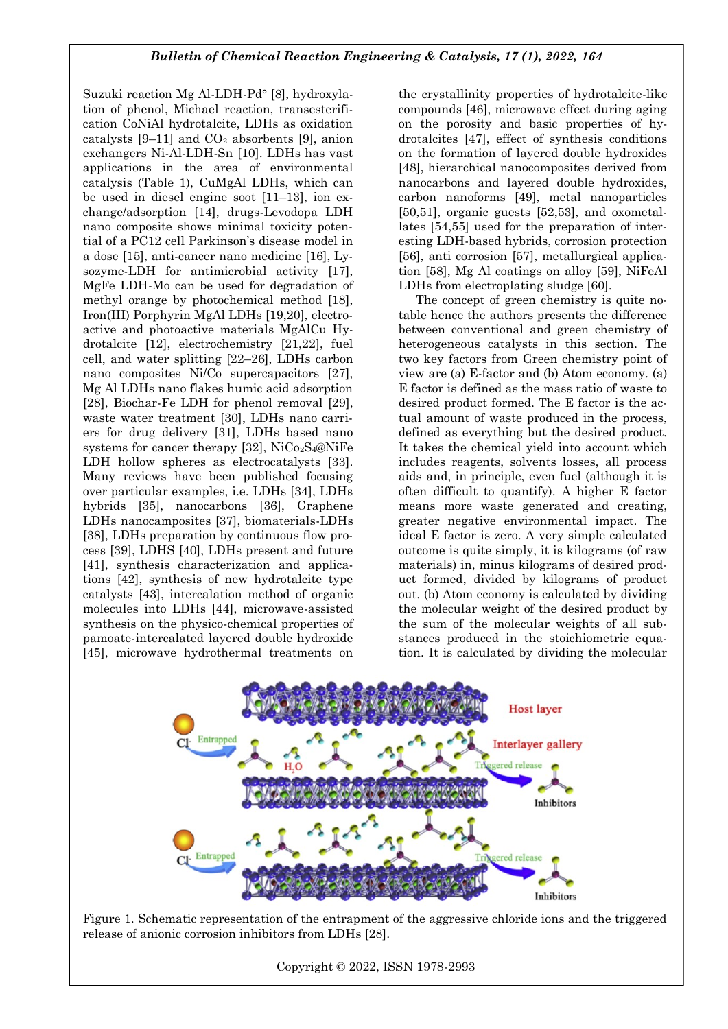Suzuki reaction Mg Al-LDH-Pd° [8], hydroxylation of phenol, Michael reaction, transesterification CoNiAl hydrotalcite, LDHs as oxidation catalysts  $[9-11]$  and  $CO<sub>2</sub>$  absorbents  $[9]$ , anion exchangers Ni-Al-LDH-Sn [10]. LDHs has vast applications in the area of environmental catalysis (Table 1), CuMgAl LDHs, which can be used in diesel engine soot [11–13], ion exchange/adsorption [14], drugs-Levodopa LDH nano composite shows minimal toxicity potential of a PC12 cell Parkinson's disease model in a dose [15], anti-cancer nano medicine [16], Lysozyme-LDH for antimicrobial activity [17], MgFe LDH-Mo can be used for degradation of methyl orange by photochemical method [18], Iron(III) Porphyrin MgAl LDHs [19,20], electroactive and photoactive materials MgAlCu Hydrotalcite [12], electrochemistry [21,22], fuel cell, and water splitting [22–26], LDHs carbon nano composites Ni/Co supercapacitors [27], Mg Al LDHs nano flakes humic acid adsorption [28], Biochar-Fe LDH for phenol removal [29], waste water treatment [30], LDHs nano carriers for drug delivery [31], LDHs based nano systems for cancer therapy [32],  $NiCo<sub>2</sub>S<sub>4</sub>@NiFe$ LDH hollow spheres as electrocatalysts [33]. Many reviews have been published focusing over particular examples, i.e. LDHs [34], LDHs hybrids [35], nanocarbons [36], Graphene LDHs nanocamposites [37], biomaterials-LDHs [38], LDHs preparation by continuous flow process [39], LDHS [40], LDHs present and future [41], synthesis characterization and applications [42], synthesis of new hydrotalcite type catalysts [43], intercalation method of organic molecules into LDHs [44], microwave-assisted synthesis on the physico-chemical properties of pamoate-intercalated layered double hydroxide [45], microwave hydrothermal treatments on the crystallinity properties of hydrotalcite-like compounds [46], microwave effect during aging on the porosity and basic properties of hydrotalcites [47], effect of synthesis conditions on the formation of layered double hydroxides [48], hierarchical nanocomposites derived from nanocarbons and layered double hydroxides, carbon nanoforms [49], metal nanoparticles [50,51], organic guests [52,53], and oxometallates [54,55] used for the preparation of interesting LDH-based hybrids, corrosion protection [56], anti corrosion [57], metallurgical application [58], Mg Al coatings on alloy [59], NiFeAl LDHs from electroplating sludge [60].

The concept of green chemistry is quite notable hence the authors presents the difference between conventional and green chemistry of heterogeneous catalysts in this section. The two key factors from Green chemistry point of view are (a) E-factor and (b) Atom economy. (a) E factor is defined as the mass ratio of waste to desired product formed. The E factor is the actual amount of waste produced in the process, defined as everything but the desired product. It takes the chemical yield into account which includes reagents, solvents losses, all process aids and, in principle, even fuel (although it is often difficult to quantify). A higher E factor means more waste generated and creating, greater negative environmental impact. The ideal E factor is zero. A very simple calculated outcome is quite simply, it is kilograms (of raw materials) in, minus kilograms of desired product formed, divided by kilograms of product out. (b) Atom economy is calculated by dividing the molecular weight of the desired product by the sum of the molecular weights of all substances produced in the stoichiometric equation. It is calculated by dividing the molecular



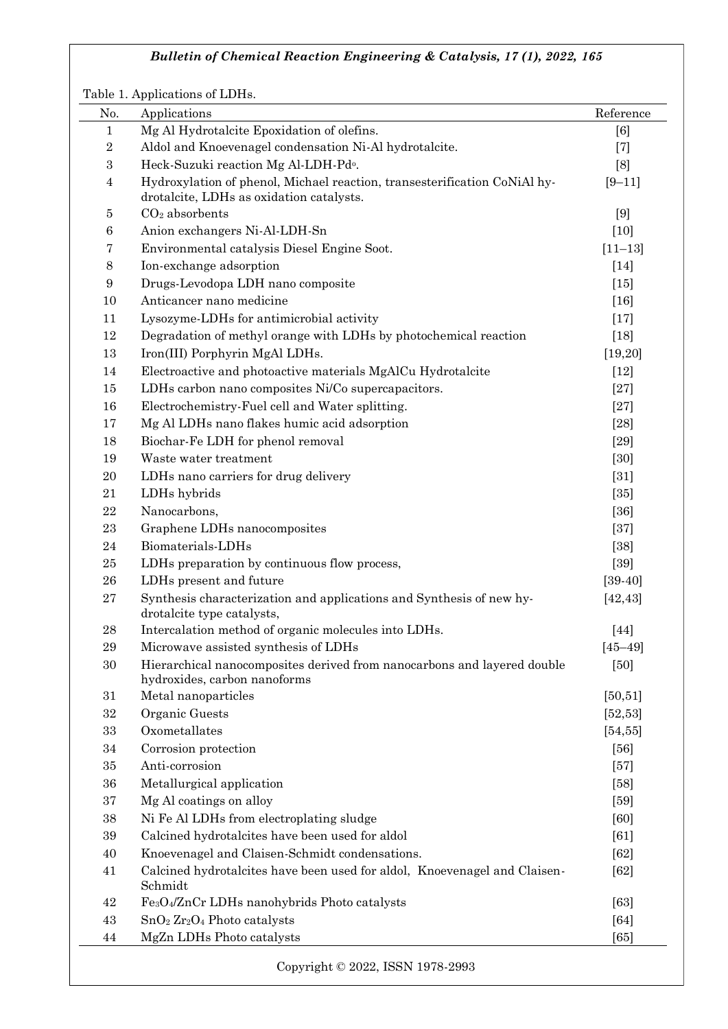Table 1. Applications of LDHs.

| No.              | Applications                                                                                                          | Reference   |
|------------------|-----------------------------------------------------------------------------------------------------------------------|-------------|
| $\mathbf{1}$     | Mg Al Hydrotalcite Epoxidation of olefins.                                                                            | [6]         |
| $\,2$            | Aldol and Knoevenagel condensation Ni-Al hydrotalcite.                                                                | $[7]$       |
| $\,3$            | Heck-Suzuki reaction Mg Al-LDH-Pdo.                                                                                   | [8]         |
| $\overline{4}$   | Hydroxylation of phenol, Michael reaction, transesterification CoNiAl hy-<br>drotalcite, LDHs as oxidation catalysts. | $[9 - 11]$  |
| $\bf 5$          | $CO2$ absorbents                                                                                                      | $[9]$       |
| $\,6$            | Anion exchangers Ni-Al-LDH-Sn                                                                                         | $[10]$      |
| $\overline{7}$   | Environmental catalysis Diesel Engine Soot.                                                                           | $[11 - 13]$ |
| 8                | Ion-exchange adsorption                                                                                               | $[14]$      |
| $\boldsymbol{9}$ | Drugs-Levodopa LDH nano composite                                                                                     | $[15]$      |
| 10               | Anticancer nano medicine                                                                                              | $[16]$      |
| 11               | Lysozyme-LDHs for antimicrobial activity                                                                              | $[17]$      |
| 12               | Degradation of methyl orange with LDHs by photochemical reaction                                                      | $[18]$      |
| 13               | Iron(III) Porphyrin MgAl LDHs.                                                                                        | [19, 20]    |
| 14               | Electroactive and photoactive materials MgAlCu Hydrotalcite                                                           | $[12]$      |
| 15               | LDHs carbon nano composites Ni/Co supercapacitors.                                                                    | $[27]$      |
| 16               | Electrochemistry-Fuel cell and Water splitting.                                                                       | $[27]$      |
| 17               | Mg Al LDHs nano flakes humic acid adsorption                                                                          | $[28]$      |
| 18               | Biochar-Fe LDH for phenol removal                                                                                     | $[29]$      |
| 19               | Waste water treatment                                                                                                 | $[30]$      |
| $20\,$           | LDHs nano carriers for drug delivery                                                                                  | $[31]$      |
| 21               | LDHs hybrids                                                                                                          | $[35]$      |
| $\bf{22}$        | Nanocarbons,                                                                                                          | $[36]$      |
| $\bf 23$         | Graphene LDHs nanocomposites                                                                                          | $[37]$      |
| 24               | Biomaterials-LDHs                                                                                                     | $[38]$      |
| $25\,$           | LDHs preparation by continuous flow process,                                                                          | $[39]$      |
| 26               | LDHs present and future                                                                                               | $[39-40]$   |
| 27               | Synthesis characterization and applications and Synthesis of new hy-<br>drotalcite type catalysts,                    | [42, 43]    |
| 28               | Intercalation method of organic molecules into LDHs.                                                                  | $[44]$      |
| 29               | Microwave assisted synthesis of LDHs                                                                                  | $[45 - 49]$ |
| $30\,$           | Hierarchical nanocomposites derived from nanocarbons and layered double<br>hydroxides, carbon nanoforms               | [50]        |
| 31               | Metal nanoparticles                                                                                                   | [50, 51]    |
| 32               | Organic Guests                                                                                                        | [52, 53]    |
| 33               | Oxometallates                                                                                                         | [54, 55]    |
| 34               | Corrosion protection                                                                                                  | [56]        |
| $35\,$           | Anti-corrosion                                                                                                        | $[57]$      |
| 36               | Metallurgical application                                                                                             | $[58]$      |
| 37               | Mg Al coatings on alloy                                                                                               | $[59]$      |
| 38               | Ni Fe Al LDHs from electroplating sludge                                                                              | [60]        |
| 39               | Calcined hydrotalcites have been used for aldol                                                                       | [61]        |
| 40               | Knoevenagel and Claisen-Schmidt condensations.                                                                        | [62]        |
| 41               | Calcined hydrotalcites have been used for aldol, Knoevenagel and Claisen-<br>Schmidt                                  | [62]        |
| 42               | Fe <sub>3</sub> O <sub>4</sub> /ZnCr LDHs nanohybrids Photo catalysts                                                 | [63]        |
| 43               | $SnO2 Zr2O4 Photo catalysts$                                                                                          | [64]        |
| 44               | MgZn LDHs Photo catalysts                                                                                             | [65]        |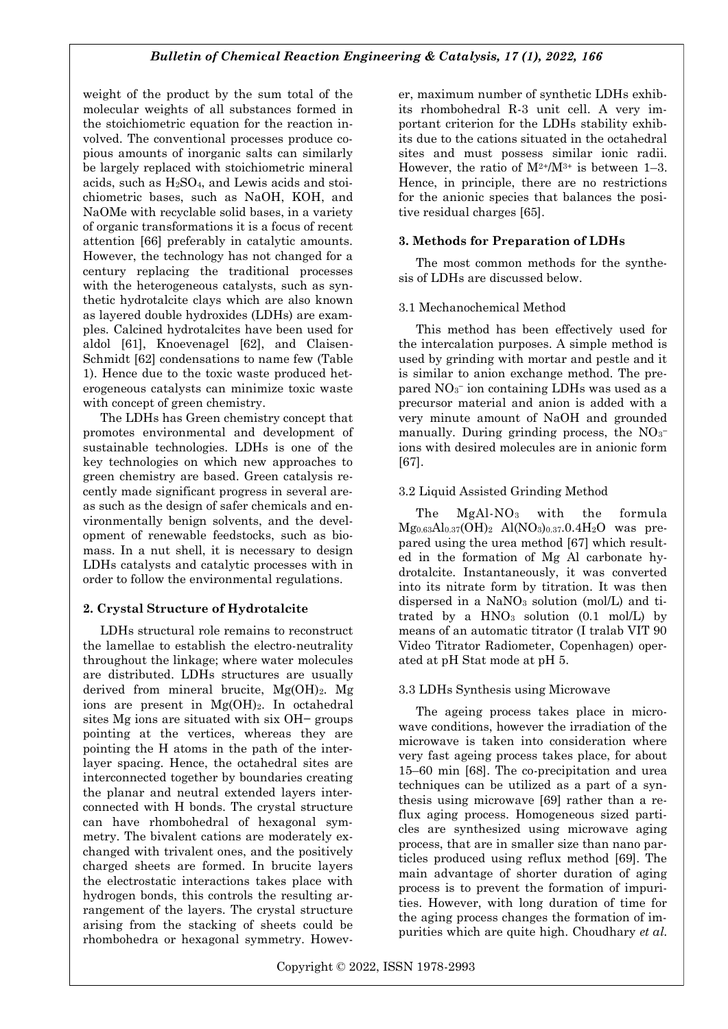weight of the product by the sum total of the molecular weights of all substances formed in the stoichiometric equation for the reaction involved. The conventional processes produce copious amounts of inorganic salts can similarly be largely replaced with stoichiometric mineral acids, such as H2SO4, and Lewis acids and stoichiometric bases, such as NaOH, KOH, and NaOMe with recyclable solid bases, in a variety of organic transformations it is a focus of recent attention [66] preferably in catalytic amounts. However, the technology has not changed for a century replacing the traditional processes with the heterogeneous catalysts, such as synthetic hydrotalcite clays which are also known as layered double hydroxides (LDHs) are examples. Calcined hydrotalcites have been used for aldol [61], Knoevenagel [62], and Claisen-Schmidt [62] condensations to name few (Table 1). Hence due to the toxic waste produced heterogeneous catalysts can minimize toxic waste with concept of green chemistry.

The LDHs has Green chemistry concept that promotes environmental and development of sustainable technologies. LDHs is one of the key technologies on which new approaches to green chemistry are based. Green catalysis recently made significant progress in several areas such as the design of safer chemicals and environmentally benign solvents, and the development of renewable feedstocks, such as biomass. In a nut shell, it is necessary to design LDHs catalysts and catalytic processes with in order to follow the environmental regulations.

# **2. Crystal Structure of Hydrotalcite**

LDHs structural role remains to reconstruct the lamellae to establish the electro-neutrality throughout the linkage; where water molecules are distributed. LDHs structures are usually derived from mineral brucite,  $Mg(OH)_2$ . Mg ions are present in  $Mg(OH)<sub>2</sub>$ . In octahedral sites Mg ions are situated with six OH− groups pointing at the vertices, whereas they are pointing the H atoms in the path of the interlayer spacing. Hence, the octahedral sites are interconnected together by boundaries creating the planar and neutral extended layers interconnected with H bonds. The crystal structure can have rhombohedral of hexagonal symmetry. The bivalent cations are moderately exchanged with trivalent ones, and the positively charged sheets are formed. In brucite layers the electrostatic interactions takes place with hydrogen bonds, this controls the resulting arrangement of the layers. The crystal structure arising from the stacking of sheets could be rhombohedra or hexagonal symmetry. However, maximum number of synthetic LDHs exhibits rhombohedral R-3 unit cell. A very important criterion for the LDHs stability exhibits due to the cations situated in the octahedral sites and must possess similar ionic radii. However, the ratio of  $M^{2+}/M^{3+}$  is between 1–3. Hence, in principle, there are no restrictions for the anionic species that balances the positive residual charges [65].

# **3. Methods for Preparation of LDHs**

The most common methods for the synthesis of LDHs are discussed below.

# 3.1 Mechanochemical Method

This method has been effectively used for the intercalation purposes. A simple method is used by grinding with mortar and pestle and it is similar to anion exchange method. The prepared NO<sub>3</sub><sup>−</sup> ion containing LDHs was used as a precursor material and anion is added with a very minute amount of NaOH and grounded manually. During grinding process, the  $NO<sub>3</sub>$ ions with desired molecules are in anionic form [67].

# 3.2 Liquid Assisted Grinding Method

The MgAl-NO<sub>3</sub> with the formula  $Mg_{0.63}Al_{0.37}(OH)_{2}$  Al(NO<sub>3</sub>)<sub>0.37</sub>.0.4H<sub>2</sub>O was prepared using the urea method [67] which resulted in the formation of Mg Al carbonate hydrotalcite. Instantaneously, it was converted into its nitrate form by titration. It was then dispersed in a NaNO<sub>3</sub> solution (mol/L) and titrated by a  $HNO<sub>3</sub>$  solution (0.1 mol/L) by means of an automatic titrator (I tralab VIT 90 Video Titrator Radiometer, Copenhagen) operated at pH Stat mode at pH 5.

# 3.3 LDHs Synthesis using Microwave

The ageing process takes place in microwave conditions, however the irradiation of the microwave is taken into consideration where very fast ageing process takes place, for about 15–60 min [68]. The co-precipitation and urea techniques can be utilized as a part of a synthesis using microwave [69] rather than a reflux aging process. Homogeneous sized particles are synthesized using microwave aging process, that are in smaller size than nano particles produced using reflux method [69]. The main advantage of shorter duration of aging process is to prevent the formation of impurities. However, with long duration of time for the aging process changes the formation of impurities which are quite high. Choudhary *et al.*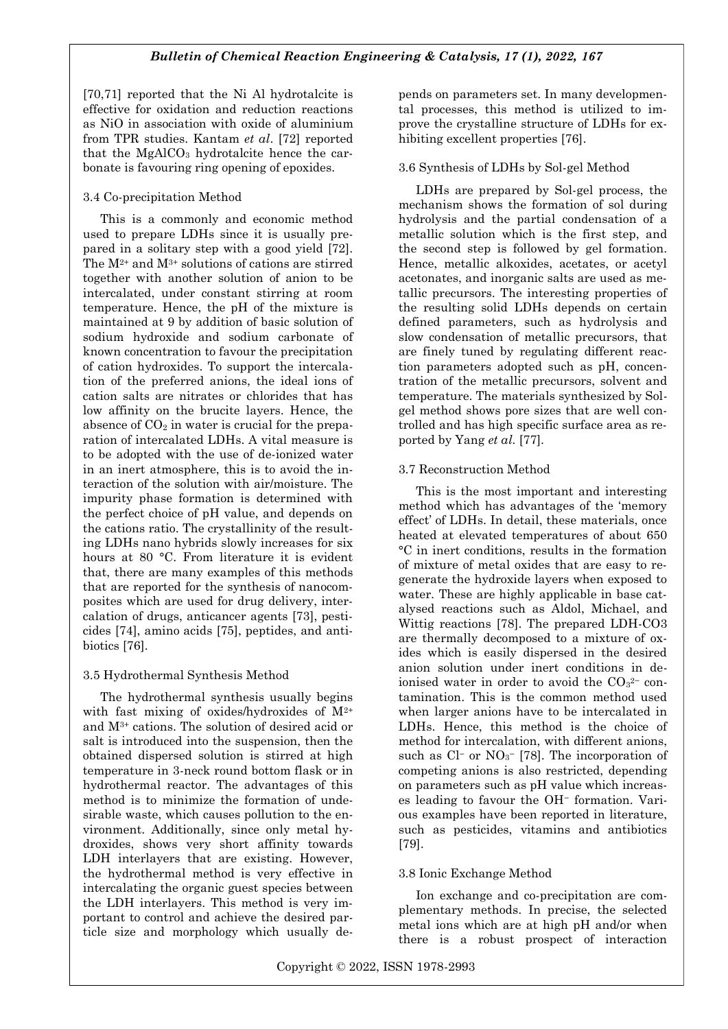[70,71] reported that the Ni Al hydrotalcite is effective for oxidation and reduction reactions as NiO in association with oxide of aluminium from TPR studies. Kantam *et al*. [72] reported that the MgAlCO<sup>3</sup> hydrotalcite hence the carbonate is favouring ring opening of epoxides.

# 3.4 Co-precipitation Method

This is a commonly and economic method used to prepare LDHs since it is usually prepared in a solitary step with a good yield [72]. The  $M^{2+}$  and  $M^{3+}$  solutions of cations are stirred together with another solution of anion to be intercalated, under constant stirring at room temperature. Hence, the pH of the mixture is maintained at 9 by addition of basic solution of sodium hydroxide and sodium carbonate of known concentration to favour the precipitation of cation hydroxides. To support the intercalation of the preferred anions, the ideal ions of cation salts are nitrates or chlorides that has low affinity on the brucite layers. Hence, the absence of  $CO<sub>2</sub>$  in water is crucial for the preparation of intercalated LDHs. A vital measure is to be adopted with the use of de-ionized water in an inert atmosphere, this is to avoid the interaction of the solution with air/moisture. The impurity phase formation is determined with the perfect choice of pH value, and depends on the cations ratio. The crystallinity of the resulting LDHs nano hybrids slowly increases for six hours at 80 °C. From literature it is evident that, there are many examples of this methods that are reported for the synthesis of nanocomposites which are used for drug delivery, intercalation of drugs, anticancer agents [73], pesticides [74], amino acids [75], peptides, and antibiotics [76].

# 3.5 Hydrothermal Synthesis Method

The hydrothermal synthesis usually begins with fast mixing of oxides/hydroxides of M2+ and M3+ cations. The solution of desired acid or salt is introduced into the suspension, then the obtained dispersed solution is stirred at high temperature in 3-neck round bottom flask or in hydrothermal reactor. The advantages of this method is to minimize the formation of undesirable waste, which causes pollution to the environment. Additionally, since only metal hydroxides, shows very short affinity towards LDH interlayers that are existing. However, the hydrothermal method is very effective in intercalating the organic guest species between the LDH interlayers. This method is very important to control and achieve the desired particle size and morphology which usually depends on parameters set. In many developmental processes, this method is utilized to improve the crystalline structure of LDHs for exhibiting excellent properties [76].

# 3.6 Synthesis of LDHs by Sol-gel Method

LDHs are prepared by Sol-gel process, the mechanism shows the formation of sol during hydrolysis and the partial condensation of a metallic solution which is the first step, and the second step is followed by gel formation. Hence, metallic alkoxides, acetates, or acetyl acetonates, and inorganic salts are used as metallic precursors. The interesting properties of the resulting solid LDHs depends on certain defined parameters, such as hydrolysis and slow condensation of metallic precursors, that are finely tuned by regulating different reaction parameters adopted such as pH, concentration of the metallic precursors, solvent and temperature. The materials synthesized by Solgel method shows pore sizes that are well controlled and has high specific surface area as reported by Yang *et al.* [77].

# 3.7 Reconstruction Method

This is the most important and interesting method which has advantages of the 'memory effect' of LDHs. In detail, these materials, once heated at elevated temperatures of about 650 °C in inert conditions, results in the formation of mixture of metal oxides that are easy to regenerate the hydroxide layers when exposed to water. These are highly applicable in base catalysed reactions such as Aldol, Michael, and Wittig reactions [78]. The prepared LDH-CO3 are thermally decomposed to a mixture of oxides which is easily dispersed in the desired anion solution under inert conditions in deionised water in order to avoid the  $CO<sub>3</sub><sup>2-</sup>$  contamination. This is the common method used when larger anions have to be intercalated in LDHs. Hence, this method is the choice of method for intercalation, with different anions, such as  $Cl^-$  or  $NO_3^-$  [78]. The incorporation of competing anions is also restricted, depending on parameters such as pH value which increases leading to favour the OH<sup>−</sup> formation. Various examples have been reported in literature, such as pesticides, vitamins and antibiotics [79].

# 3.8 Ionic Exchange Method

Ion exchange and co-precipitation are complementary methods. In precise, the selected metal ions which are at high pH and/or when there is a robust prospect of interaction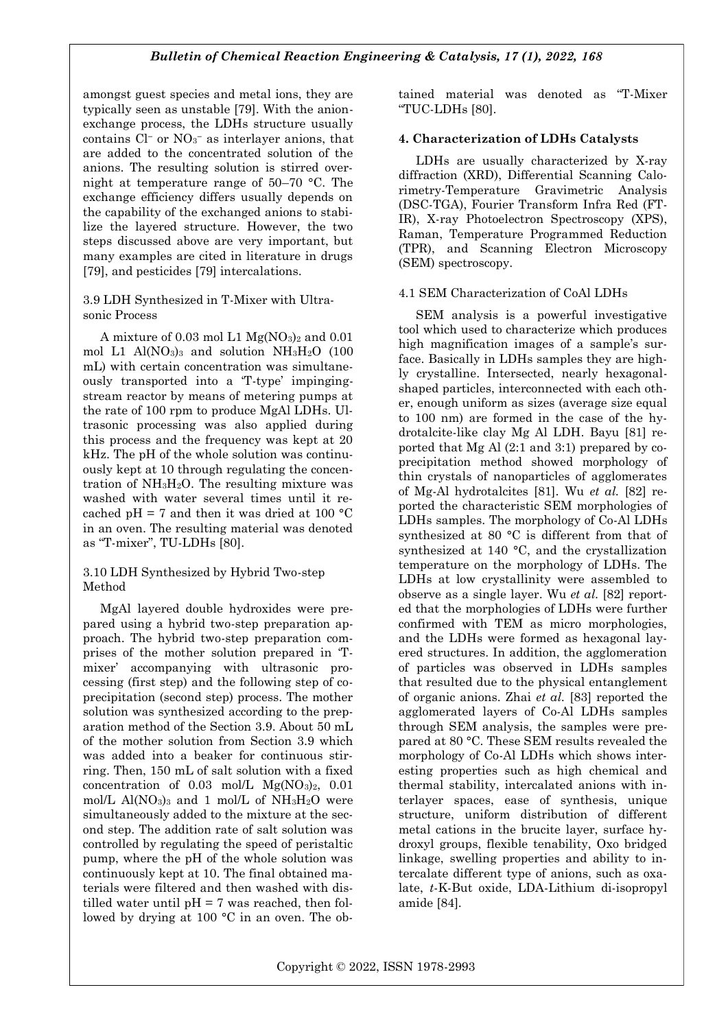amongst guest species and metal ions, they are typically seen as unstable [79]. With the anionexchange process, the LDHs structure usually contains Cl<sup>−</sup> or NO<sup>3</sup> <sup>−</sup> as interlayer anions, that are added to the concentrated solution of the anions. The resulting solution is stirred overnight at temperature range of 50–70 °C. The exchange efficiency differs usually depends on the capability of the exchanged anions to stabilize the layered structure. However, the two steps discussed above are very important, but many examples are cited in literature in drugs [79], and pesticides [79] intercalations.

# 3.9 LDH Synthesized in T-Mixer with Ultrasonic Process

A mixture of 0.03 mol L1  $Mg(NO_3)_2$  and 0.01 mol L1 Al $(NO_3)_3$  and solution  $NH_3H_2O$  (100 mL) with certain concentration was simultaneously transported into a 'T-type' impingingstream reactor by means of metering pumps at the rate of 100 rpm to produce MgAl LDHs. Ultrasonic processing was also applied during this process and the frequency was kept at 20 kHz. The pH of the whole solution was continuously kept at 10 through regulating the concentration of NH3H2O. The resulting mixture was washed with water several times until it recached pH = 7 and then it was dried at 100  $^{\circ}$ C in an oven. The resulting material was denoted as "T-mixer", TU-LDHs [80].

# 3.10 LDH Synthesized by Hybrid Two-step Method

MgAl layered double hydroxides were prepared using a hybrid two-step preparation approach. The hybrid two-step preparation comprises of the mother solution prepared in 'Tmixer' accompanying with ultrasonic processing (first step) and the following step of coprecipitation (second step) process. The mother solution was synthesized according to the preparation method of the Section 3.9. About 50 mL of the mother solution from Section 3.9 which was added into a beaker for continuous stirring. Then, 150 mL of salt solution with a fixed concentration of  $0.03$  mol/L  $Mg(NO<sub>3</sub>)<sub>2</sub>$ ,  $0.01$ mol/L  $Al(NO<sub>3</sub>)<sub>3</sub>$  and 1 mol/L of  $NH<sub>3</sub>H<sub>2</sub>O$  were simultaneously added to the mixture at the second step. The addition rate of salt solution was controlled by regulating the speed of peristaltic pump, where the pH of the whole solution was continuously kept at 10. The final obtained materials were filtered and then washed with distilled water until  $pH = 7$  was reached, then followed by drying at 100 °C in an oven. The obtained material was denoted as "T-Mixer "TUC-LDHs [80].

# **4. Characterization of LDHs Catalysts**

LDHs are usually characterized by X-ray diffraction (XRD), Differential Scanning Calorimetry-Temperature Gravimetric Analysis (DSC-TGA), Fourier Transform Infra Red (FT-IR), X-ray Photoelectron Spectroscopy (XPS), Raman, Temperature Programmed Reduction (TPR), and Scanning Electron Microscopy (SEM) spectroscopy.

### 4.1 SEM Characterization of CoAl LDHs

SEM analysis is a powerful investigative tool which used to characterize which produces high magnification images of a sample's surface. Basically in LDHs samples they are highly crystalline. Intersected, nearly hexagonalshaped particles, interconnected with each other, enough uniform as sizes (average size equal to 100 nm) are formed in the case of the hydrotalcite-like clay Mg Al LDH. Bayu [81] reported that Mg Al (2:1 and 3:1) prepared by coprecipitation method showed morphology of thin crystals of nanoparticles of agglomerates of Mg-Al hydrotalcites [81]. Wu *et al.* [82] reported the characteristic SEM morphologies of LDHs samples. The morphology of Co-Al LDHs synthesized at 80 °C is different from that of synthesized at 140 °C, and the crystallization temperature on the morphology of LDHs. The LDHs at low crystallinity were assembled to observe as a single layer. Wu *et al.* [82] reported that the morphologies of LDHs were further confirmed with TEM as micro morphologies, and the LDHs were formed as hexagonal layered structures. In addition, the agglomeration of particles was observed in LDHs samples that resulted due to the physical entanglement of organic anions. Zhai *et al.* [83] reported the agglomerated layers of Co-Al LDHs samples through SEM analysis, the samples were prepared at 80 °C. These SEM results revealed the morphology of Co-Al LDHs which shows interesting properties such as high chemical and thermal stability, intercalated anions with interlayer spaces, ease of synthesis, unique structure, uniform distribution of different metal cations in the brucite layer, surface hydroxyl groups, flexible tenability, Oxo bridged linkage, swelling properties and ability to intercalate different type of anions, such as oxalate, *t*-K-But oxide, LDA-Lithium di-isopropyl amide [84].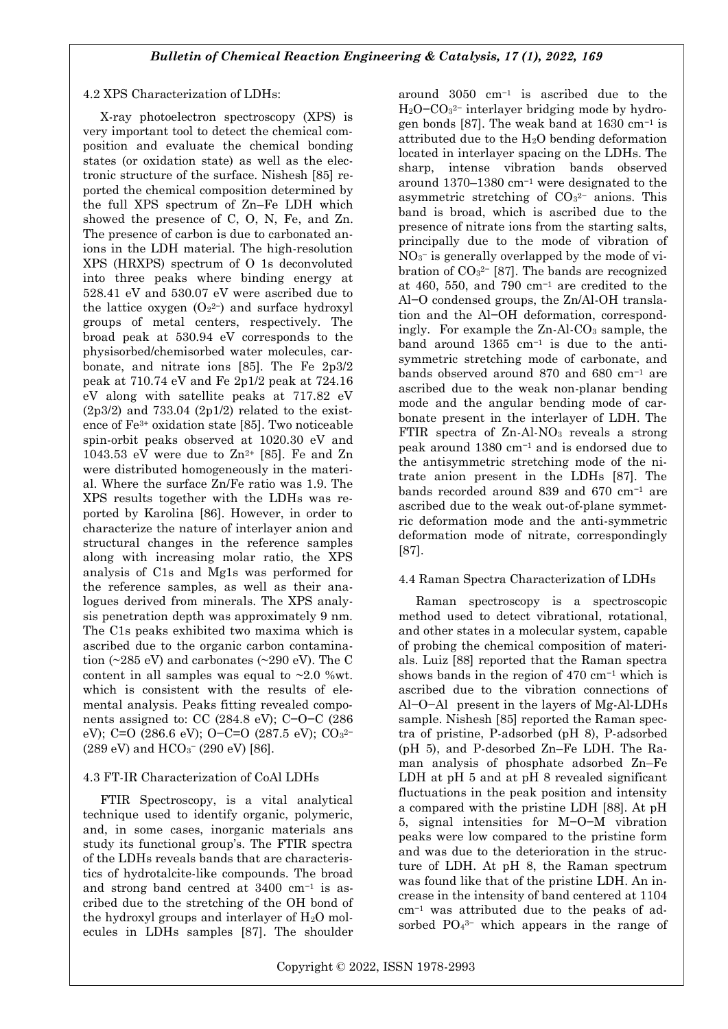#### 4.2 XPS Characterization of LDHs:

X-ray photoelectron spectroscopy (XPS) is very important tool to detect the chemical composition and evaluate the chemical bonding states (or oxidation state) as well as the electronic structure of the surface. Nishesh [85] reported the chemical composition determined by the full XPS spectrum of Zn–Fe LDH which showed the presence of C, O, N, Fe, and Zn. The presence of carbon is due to carbonated anions in the LDH material. The high-resolution XPS (HRXPS) spectrum of O 1s deconvoluted into three peaks where binding energy at 528.41 eV and 530.07 eV were ascribed due to the lattice oxygen  $(O_2^2)$  and surface hydroxyl groups of metal centers, respectively. The broad peak at 530.94 eV corresponds to the physisorbed/chemisorbed water molecules, carbonate, and nitrate ions [85]. The Fe 2p3/2 peak at 710.74 eV and Fe 2p1/2 peak at 724.16 eV along with satellite peaks at 717.82 eV  $(2p3/2)$  and 733.04  $(2p1/2)$  related to the existence of Fe3+ oxidation state [85]. Two noticeable spin-orbit peaks observed at 1020.30 eV and 1043.53 eV were due to  $\text{Zn}^{2+}$  [85]. Fe and Zn were distributed homogeneously in the material. Where the surface Zn/Fe ratio was 1.9. The XPS results together with the LDHs was reported by Karolina [86]. However, in order to characterize the nature of interlayer anion and structural changes in the reference samples along with increasing molar ratio, the XPS analysis of C1s and Mg1s was performed for the reference samples, as well as their analogues derived from minerals. The XPS analysis penetration depth was approximately 9 nm. The C1s peaks exhibited two maxima which is ascribed due to the organic carbon contamination  $(\sim 285 \text{ eV})$  and carbonates  $(\sim 290 \text{ eV})$ . The C content in all samples was equal to  $\sim$ 2.0 %wt. which is consistent with the results of elemental analysis. Peaks fitting revealed components assigned to: CC (284.8 eV); C−O−C (286 eV); C=O (286.6 eV); O−C=O (287.5 eV); CO<sub>3</sub><sup>2–</sup>  $(289 \text{ eV})$  and  $HCO<sub>3</sub><sup>-</sup>$   $(290 \text{ eV})$  [86].

#### 4.3 FT-IR Characterization of CoAl LDHs

FTIR Spectroscopy, is a vital analytical technique used to identify organic, polymeric, and, in some cases, inorganic materials ans study its functional group's. The FTIR spectra of the LDHs reveals bands that are characteristics of hydrotalcite-like compounds. The broad and strong band centred at 3400 cm−1 is ascribed due to the stretching of the OH bond of the hydroxyl groups and interlayer of  $H_2O$  molecules in LDHs samples [87]. The shoulder around 3050 cm−1 is ascribed due to the H2O−CO<sup>3</sup> 2− interlayer bridging mode by hydrogen bonds [87]. The weak band at 1630 cm−1 is attributed due to the H2O bending deformation located in interlayer spacing on the LDHs. The sharp, intense vibration bands observed around 1370–1380 cm−1 were designated to the asymmetric stretching of  $CO<sub>3</sub><sup>2-</sup>$  anions. This band is broad, which is ascribed due to the presence of nitrate ions from the starting salts, principally due to the mode of vibration of  $NO<sub>3</sub>$  is generally overlapped by the mode of vibration of  $CO<sub>3</sub><sup>2–</sup>$  [87]. The bands are recognized at 460, 550, and 790 cm−1 are credited to the Al−O condensed groups, the Zn/Al-OH translation and the Al−OH deformation, correspondingly. For example the  $Zn$ -Al-CO<sub>3</sub> sample, the band around 1365 cm−1 is due to the antisymmetric stretching mode of carbonate, and bands observed around 870 and 680 cm−1 are ascribed due to the weak non-planar bending mode and the angular bending mode of carbonate present in the interlayer of LDH. The FTIR spectra of Zn-Al-NO<sup>3</sup> reveals a strong peak around 1380 cm−1 and is endorsed due to the antisymmetric stretching mode of the nitrate anion present in the LDHs [87]. The bands recorded around 839 and 670 cm−1 are ascribed due to the weak out-of-plane symmetric deformation mode and the anti-symmetric deformation mode of nitrate, correspondingly [87].

#### 4.4 Raman Spectra Characterization of LDHs

Raman spectroscopy is a spectroscopic method used to detect vibrational, rotational, and other states in a molecular system, capable of probing the chemical composition of materials. Luiz [88] reported that the Raman spectra shows bands in the region of 470 cm−1 which is ascribed due to the vibration connections of Al−O−Al present in the layers of Mg-Al-LDHs sample. Nishesh [85] reported the Raman spectra of pristine, P-adsorbed (pH 8), P-adsorbed (pH 5), and P-desorbed Zn–Fe LDH. The Raman analysis of phosphate adsorbed Zn–Fe LDH at pH 5 and at pH 8 revealed significant fluctuations in the peak position and intensity a compared with the pristine LDH [88]. At pH 5, signal intensities for M−O−M vibration peaks were low compared to the pristine form and was due to the deterioration in the structure of LDH. At pH 8, the Raman spectrum was found like that of the pristine LDH. An increase in the intensity of band centered at 1104 cm−1 was attributed due to the peaks of adsorbed PO<sub>4</sub><sup>3−</sup> which appears in the range of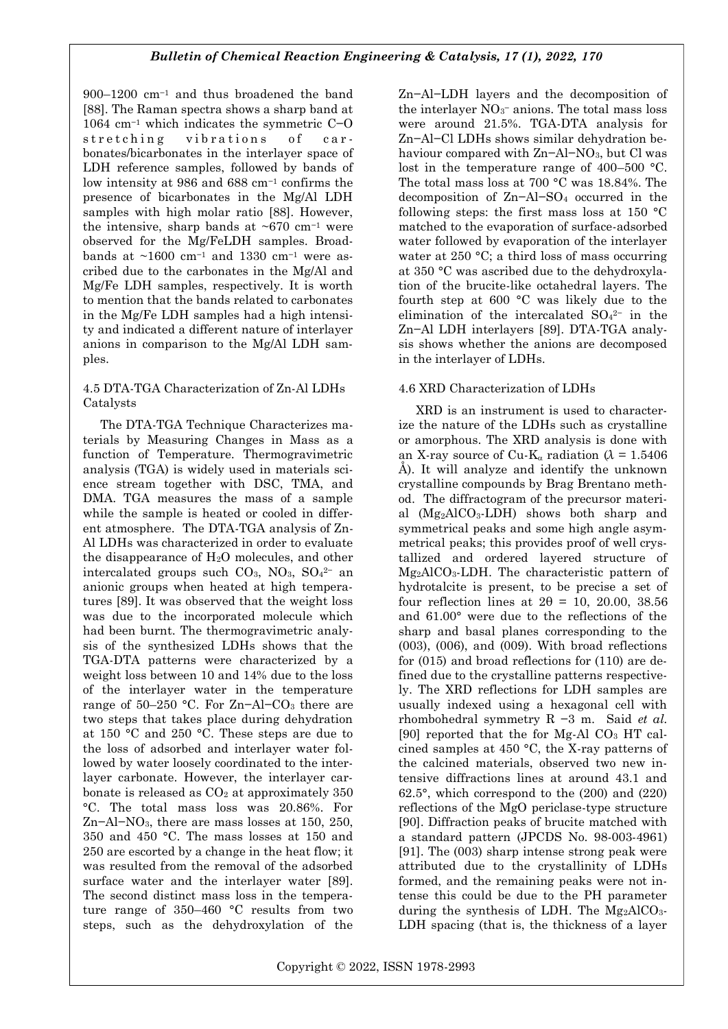900–1200 cm−1 and thus broadened the band [88]. The Raman spectra shows a sharp band at 1064 cm−1 which indicates the symmetric C−O stretching vibrations of carbonates/bicarbonates in the interlayer space of LDH reference samples, followed by bands of low intensity at 986 and 688 cm−1 confirms the presence of bicarbonates in the Mg/Al LDH samples with high molar ratio [88]. However, the intensive, sharp bands at  $~670$  cm<sup>-1</sup> were observed for the Mg/FeLDH samples. Broadbands at ~1600 cm−1 and 1330 cm−1 were ascribed due to the carbonates in the Mg/Al and Mg/Fe LDH samples, respectively. It is worth to mention that the bands related to carbonates in the Mg/Fe LDH samples had a high intensity and indicated a different nature of interlayer anions in comparison to the Mg/Al LDH samples.

### 4.5 DTA-TGA Characterization of Zn-Al LDHs Catalysts

The DTA-TGA Technique Characterizes materials by Measuring Changes in Mass as a function of Temperature. Thermogravimetric analysis (TGA) is widely used in materials science stream together with DSC, TMA, and DMA. TGA measures the mass of a sample while the sample is heated or cooled in different atmosphere. The DTA-TGA analysis of Zn-Al LDHs was characterized in order to evaluate the disappearance of  $H_2O$  molecules, and other intercalated groups such  $CO_3$ ,  $NO_3$ ,  $SO_4^{2-}$  an anionic groups when heated at high temperatures [89]. It was observed that the weight loss was due to the incorporated molecule which had been burnt. The thermogravimetric analysis of the synthesized LDHs shows that the TGA-DTA patterns were characterized by a weight loss between 10 and 14% due to the loss of the interlayer water in the temperature range of 50–250 °C. For Zn−Al−CO<sup>3</sup> there are two steps that takes place during dehydration at 150 °C and 250 °C. These steps are due to the loss of adsorbed and interlayer water followed by water loosely coordinated to the interlayer carbonate. However, the interlayer carbonate is released as  $CO<sub>2</sub>$  at approximately 350 °C. The total mass loss was 20.86%. For Zn−Al−NO3, there are mass losses at 150, 250, 350 and 450 °C. The mass losses at 150 and 250 are escorted by a change in the heat flow; it was resulted from the removal of the adsorbed surface water and the interlayer water [89]. The second distinct mass loss in the temperature range of 350–460 °C results from two steps, such as the dehydroxylation of the

Zn−Al−LDH layers and the decomposition of the interlayer  $NO<sub>3</sub><sup>-</sup>$  anions. The total mass loss were around 21.5%. TGA-DTA analysis for Zn−Al−Cl LDHs shows similar dehydration behaviour compared with Zn−Al−NO3, but Cl was lost in the temperature range of 400–500 °C. The total mass loss at 700 °C was 18.84%. The decomposition of Zn−Al−SO<sup>4</sup> occurred in the following steps: the first mass loss at 150 °C matched to the evaporation of surface-adsorbed water followed by evaporation of the interlayer water at 250 °C; a third loss of mass occurring at 350 °C was ascribed due to the dehydroxylation of the brucite-like octahedral layers. The fourth step at 600 °C was likely due to the elimination of the intercalated SO<sup>4</sup> 2− in the Zn−Al LDH interlayers [89]. DTA-TGA analysis shows whether the anions are decomposed in the interlayer of LDHs.

# 4.6 XRD Characterization of LDHs

XRD is an instrument is used to characterize the nature of the LDHs such as crystalline or amorphous. The XRD analysis is done with an X-ray source of Cu-K<sub>a</sub> radiation ( $\lambda = 1.5406$ Å). It will analyze and identify the unknown crystalline compounds by Brag Brentano method. The diffractogram of the precursor material (Mg2AlCO3-LDH) shows both sharp and symmetrical peaks and some high angle asymmetrical peaks; this provides proof of well crystallized and ordered layered structure of  $Mg_2A_1CO_3$ -LDH. The characteristic pattern of hydrotalcite is present, to be precise a set of four reflection lines at  $2\theta = 10$ , 20.00, 38.56 and 61.00° were due to the reflections of the sharp and basal planes corresponding to the (003), (006), and (009). With broad reflections for (015) and broad reflections for (110) are defined due to the crystalline patterns respectively. The XRD reflections for LDH samples are usually indexed using a hexagonal cell with rhombohedral symmetry R −3 m. Said *et al.* [90] reported that the for Mg-Al CO<sub>3</sub> HT calcined samples at 450 °C, the X-ray patterns of the calcined materials, observed two new intensive diffractions lines at around 43.1 and 62.5°, which correspond to the (200) and (220) reflections of the MgO periclase-type structure [90]. Diffraction peaks of brucite matched with a standard pattern (JPCDS No. 98-003-4961) [91]. The (003) sharp intense strong peak were attributed due to the crystallinity of LDHs formed, and the remaining peaks were not intense this could be due to the PH parameter during the synthesis of LDH. The  $Mg_2AlCO_3$ -LDH spacing (that is, the thickness of a layer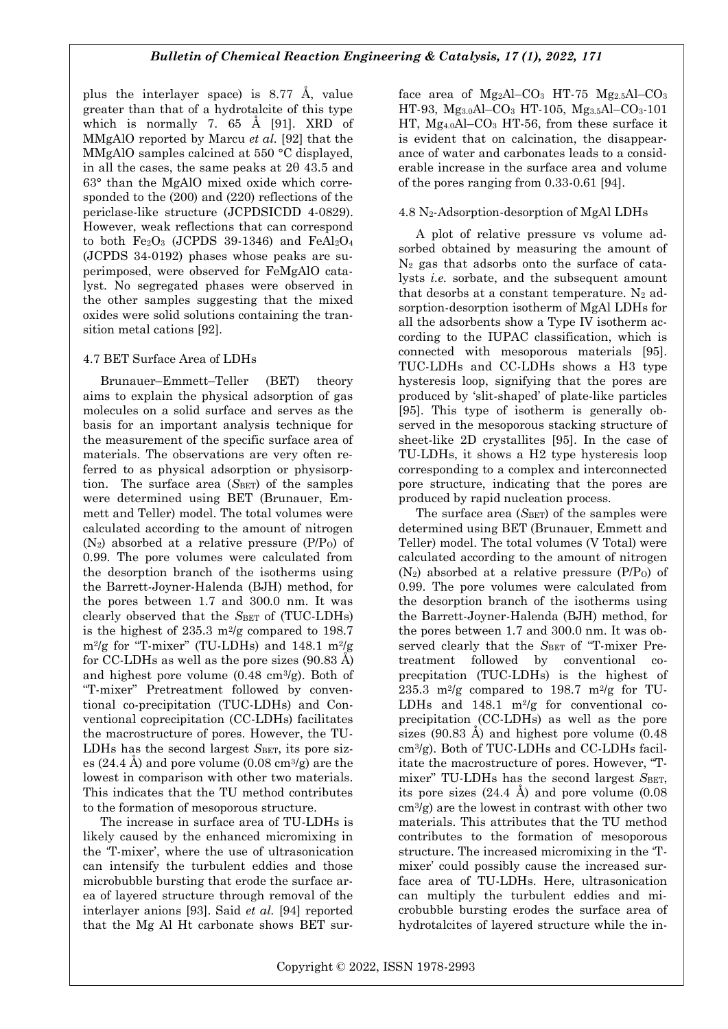plus the interlayer space) is 8.77 Å, value greater than that of a hydrotalcite of this type which is normally 7. 65 Å [91]. XRD of MMgAlO reported by Marcu *et al.* [92] that the MMgAlO samples calcined at 550 °C displayed, in all the cases, the same peaks at 2θ 43.5 and 63° than the MgAlO mixed oxide which corresponded to the (200) and (220) reflections of the periclase-like structure (JCPDSICDD 4-0829). However, weak reflections that can correspond to both  $Fe<sub>2</sub>O<sub>3</sub>$  (JCPDS 39-1346) and  $FeAl<sub>2</sub>O<sub>4</sub>$ (JCPDS 34-0192) phases whose peaks are superimposed, were observed for FeMgAlO catalyst. No segregated phases were observed in the other samples suggesting that the mixed oxides were solid solutions containing the transition metal cations [92].

### 4.7 BET Surface Area of LDHs

Brunauer–Emmett–Teller (BET) theory aims to explain the physical adsorption of gas molecules on a solid surface and serves as the basis for an important analysis technique for the measurement of the specific surface area of materials. The observations are very often referred to as physical adsorption or physisorption. The surface area (S<sub>BET</sub>) of the samples were determined using BET (Brunauer, Emmett and Teller) model. The total volumes were calculated according to the amount of nitrogen  $(N_2)$  absorbed at a relative pressure  $(P/P_0)$  of 0.99. The pore volumes were calculated from the desorption branch of the isotherms using the Barrett-Joyner-Halenda (BJH) method, for the pores between 1.7 and 300.0 nm. It was clearly observed that the *S*BET of (TUC-LDHs) is the highest of 235.3 m<sup>2</sup>/g compared to 198.7 m<sup>2</sup>/g for "T-mixer" (TU-LDHs) and  $148.1 \text{ m}^2\text{/g}$ for CC-LDHs as well as the pore sizes (90.83 Å) and highest pore volume (0.48 cm3/g). Both of "T-mixer" Pretreatment followed by conventional co-precipitation (TUC-LDHs) and Conventional coprecipitation (CC-LDHs) facilitates the macrostructure of pores. However, the TU-LDHs has the second largest *S*<sub>BET</sub>, its pore sizes  $(24.4 \text{ Å})$  and pore volume  $(0.08 \text{ cm}^3/\text{g})$  are the lowest in comparison with other two materials. This indicates that the TU method contributes to the formation of mesoporous structure.

The increase in surface area of TU-LDHs is likely caused by the enhanced micromixing in the 'T-mixer', where the use of ultrasonication can intensify the turbulent eddies and those microbubble bursting that erode the surface area of layered structure through removal of the interlayer anions [93]. Said *et al.* [94] reported that the Mg Al Ht carbonate shows BET surface area of  $Mg_2Al-CO_3$  HT-75  $Mg_2.5Al-CO_3$ HT-93, Mg3.0Al–CO<sup>3</sup> HT-105, Mg3.5Al–CO3-101 HT, Mg4.0Al–CO<sup>3</sup> HT-56, from these surface it is evident that on calcination, the disappearance of water and carbonates leads to a considerable increase in the surface area and volume of the pores ranging from 0.33-0.61 [94].

### 4.8 N2-Adsorption-desorption of MgAl LDHs

A plot of relative pressure vs volume adsorbed obtained by measuring the amount of  $N_2$  gas that adsorbs onto the surface of catalysts *i.e.* sorbate, and the subsequent amount that desorbs at a constant temperature.  $N_2$  adsorption-desorption isotherm of MgAl LDHs for all the adsorbents show a Type IV isotherm according to the IUPAC classification, which is connected with mesoporous materials [95]. TUC-LDHs and CC-LDHs shows a H3 type hysteresis loop, signifying that the pores are produced by 'slit-shaped' of plate-like particles [95]. This type of isotherm is generally observed in the mesoporous stacking structure of sheet-like 2D crystallites [95]. In the case of TU-LDHs, it shows a H2 type hysteresis loop corresponding to a complex and interconnected pore structure, indicating that the pores are produced by rapid nucleation process.

The surface area (*S*<sub>BET</sub>) of the samples were determined using BET (Brunauer, Emmett and Teller) model. The total volumes (V Total) were calculated according to the amount of nitrogen  $(N_2)$  absorbed at a relative pressure  $(P/P_0)$  of 0.99. The pore volumes were calculated from the desorption branch of the isotherms using the Barrett-Joyner-Halenda (BJH) method, for the pores between 1.7 and 300.0 nm. It was observed clearly that the *SBET* of "T-mixer Pretreatment followed by conventional coprecpitation (TUC-LDHs) is the highest of 235.3 m<sup>2</sup>/g compared to 198.7 m<sup>2</sup>/g for TU-LDHs and  $148.1$  m<sup>2</sup>/g for conventional coprecipitation (CC-LDHs) as well as the pore sizes (90.83 Å) and highest pore volume (0.48 cm3/g). Both of TUC-LDHs and CC-LDHs facilitate the macrostructure of pores. However, "Tmixer" TU-LDHs has the second largest *SBET*, its pore sizes (24.4 Å) and pore volume (0.08 cm3/g) are the lowest in contrast with other two materials. This attributes that the TU method contributes to the formation of mesoporous structure. The increased micromixing in the 'Tmixer' could possibly cause the increased surface area of TU-LDHs. Here, ultrasonication can multiply the turbulent eddies and microbubble bursting erodes the surface area of hydrotalcites of layered structure while the in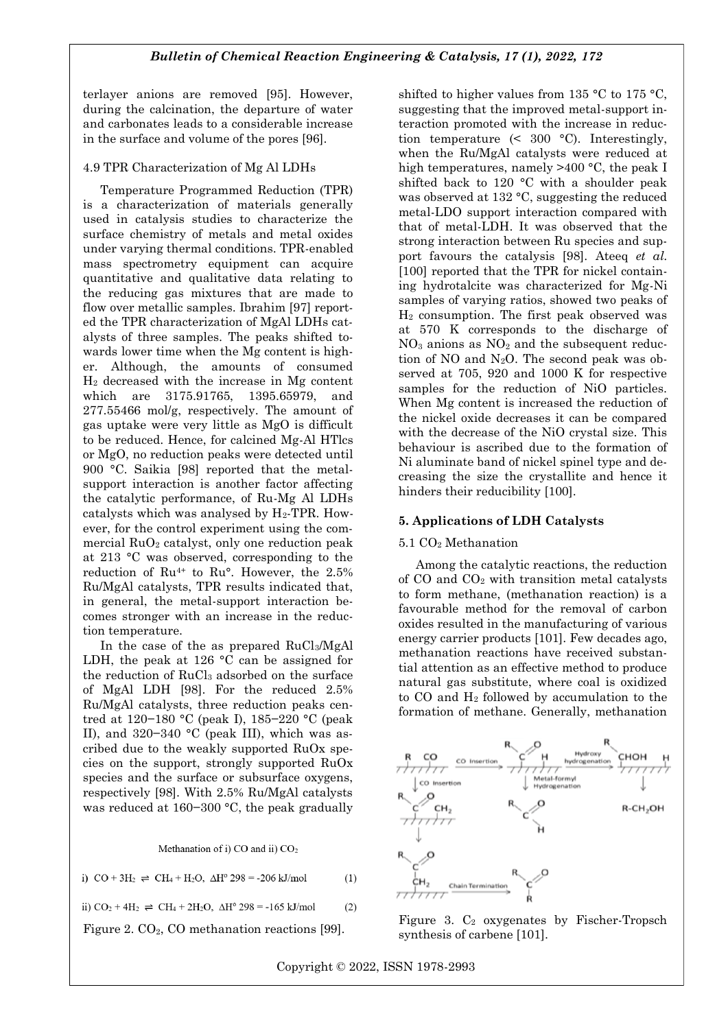terlayer anions are removed [95]. However, during the calcination, the departure of water and carbonates leads to a considerable increase in the surface and volume of the pores [96].

### 4.9 TPR Characterization of Mg Al LDHs

Temperature Programmed Reduction (TPR) is a characterization of materials generally used in catalysis studies to characterize the surface chemistry of metals and metal oxides under varying thermal conditions. TPR-enabled mass spectrometry equipment can acquire quantitative and qualitative data relating to the reducing gas mixtures that are made to flow over metallic samples. Ibrahim [97] reported the TPR characterization of MgAl LDHs catalysts of three samples. The peaks shifted towards lower time when the Mg content is higher. Although, the amounts of consumed H<sup>2</sup> decreased with the increase in Mg content which are 3175.91765, 1395.65979, and 277.55466 mol/g, respectively. The amount of gas uptake were very little as MgO is difficult to be reduced. Hence, for calcined Mg-Al HTlcs or MgO, no reduction peaks were detected until 900 °C. Saikia [98] reported that the metalsupport interaction is another factor affecting the catalytic performance, of Ru-Mg Al LDHs catalysts which was analysed by  $H_2$ -TPR. However, for the control experiment using the commercial RuO<sup>2</sup> catalyst, only one reduction peak at 213 °C was observed, corresponding to the reduction of  $Ru<sup>4+</sup>$  to  $Ru<sup>o</sup>$ . However, the 2.5% Ru/MgAl catalysts, TPR results indicated that, in general, the metal-support interaction becomes stronger with an increase in the reduction temperature.

In the case of the as prepared RuCl3/MgAl LDH, the peak at 126 °C can be assigned for the reduction of RuCl<sub>3</sub> adsorbed on the surface of MgAl LDH [98]. For the reduced 2.5% Ru/MgAl catalysts, three reduction peaks centred at 120−180 °C (peak I), 185−220 °C (peak II), and 320−340 °C (peak III), which was ascribed due to the weakly supported RuOx species on the support, strongly supported RuOx species and the surface or subsurface oxygens, respectively [98]. With 2.5% Ru/MgAl catalysts was reduced at 160−300 °C, the peak gradually

Methanation of i) CO and ii) CO<sub>2</sub>

i) CO + 3H<sub>2</sub>  $\rightleftharpoons$  CH<sub>4</sub> + H<sub>2</sub>O,  $\Delta$ H<sup>o</sup> 298 = -206 kJ/mol  $(1)$ 

ii)  $CO_2 + 4H_2 \rightleftharpoons CH_4 + 2H_2O$ ,  $\Delta H^{\circ} 298 = -165 \text{ kJ/mol}$  $(2)$ 

Figure 2.  $CO<sub>2</sub>$ , CO methanation reactions [99].

shifted to higher values from 135 °C to 175 °C, suggesting that the improved metal-support interaction promoted with the increase in reduction temperature (< 300 °C). Interestingly, when the Ru/MgAl catalysts were reduced at high temperatures, namely >400 °C, the peak I shifted back to 120 °C with a shoulder peak was observed at 132 °C, suggesting the reduced metal-LDO support interaction compared with that of metal-LDH. It was observed that the strong interaction between Ru species and support favours the catalysis [98]. Ateeq *et al.*  [100] reported that the TPR for nickel containing hydrotalcite was characterized for Mg-Ni samples of varying ratios, showed two peaks of H<sup>2</sup> consumption. The first peak observed was at 570 K corresponds to the discharge of  $NO<sub>3</sub>$  anions as  $NO<sub>2</sub>$  and the subsequent reduction of NO and  $N_2O$ . The second peak was observed at 705, 920 and 1000 K for respective samples for the reduction of NiO particles. When Mg content is increased the reduction of the nickel oxide decreases it can be compared with the decrease of the NiO crystal size. This behaviour is ascribed due to the formation of Ni aluminate band of nickel spinel type and decreasing the size the crystallite and hence it hinders their reducibility [100].

### **5. Applications of LDH Catalysts**

#### 5.1 CO<sup>2</sup> Methanation

Among the catalytic reactions, the reduction of CO and CO<sup>2</sup> with transition metal catalysts to form methane, (methanation reaction) is a favourable method for the removal of carbon oxides resulted in the manufacturing of various energy carrier products [101]. Few decades ago, methanation reactions have received substantial attention as an effective method to produce natural gas substitute, where coal is oxidized to CO and H<sup>2</sup> followed by accumulation to the formation of methane. Generally, methanation



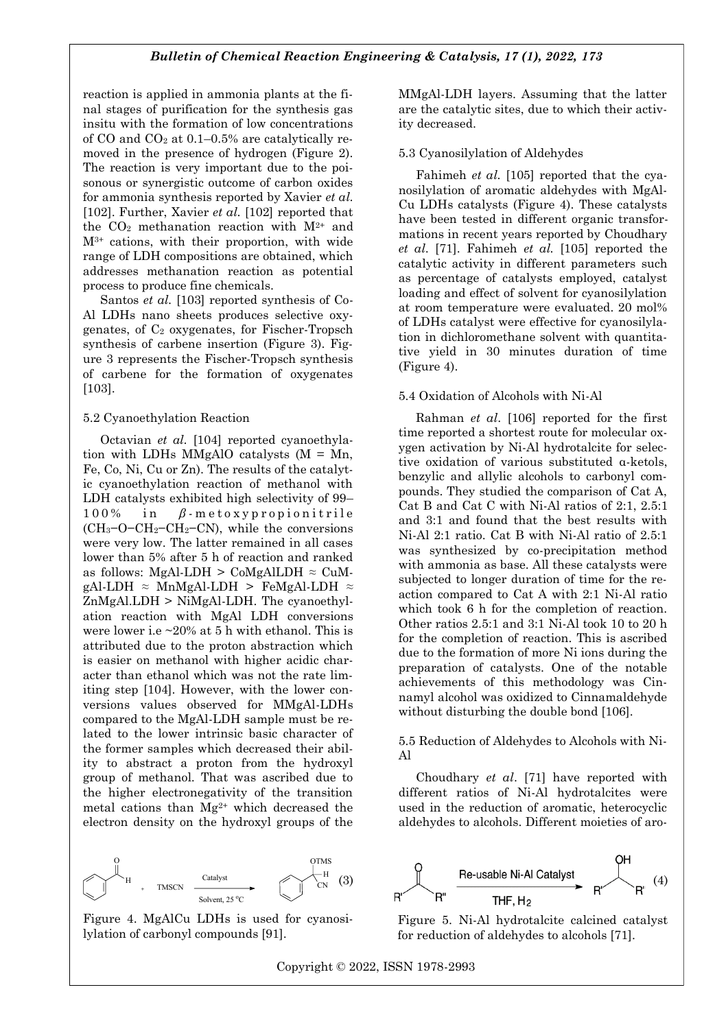reaction is applied in ammonia plants at the final stages of purification for the synthesis gas insitu with the formation of low concentrations of CO and CO<sup>2</sup> at 0.1–0.5% are catalytically removed in the presence of hydrogen (Figure 2). The reaction is very important due to the poisonous or synergistic outcome of carbon oxides for ammonia synthesis reported by Xavier *et al.*  [102]. Further, Xavier *et al.* [102] reported that the  $CO<sub>2</sub>$  methanation reaction with  $M<sup>2+</sup>$  and M3+ cations, with their proportion, with wide range of LDH compositions are obtained, which addresses methanation reaction as potential process to produce fine chemicals.

Santos *et al.* [103] reported synthesis of Co-Al LDHs nano sheets produces selective oxygenates, of  $C_2$  oxygenates, for Fischer-Tropsch synthesis of carbene insertion (Figure 3). Figure 3 represents the Fischer-Tropsch synthesis of carbene for the formation of oxygenates [103].

#### 5.2 Cyanoethylation Reaction

Octavian *et al.* [104] reported cyanoethylation with LDHs MMgAlO catalysts (M = Mn, Fe, Co, Ni, Cu or Zn). The results of the catalytic cyanoethylation reaction of methanol with LDH catalysts exhibited high selectivity of 99– 100% in *β*-metoxypropionitrile (CH3−O−CH2−CH2−CN), while the conversions were very low. The latter remained in all cases lower than 5% after 5 h of reaction and ranked as follows: MgAl-LDH > CoMgAlLDH  $\approx$  CuMgAl-LDH  $\approx$  MnMgAl-LDH  $>$  FeMgAl-LDH  $\approx$ ZnMgAl.LDH > NiMgAl-LDH. The cyanoethylation reaction with MgAl LDH conversions were lower i.e ~20% at 5 h with ethanol. This is attributed due to the proton abstraction which is easier on methanol with higher acidic character than ethanol which was not the rate limiting step [104]. However, with the lower conversions values observed for MMgAl-LDHs compared to the MgAl-LDH sample must be related to the lower intrinsic basic character of the former samples which decreased their ability to abstract a proton from the hydroxyl group of methanol. That was ascribed due to the higher electronegativity of the transition metal cations than Mg2+ which decreased the electron density on the hydroxyl groups of the

$$
\begin{array}{cccc}\n0 & & & & & & & & & & & \\
\hline\n\end{array}
$$

Figure 4. MgAlCu LDHs is used for cyanosilylation of carbonyl compounds [91].

MMgAl-LDH layers. Assuming that the latter are the catalytic sites, due to which their activity decreased.

#### 5.3 Cyanosilylation of Aldehydes

Fahimeh *et al.* [105] reported that the cyanosilylation of aromatic aldehydes with MgAl-Cu LDHs catalysts (Figure 4). These catalysts have been tested in different organic transformations in recent years reported by Choudhary *et al.* [71]. Fahimeh *et al.* [105] reported the catalytic activity in different parameters such as percentage of catalysts employed, catalyst loading and effect of solvent for cyanosilylation at room temperature were evaluated. 20 mol% of LDHs catalyst were effective for cyanosilylation in dichloromethane solvent with quantitative yield in 30 minutes duration of time (Figure 4).

#### 5.4 Oxidation of Alcohols with Ni-Al

Rahman *et al*. [106] reported for the first time reported a shortest route for molecular oxygen activation by Ni-Al hydrotalcite for selective oxidation of various substituted α-ketols, benzylic and allylic alcohols to carbonyl compounds. They studied the comparison of Cat A, Cat B and Cat C with Ni-Al ratios of 2:1, 2.5:1 and 3:1 and found that the best results with Ni-Al 2:1 ratio. Cat B with Ni-Al ratio of 2.5:1 was synthesized by co-precipitation method with ammonia as base. All these catalysts were subjected to longer duration of time for the reaction compared to Cat A with 2:1 Ni-Al ratio which took 6 h for the completion of reaction. Other ratios 2.5:1 and 3:1 Ni-Al took 10 to 20 h for the completion of reaction. This is ascribed due to the formation of more Ni ions during the preparation of catalysts. One of the notable achievements of this methodology was Cinnamyl alcohol was oxidized to Cinnamaldehyde without disturbing the double bond [106].

5.5 Reduction of Aldehydes to Alcohols with Ni-Al

Choudhary *et al*. [71] have reported with different ratios of Ni-Al hydrotalcites were used in the reduction of aromatic, heterocyclic aldehydes to alcohols. Different moieties of aro-

$$
(3)
$$
  $1$   $R''$   $R''$   $1$   $R''$   $R''$   $1$   $R''$   $1$   $R''$   $1$   $R''$   $1$   $R''$   $1$   $R''$   $1$   $R''$   $1$   $R''$   $1$   $R''$   $1$   $R''$   $1$   $R''$   $1$   $R''$   $1$   $R''$   $1$   $R''$   $1$   $R''$   $1$   $R''$   $1$   $R''$   $1$   $R''$   $1$   $R''$   $1$   $R''$   $1$   $R''$   $1$   $R''$   $1$   $R''$   $1$   $R''$   $1$   $R''$   $1$   $R''$   $1$   $R''$   $1$   $R''$   $1$   $R''$   $1$   $R''$   $1$   $R''$   $1$   $R''$   $1$   $R''$   $1$   $R''$   $1$   $R''$   $1$   $R''$   $1$   $R''$   $1$   $R''$   $1$   $R''$   $1$   $R''$   $1$   $R''$   $1$   $R''$   $1$   $R''$   $1$   $R''$   $1$   $R''$   $1$   $R''$   $1$   $R''$   $1$   $R''$   $1$   $R''$   $1$   $R''$   $1$   $R''$   $1$   $R''$ 

Figure 5. Ni-Al hydrotalcite calcined catalyst for reduction of aldehydes to alcohols [71].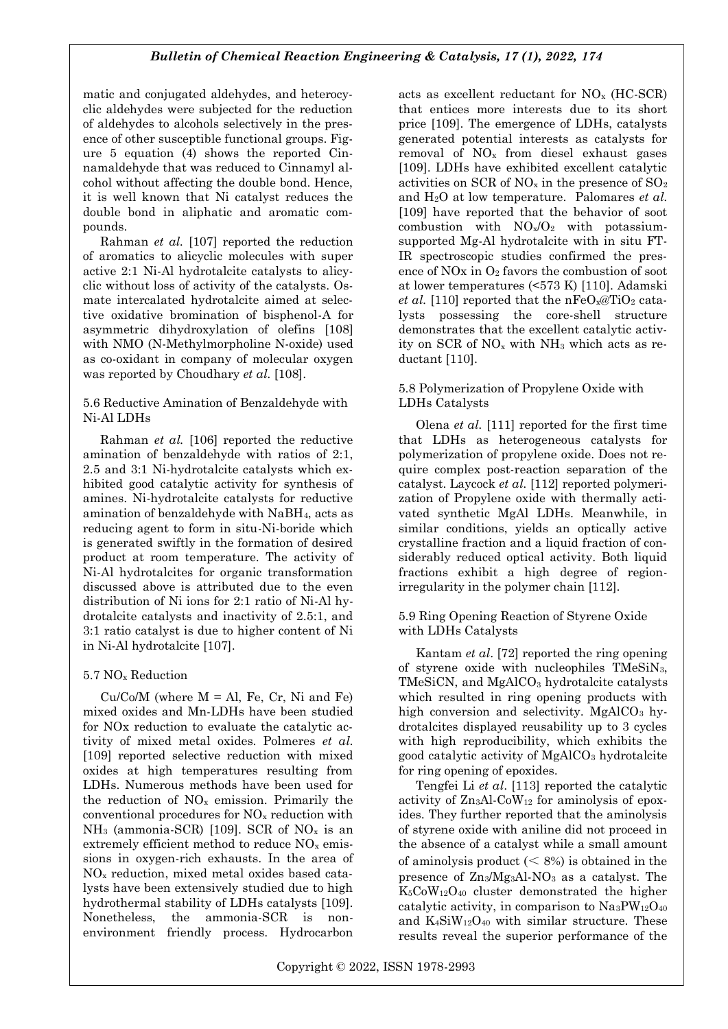matic and conjugated aldehydes, and heterocyclic aldehydes were subjected for the reduction of aldehydes to alcohols selectively in the presence of other susceptible functional groups. Figure 5 equation (4) shows the reported Cinnamaldehyde that was reduced to Cinnamyl alcohol without affecting the double bond. Hence, it is well known that Ni catalyst reduces the double bond in aliphatic and aromatic compounds.

Rahman *et al.* [107] reported the reduction of aromatics to alicyclic molecules with super active 2:1 Ni-Al hydrotalcite catalysts to alicyclic without loss of activity of the catalysts. Osmate intercalated hydrotalcite aimed at selective oxidative bromination of bisphenol-A for asymmetric dihydroxylation of olefins [108] with NMO (N-Methylmorpholine N-oxide) used as co-oxidant in company of molecular oxygen was reported by Choudhary *et al.* [108].

### 5.6 Reductive Amination of Benzaldehyde with Ni-Al LDHs

Rahman *et al.* [106] reported the reductive amination of benzaldehyde with ratios of 2:1, 2.5 and 3:1 Ni-hydrotalcite catalysts which exhibited good catalytic activity for synthesis of amines. Ni-hydrotalcite catalysts for reductive amination of benzaldehyde with NaBH4, acts as reducing agent to form in situ-Ni-boride which is generated swiftly in the formation of desired product at room temperature. The activity of Ni-Al hydrotalcites for organic transformation discussed above is attributed due to the even distribution of Ni ions for 2:1 ratio of Ni-Al hydrotalcite catalysts and inactivity of 2.5:1, and 3:1 ratio catalyst is due to higher content of Ni in Ni-Al hydrotalcite [107].

# 5.7 NO<sup>x</sup> Reduction

 $Cu/Co/M$  (where  $M = Al$ , Fe, Cr, Ni and Fe) mixed oxides and Mn-LDHs have been studied for NOx reduction to evaluate the catalytic activity of mixed metal oxides. Polmeres *et al.* [109] reported selective reduction with mixed oxides at high temperatures resulting from LDHs. Numerous methods have been used for the reduction of NO<sup>x</sup> emission. Primarily the conventional procedures for  $NO<sub>x</sub>$  reduction with  $NH<sub>3</sub>$  (ammonia-SCR) [109]. SCR of NO<sub>x</sub> is an extremely efficient method to reduce  $NO<sub>x</sub>$  emissions in oxygen-rich exhausts. In the area of NO<sup>x</sup> reduction, mixed metal oxides based catalysts have been extensively studied due to high hydrothermal stability of LDHs catalysts [109]. Nonetheless, the ammonia-SCR is nonenvironment friendly process. Hydrocarbon

acts as excellent reductant for  $NO<sub>x</sub>$  (HC-SCR) that entices more interests due to its short price [109]. The emergence of LDHs, catalysts generated potential interests as catalysts for removal of  $NO<sub>x</sub>$  from diesel exhaust gases [109]. LDHs have exhibited excellent catalytic activities on SCR of  $NO<sub>x</sub>$  in the presence of  $SO<sub>2</sub>$ and H2O at low temperature. Palomares *et al.* [109] have reported that the behavior of soot combustion with  $NO<sub>x</sub>/O<sub>2</sub>$  with potassiumsupported Mg-Al hydrotalcite with in situ FT-IR spectroscopic studies confirmed the presence of  $NOx$  in  $O<sub>2</sub>$  favors the combustion of soot at lower temperatures (<573 K) [110]. Adamski *et al.* [110] reported that the  $nFeO_x@TiO_2$  catalysts possessing the core-shell structure demonstrates that the excellent catalytic activity on SCR of  $NO<sub>x</sub>$  with  $NH<sub>3</sub>$  which acts as reductant [110].

### 5.8 Polymerization of Propylene Oxide with LDHs Catalysts

Olena *et al.* [111] reported for the first time that LDHs as heterogeneous catalysts for polymerization of propylene oxide. Does not require complex post-reaction separation of the catalyst. Laycock *et al.* [112] reported polymerization of Propylene oxide with thermally activated synthetic MgAl LDHs. Meanwhile, in similar conditions, yields an optically active crystalline fraction and a liquid fraction of considerably reduced optical activity. Both liquid fractions exhibit a high degree of regionirregularity in the polymer chain [112].

# 5.9 Ring Opening Reaction of Styrene Oxide with LDHs Catalysts

Kantam *et al*. [72] reported the ring opening of styrene oxide with nucleophiles TMeSiN3, TMeSiCN, and MgAlCO<sub>3</sub> hydrotalcite catalysts which resulted in ring opening products with high conversion and selectivity.  $MgAlCO<sub>3</sub>$  hydrotalcites displayed reusability up to 3 cycles with high reproducibility, which exhibits the good catalytic activity of  $MgAlCO<sub>3</sub>$  hydrotalcite for ring opening of epoxides.

Tengfei Li *et al*. [113] reported the catalytic activity of Zn3Al-CoW<sup>12</sup> for aminolysis of epoxides. They further reported that the aminolysis of styrene oxide with aniline did not proceed in the absence of a catalyst while a small amount of aminolysis product  $(< 8\%)$  is obtained in the presence of Zn3/Mg3Al-NO<sup>3</sup> as a catalyst. The  $K_5$ CoW<sub>12</sub>O<sub>40</sub> cluster demonstrated the higher catalytic activity, in comparison to  $Na_3PW_{12}O_{40}$ and  $K_4 \text{Si}W_{12}O_{40}$  with similar structure. These results reveal the superior performance of the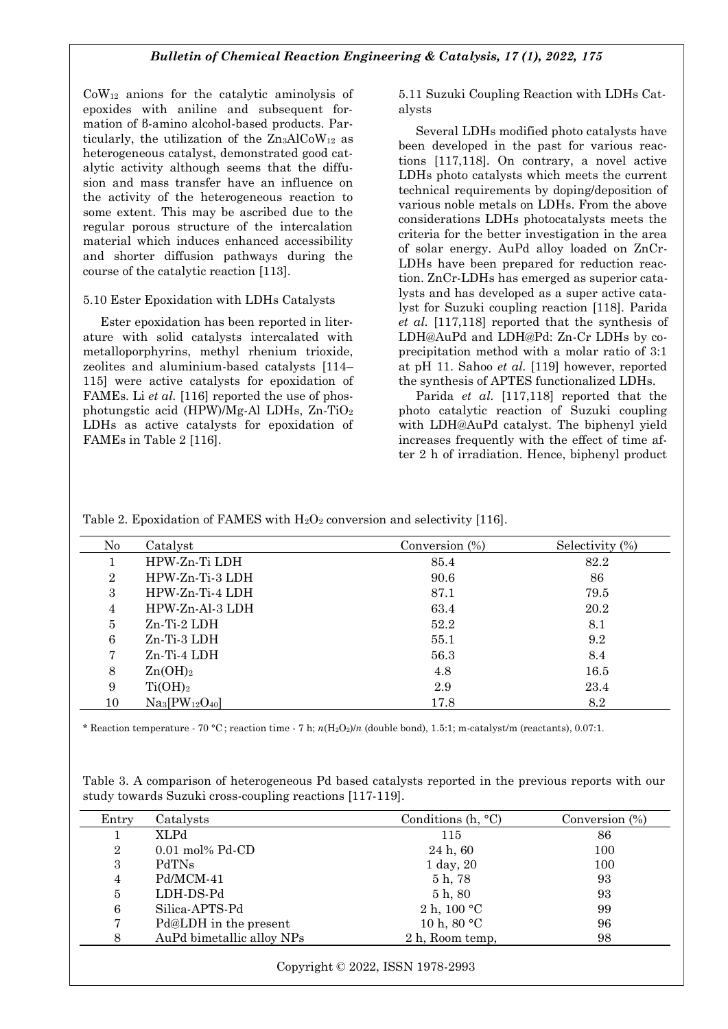CoW<sup>12</sup> anions for the catalytic aminolysis of epoxides with aniline and subsequent formation of β-amino alcohol-based products. Particularly, the utilization of the Zn3AlCoW<sup>12</sup> as heterogeneous catalyst, demonstrated good catalytic activity although seems that the diffusion and mass transfer have an influence on the activity of the heterogeneous reaction to some extent. This may be ascribed due to the regular porous structure of the intercalation material which induces enhanced accessibility and shorter diffusion pathways during the course of the catalytic reaction [113].

#### 5.10 Ester Epoxidation with LDHs Catalysts

Ester epoxidation has been reported in literature with solid catalysts intercalated with metalloporphyrins, methyl rhenium trioxide, zeolites and aluminium-based catalysts [114– 115] were active catalysts for epoxidation of FAMEs. Li *et al.* [116] reported the use of phosphotungstic acid (HPW)/Mg-Al LDHs, Zn-TiO<sup>2</sup> LDHs as active catalysts for epoxidation of FAMEs in Table 2 [116].

5.11 Suzuki Coupling Reaction with LDHs Catalysts

Several LDHs modified photo catalysts have been developed in the past for various reactions [117,118]. On contrary, a novel active LDHs photo catalysts which meets the current technical requirements by doping/deposition of various noble metals on LDHs. From the above considerations LDHs photocatalysts meets the criteria for the better investigation in the area of solar energy. AuPd alloy loaded on ZnCr-LDHs have been prepared for reduction reaction. ZnCr-LDHs has emerged as superior catalysts and has developed as a super active catalyst for Suzuki coupling reaction [118]. Parida *et al.* [117,118] reported that the synthesis of LDH@AuPd and LDH@Pd: Zn-Cr LDHs by coprecipitation method with a molar ratio of 3:1 at pH 11. Sahoo *et al.* [119] however, reported the synthesis of APTES functionalized LDHs.

Parida *et al.* [117,118] reported that the photo catalytic reaction of Suzuki coupling with LDH@AuPd catalyst. The biphenyl yield increases frequently with the effect of time after 2 h of irradiation. Hence, biphenyl product

Table 2. Epoxidation of FAMES with  $H_2O_2$  conversion and selectivity [116].

| $\rm No$       | Catalyst                                      | Conversion $(\%)$ | Selectivity $(\%)$ |
|----------------|-----------------------------------------------|-------------------|--------------------|
|                | HPW-Zn-Ti LDH                                 | 85.4              | 82.2               |
| $\overline{2}$ | $HPW-Zn-Ti-3LDH$                              | 90.6              | 86                 |
| 3              | HPW-Zn-Ti-4 LDH                               | 87.1              | 79.5               |
| 4              | $HPW\text{-}Zn\text{-}Al\text{-}3\text{ L}DH$ | 63.4              | 20.2               |
| $\overline{5}$ | $Zn$ Ti $2$ LDH                               | 52.2              | 8.1                |
| 6              | $Zn$ Ti 3 LDH                                 | 55.1              | 9.2                |
| 7              | $Zn$ -Ti-4 $LDH$                              | 56.3              | 8.4                |
| 8              | Zn(OH) <sub>2</sub>                           | 4.8               | 16.5               |
| 9              | Ti(OH) <sub>2</sub>                           | 2.9               | 23.4               |
| $10\,$         | $Na3[PW12O40]$                                | 17.8              | 8.2                |

\* Reaction temperature - 70 °C ; reaction time - 7 h; *n*(H2O2)/*n* (double bond), 1.5:1; m-catalyst/m (reactants), 0.07:1.

Table 3. A comparison of heterogeneous Pd based catalysts reported in the previous reports with our study towards Suzuki cross-coupling reactions [117-119].

| Entry          | Catalysts                 | Conditions (h, $^{\circ}$ C) | Conversion $(\%)$ |
|----------------|---------------------------|------------------------------|-------------------|
|                | <b>XLPd</b>               | 115                          | 86                |
| $\overline{2}$ | $0.01$ mol% Pd-CD         | 24 h, 60                     | 100               |
| 3              | PdTNs                     | $1$ day, $20$                | 100               |
| $\overline{4}$ | Pd/MCM-41                 | 5 h, 78                      | 93                |
| 5              | LDH-DS-Pd                 | 5h, 80                       | 93                |
| 6              | Silica-APTS-Pd            | 2 h, $100 °C$                | 99                |
| 7              | Pd@LDH in the present     | 10 h, 80 $\degree$ C         | 96                |
| 8              | AuPd bimetallic alloy NPs | 2 h, Room temp,              | 98                |
|                |                           |                              |                   |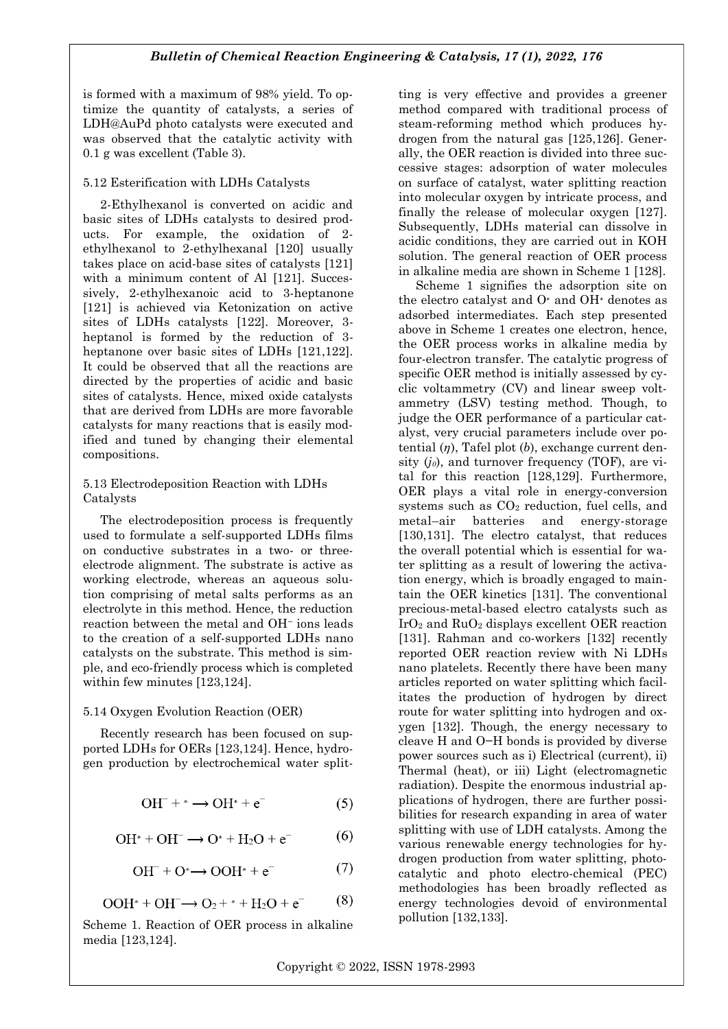is formed with a maximum of 98% yield. To optimize the quantity of catalysts, a series of LDH@AuPd photo catalysts were executed and was observed that the catalytic activity with 0.1 g was excellent (Table 3).

#### 5.12 Esterification with LDHs Catalysts

2-Ethylhexanol is converted on acidic and basic sites of LDHs catalysts to desired products. For example, the oxidation of 2 ethylhexanol to 2-ethylhexanal [120] usually takes place on acid-base sites of catalysts [121] with a minimum content of Al [121]. Successively, 2-ethylhexanoic acid to 3-heptanone [121] is achieved via Ketonization on active sites of LDHs catalysts [122]. Moreover, 3 heptanol is formed by the reduction of 3 heptanone over basic sites of LDHs [121,122]. It could be observed that all the reactions are directed by the properties of acidic and basic sites of catalysts. Hence, mixed oxide catalysts that are derived from LDHs are more favorable catalysts for many reactions that is easily modified and tuned by changing their elemental compositions.

### 5.13 Electrodeposition Reaction with LDHs Catalysts

The electrodeposition process is frequently used to formulate a self-supported LDHs films on conductive substrates in a two- or threeelectrode alignment. The substrate is active as working electrode, whereas an aqueous solution comprising of metal salts performs as an electrolyte in this method. Hence, the reduction reaction between the metal and OH<sup>−</sup> ions leads to the creation of a self-supported LDHs nano catalysts on the substrate. This method is simple, and eco-friendly process which is completed within few minutes [123,124].

# 5.14 Oxygen Evolution Reaction (OER)

Recently research has been focused on supported LDHs for OERs [123,124]. Hence, hydrogen production by electrochemical water split-

$$
\text{OH}^- + ^* \longrightarrow \text{OH}^* + \text{e}^- \tag{5}
$$

$$
\text{OH}^* + \text{OH}^- \longrightarrow \text{O}^* + \text{H}_2\text{O} + \text{e}^- \tag{6}
$$

$$
\text{OH}^- + \text{O}^* \longrightarrow \text{OOH}^* + \text{e}^- \tag{7}
$$

$$
OOH^* + OH^- \to O_2 + ^* + H_2O + e^-
$$
 (8)

pollution [132,133]. Scheme 1. Reaction of OER process in alkaline media [123,124].

ting is very effective and provides a greener method compared with traditional process of steam-reforming method which produces hydrogen from the natural gas [125,126]. Generally, the OER reaction is divided into three successive stages: adsorption of water molecules on surface of catalyst, water splitting reaction into molecular oxygen by intricate process, and finally the release of molecular oxygen [127]. Subsequently, LDHs material can dissolve in acidic conditions, they are carried out in KOH solution. The general reaction of OER process in alkaline media are shown in Scheme 1 [128].

Scheme 1 signifies the adsorption site on the electro catalyst and O<sup>∗</sup> and OH<sup>∗</sup> denotes as adsorbed intermediates. Each step presented above in Scheme 1 creates one electron, hence, the OER process works in alkaline media by four-electron transfer. The catalytic progress of specific OER method is initially assessed by cyclic voltammetry (CV) and linear sweep voltammetry (LSV) testing method. Though, to judge the OER performance of a particular catalyst, very crucial parameters include over potential (*η*), Tafel plot (*b*), exchange current density (*j0*), and turnover frequency (TOF), are vital for this reaction [128,129]. Furthermore, OER plays a vital role in energy-conversion systems such as CO<sup>2</sup> reduction, fuel cells, and metal–air batteries and energy-storage [130,131]. The electro catalyst, that reduces the overall potential which is essential for water splitting as a result of lowering the activation energy, which is broadly engaged to maintain the OER kinetics [131]. The conventional precious-metal-based electro catalysts such as  $IrO<sub>2</sub>$  and  $RuO<sub>2</sub>$  displays excellent OER reaction [131]. Rahman and co-workers [132] recently reported OER reaction review with Ni LDHs nano platelets. Recently there have been many articles reported on water splitting which facilitates the production of hydrogen by direct route for water splitting into hydrogen and oxygen [132]. Though, the energy necessary to cleave H and O−H bonds is provided by diverse power sources such as i) Electrical (current), ii) Thermal (heat), or iii) Light (electromagnetic radiation). Despite the enormous industrial applications of hydrogen, there are further possibilities for research expanding in area of water splitting with use of LDH catalysts. Among the various renewable energy technologies for hydrogen production from water splitting, photocatalytic and photo electro-chemical (PEC) methodologies has been broadly reflected as energy technologies devoid of environmental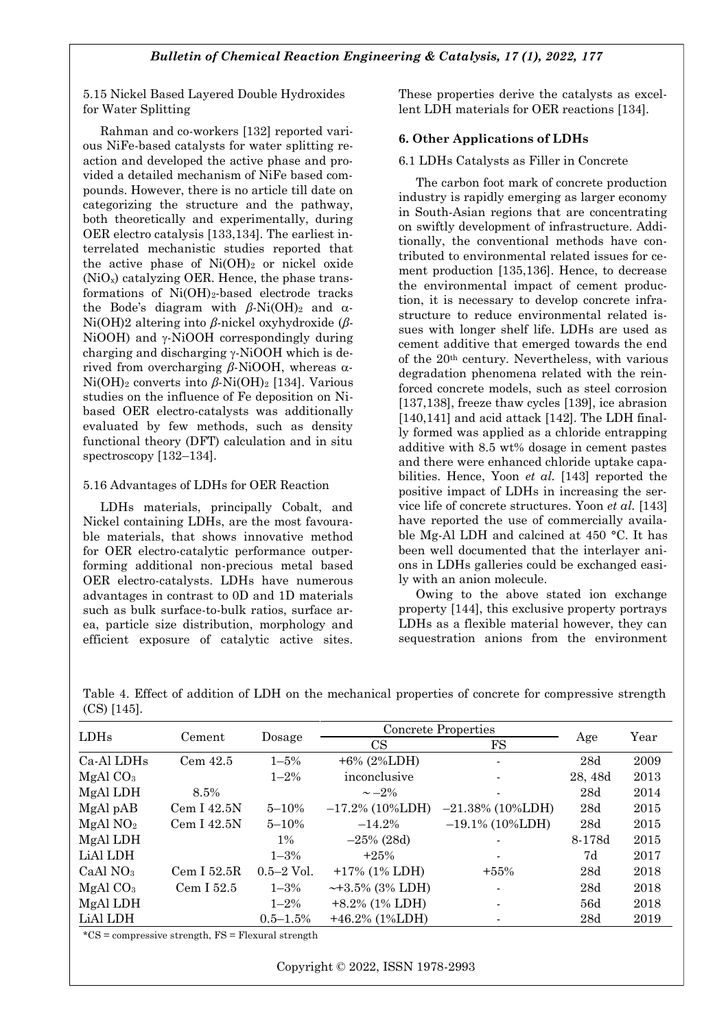5.15 Nickel Based Layered Double Hydroxides for Water Splitting

Rahman and co-workers [132] reported various NiFe-based catalysts for water splitting reaction and developed the active phase and provided a detailed mechanism of NiFe based compounds. However, there is no article till date on categorizing the structure and the pathway, both theoretically and experimentally, during OER electro catalysis [133,134]. The earliest interrelated mechanistic studies reported that the active phase of  $Ni(OH)<sub>2</sub>$  or nickel oxide  $(NiO<sub>x</sub>)$  catalyzing OER. Hence, the phase transformations of  $Ni(OH)_2$ -based electrode tracks the Bode's diagram with  $β$ -Ni(OH)<sub>2</sub> and  $α$ -Ni(OH)2 altering into *β*-nickel oxyhydroxide (*β*-NiOOH) and  $\gamma$ -NiOOH correspondingly during charging and discharging  $\gamma$ -NiOOH which is derived from overcharging  $β$ -NiOOH, whereas  $α$ -Ni(OH)<sup>2</sup> converts into *β*-Ni(OH)<sup>2</sup> [134]. Various studies on the influence of Fe deposition on Nibased OER electro-catalysts was additionally evaluated by few methods, such as density functional theory (DFT) calculation and in situ spectroscopy [132–134].

#### 5.16 Advantages of LDHs for OER Reaction

LDHs materials, principally Cobalt, and Nickel containing LDHs, are the most favourable materials, that shows innovative method for OER electro-catalytic performance outperforming additional non-precious metal based OER electro-catalysts. LDHs have numerous advantages in contrast to 0D and 1D materials such as bulk surface-to-bulk ratios, surface area, particle size distribution, morphology and efficient exposure of catalytic active sites.

These properties derive the catalysts as excellent LDH materials for OER reactions [134].

#### **6. Other Applications of LDHs**

#### 6.1 LDHs Catalysts as Filler in Concrete

The carbon foot mark of concrete production industry is rapidly emerging as larger economy in South-Asian regions that are concentrating on swiftly development of infrastructure. Additionally, the conventional methods have contributed to environmental related issues for cement production [135,136]. Hence, to decrease the environmental impact of cement production, it is necessary to develop concrete infrastructure to reduce environmental related issues with longer shelf life. LDHs are used as cement additive that emerged towards the end of the 20th century. Nevertheless, with various degradation phenomena related with the reinforced concrete models, such as steel corrosion [137,138], freeze thaw cycles [139], ice abrasion [140,141] and acid attack [142]. The LDH finally formed was applied as a chloride entrapping additive with 8.5 wt% dosage in cement pastes and there were enhanced chloride uptake capabilities. Hence, Yoon *et al.* [143] reported the positive impact of LDHs in increasing the service life of concrete structures. Yoon *et al.* [143] have reported the use of commercially available Mg-Al LDH and calcined at 450 °C. It has been well documented that the interlayer anions in LDHs galleries could be exchanged easily with an anion molecule.

Owing to the above stated ion exchange property [144], this exclusive property portrays LDHs as a flexible material however, they can sequestration anions from the environment

Table 4. Effect of addition of LDH on the mechanical properties of concrete for compressive strength (CS) [145].

|                      |                                                                       |                |                       | Concrete Properties |         |      |
|----------------------|-----------------------------------------------------------------------|----------------|-----------------------|---------------------|---------|------|
| <b>LDHs</b>          | Cement                                                                | Dosage         | CS                    | FS                  | Age     | Year |
| Ca-Al LDHs           | Cem $42.5$                                                            | $1 - 5\%$      | $+6\%$ (2%LDH)        |                     | 28d     | 2009 |
| MgAl CO <sub>3</sub> |                                                                       | $1 - 2\%$      | inconclusive          |                     | 28, 48d | 2013 |
| MgAl LDH             | 8.5%                                                                  |                | $\sim -2\%$           |                     | 28d     | 2014 |
| MgAl pAB             | Cem I 42.5N                                                           | $5 - 10\%$     | $-17.2\%$ (10%LDH)    | $-21.38\%$ (10%LDH) | 28d     | 2015 |
| MgAl NO <sub>2</sub> | Cem I $42.5N$                                                         | $5 - 10\%$     | $-14.2\%$             | $-19.1\%$ (10%LDH)  | 28d     | 2015 |
| MgAl LDH             |                                                                       | $1\%$          | $-25\%$ (28d)         |                     | 8-178d  | 2015 |
| LiAl LDH             |                                                                       | $1 - 3\%$      | $+25%$                |                     | 7d      | 2017 |
| CaAl NO <sub>3</sub> | Cem I $52.5R$                                                         | $0.5 - 2$ Vol. | $+17\%$ (1% LDH)      | $+55%$              | 28d     | 2018 |
| MgAl CO <sub>3</sub> | Cem I $52.5$                                                          | $1 - 3\%$      | $\sim$ +3.5% (3% LDH) |                     | 28d     | 2018 |
| MgAl LDH             |                                                                       | $1 - 2\%$      | $+8.2\%$ (1% LDH)     |                     | 56d     | 2018 |
| LiAl LDH             |                                                                       | $0.5 - 1.5\%$  | $+46.2\%$ (1%LDH)     |                     | 28d     | 2019 |
|                      | $SCS = \text{compressive strength}$ , $FS = \text{Flexural strength}$ |                |                       |                     |         |      |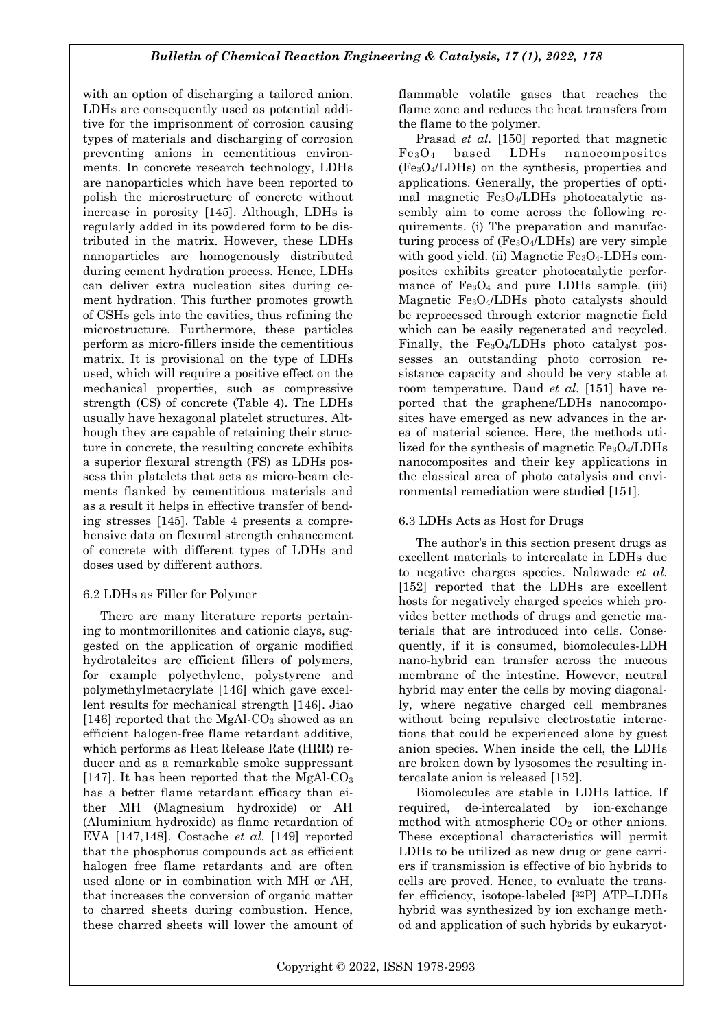with an option of discharging a tailored anion. LDHs are consequently used as potential additive for the imprisonment of corrosion causing types of materials and discharging of corrosion preventing anions in cementitious environments. In concrete research technology, LDHs are nanoparticles which have been reported to polish the microstructure of concrete without increase in porosity [145]. Although, LDHs is regularly added in its powdered form to be distributed in the matrix. However, these LDHs nanoparticles are homogenously distributed during cement hydration process. Hence, LDHs can deliver extra nucleation sites during cement hydration. This further promotes growth of CSHs gels into the cavities, thus refining the microstructure. Furthermore, these particles perform as micro-fillers inside the cementitious matrix. It is provisional on the type of LDHs used, which will require a positive effect on the mechanical properties, such as compressive strength (CS) of concrete (Table 4). The LDHs usually have hexagonal platelet structures. Although they are capable of retaining their structure in concrete, the resulting concrete exhibits a superior flexural strength (FS) as LDHs possess thin platelets that acts as micro-beam elements flanked by cementitious materials and as a result it helps in effective transfer of bending stresses [145]. Table 4 presents a comprehensive data on flexural strength enhancement of concrete with different types of LDHs and doses used by different authors.

# 6.2 LDHs as Filler for Polymer

There are many literature reports pertaining to montmorillonites and cationic clays, suggested on the application of organic modified hydrotalcites are efficient fillers of polymers, for example polyethylene, polystyrene and polymethylmetacrylate [146] which gave excellent results for mechanical strength [146]. Jiao [146] reported that the MgAl-CO<sub>3</sub> showed as an efficient halogen-free flame retardant additive, which performs as Heat Release Rate (HRR) reducer and as a remarkable smoke suppressant [147]. It has been reported that the MgAl- $CO<sub>3</sub>$ has a better flame retardant efficacy than either MH (Magnesium hydroxide) or AH (Aluminium hydroxide) as flame retardation of EVA [147,148]. Costache *et al.* [149] reported that the phosphorus compounds act as efficient halogen free flame retardants and are often used alone or in combination with MH or AH, that increases the conversion of organic matter to charred sheets during combustion. Hence, these charred sheets will lower the amount of flammable volatile gases that reaches the flame zone and reduces the heat transfers from the flame to the polymer.

Prasad *et al.* [150] reported that magnetic Fe3O<sup>4</sup> based LDHs nanocomposites (Fe3O4/LDHs) on the synthesis, properties and applications. Generally, the properties of optimal magnetic Fe3O4/LDHs photocatalytic assembly aim to come across the following requirements. (i) The preparation and manufacturing process of (Fe3O4/LDHs) are very simple with good yield. (ii) Magnetic  $Fe<sub>3</sub>O<sub>4</sub>$ -LDHs composites exhibits greater photocatalytic performance of  $Fe<sub>3</sub>O<sub>4</sub>$  and pure LDHs sample. (iii) Magnetic Fe3O4/LDHs photo catalysts should be reprocessed through exterior magnetic field which can be easily regenerated and recycled. Finally, the Fe3O4/LDHs photo catalyst possesses an outstanding photo corrosion resistance capacity and should be very stable at room temperature. Daud *et al*. [151] have reported that the graphene/LDHs nanocomposites have emerged as new advances in the area of material science. Here, the methods utilized for the synthesis of magnetic Fe3O4/LDHs nanocomposites and their key applications in the classical area of photo catalysis and environmental remediation were studied [151].

# 6.3 LDHs Acts as Host for Drugs

The author's in this section present drugs as excellent materials to intercalate in LDHs due to negative charges species. Nalawade *et al.* [152] reported that the LDHs are excellent hosts for negatively charged species which provides better methods of drugs and genetic materials that are introduced into cells. Consequently, if it is consumed, biomolecules-LDH nano-hybrid can transfer across the mucous membrane of the intestine. However, neutral hybrid may enter the cells by moving diagonally, where negative charged cell membranes without being repulsive electrostatic interactions that could be experienced alone by guest anion species. When inside the cell, the LDHs are broken down by lysosomes the resulting intercalate anion is released [152].

Biomolecules are stable in LDHs lattice. If required, de-intercalated by ion-exchange method with atmospheric  $CO<sub>2</sub>$  or other anions. These exceptional characteristics will permit LDHs to be utilized as new drug or gene carriers if transmission is effective of bio hybrids to cells are proved. Hence, to evaluate the transfer efficiency, isotope-labeled [32P] ATP–LDHs hybrid was synthesized by ion exchange method and application of such hybrids by eukaryot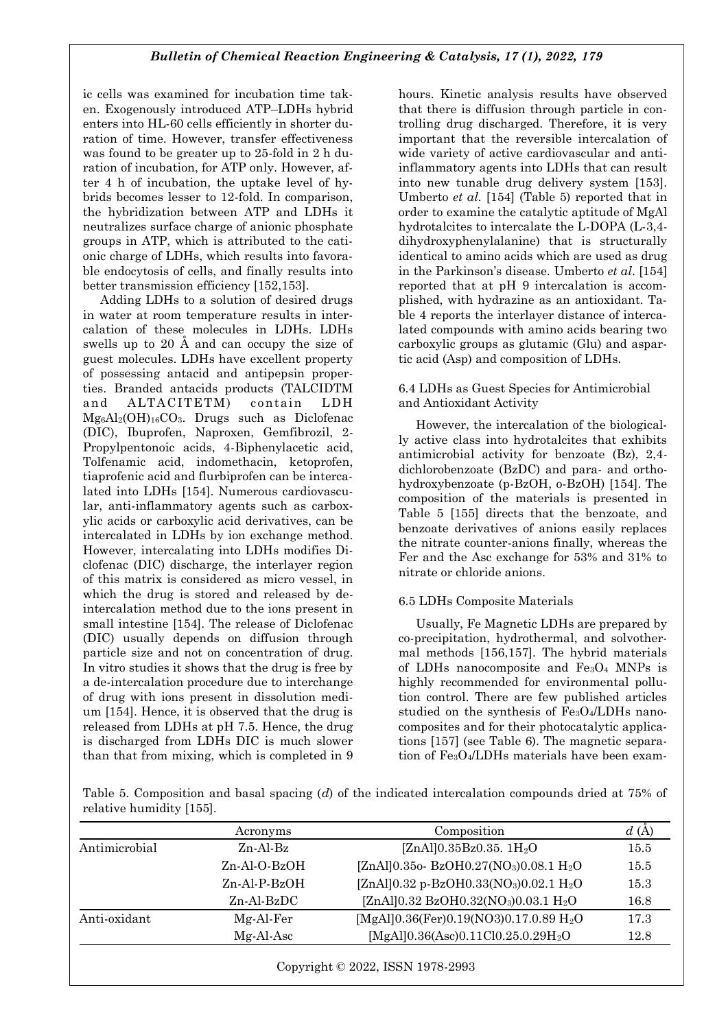ic cells was examined for incubation time taken. Exogenously introduced ATP–LDHs hybrid enters into HL-60 cells efficiently in shorter duration of time. However, transfer effectiveness was found to be greater up to 25-fold in 2 h duration of incubation, for ATP only. However, after 4 h of incubation, the uptake level of hybrids becomes lesser to 12-fold. In comparison, the hybridization between ATP and LDHs it neutralizes surface charge of anionic phosphate groups in ATP, which is attributed to the cationic charge of LDHs, which results into favorable endocytosis of cells, and finally results into better transmission efficiency [152,153].

Adding LDHs to a solution of desired drugs in water at room temperature results in intercalation of these molecules in LDHs. LDHs swells up to 20 Å and can occupy the size of guest molecules. LDHs have excellent property of possessing antacid and antipepsin properties. Branded antacids products (TALCIDTM and ALTACITETM) contain LDH Mg6Al2(OH)16CO3. Drugs such as Diclofenac (DIC), Ibuprofen, Naproxen, Gemfibrozil, 2- Propylpentonoic acids, 4-Biphenylacetic acid, Tolfenamic acid, indomethacin, ketoprofen, tiaprofenic acid and flurbiprofen can be intercalated into LDHs [154]. Numerous cardiovascular, anti-inflammatory agents such as carboxylic acids or carboxylic acid derivatives, can be intercalated in LDHs by ion exchange method. However, intercalating into LDHs modifies Diclofenac (DIC) discharge, the interlayer region of this matrix is considered as micro vessel, in which the drug is stored and released by deintercalation method due to the ions present in small intestine [154]. The release of Diclofenac (DIC) usually depends on diffusion through particle size and not on concentration of drug. In vitro studies it shows that the drug is free by a de-intercalation procedure due to interchange of drug with ions present in dissolution medium [154]. Hence, it is observed that the drug is released from LDHs at pH 7.5. Hence, the drug is discharged from LDHs DIC is much slower than that from mixing, which is completed in 9 hours. Kinetic analysis results have observed that there is diffusion through particle in controlling drug discharged. Therefore, it is very important that the reversible intercalation of wide variety of active cardiovascular and antiinflammatory agents into LDHs that can result into new tunable drug delivery system [153]. Umberto *et al.* [154] (Table 5) reported that in order to examine the catalytic aptitude of MgAl hydrotalcites to intercalate the L-DOPA (L-3,4 dihydroxyphenylalanine) that is structurally identical to amino acids which are used as drug in the Parkinson's disease. Umberto *et al*. [154] reported that at pH 9 intercalation is accomplished, with hydrazine as an antioxidant. Table 4 reports the interlayer distance of intercalated compounds with amino acids bearing two carboxylic groups as glutamic (Glu) and aspartic acid (Asp) and composition of LDHs.

### 6.4 LDHs as Guest Species for Antimicrobial and Antioxidant Activity

However, the intercalation of the biologically active class into hydrotalcites that exhibits antimicrobial activity for benzoate (Bz), 2,4 dichlorobenzoate (BzDC) and para- and orthohydroxybenzoate (p-BzOH, o-BzOH) [154]. The composition of the materials is presented in Table 5 [155] directs that the benzoate, and benzoate derivatives of anions easily replaces the nitrate counter-anions finally, whereas the Fer and the Asc exchange for 53% and 31% to nitrate or chloride anions.

# 6.5 LDHs Composite Materials

Usually, Fe Magnetic LDHs are prepared by co-precipitation, hydrothermal, and solvothermal methods [156,157]. The hybrid materials of LDHs nanocomposite and  $Fe<sub>3</sub>O<sub>4</sub>$  MNPs is highly recommended for environmental pollution control. There are few published articles studied on the synthesis of Fe3O4/LDHs nanocomposites and for their photocatalytic applications [157] (see Table 6). The magnetic separation of Fe3O4/LDHs materials have been exam-

Table 5. Composition and basal spacing (*d*) of the indicated intercalation compounds dried at 75% of relative humidity [155].

|               | Acronyms        | Composition                                                              | d(A) |
|---------------|-----------------|--------------------------------------------------------------------------|------|
| Antimicrobial | $Zn$ -Al-Bz     | [ZnAl] $0.35Bz0.35.1H2O$                                                 | 15.5 |
|               | $Zn$ -Al-O-BzOH | [ZnAl]0.35o- BzOH0.27(NO <sub>3</sub> )0.08.1 H <sub>2</sub> O           | 15.5 |
|               | Zn Al P BzOH    | [ZnAl] $0.32$ p-BzOH $0.33$ (NO <sub>3</sub> ) $0.02.1$ H <sub>2</sub> O | 15.3 |
|               | Zn-Al-BzDC      | [ZnAl]0.32 BzOH0.32(NO <sub>3</sub> )0.03.1 H <sub>2</sub> O             | 16.8 |
| Anti-oxidant  | $Mg$ -Al-Fer    | [MgAl]0.36(Fer)0.19(NO3)0.17.0.89 $H_2O$                                 | 17.3 |
|               | $Mg$ -Al-Asc    | [MgAl]0.36(Asc)0.11Cl0.25.0.29H <sub>2</sub> O                           | 12.8 |
|               |                 | Copyright © 2022, ISSN 1978-2993                                         |      |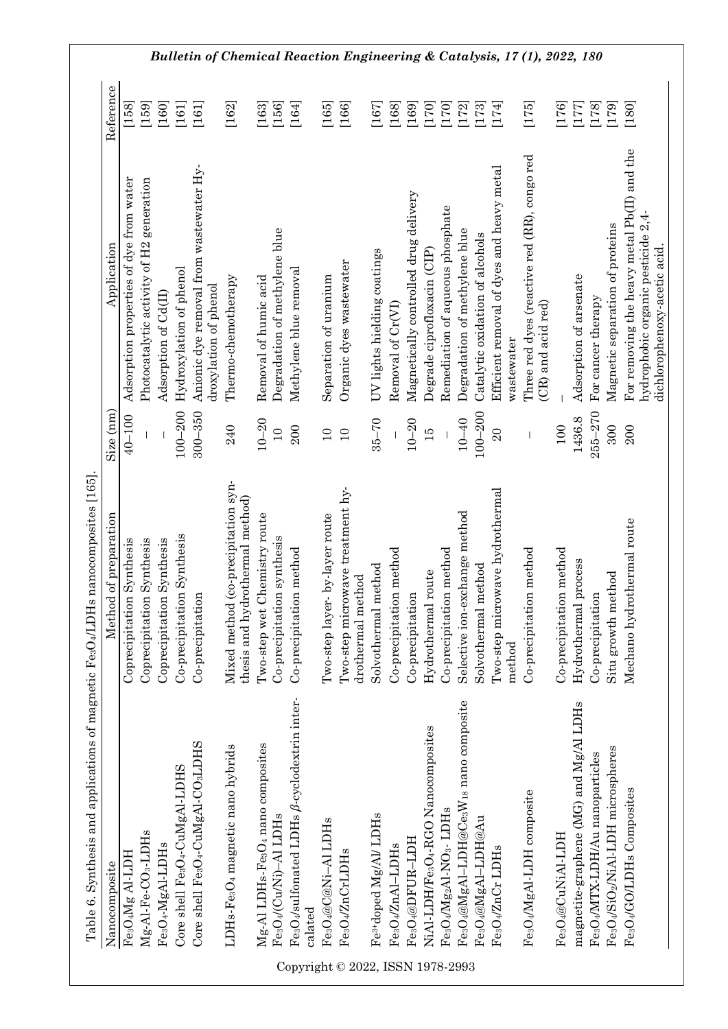| ֧֖֖֦֪֦֪֦֪֦֖֪֦֚֝֝֝֝֝֝֝֬֝֝֓֝֝֝֬֝֓֝֝֓֝֟֝֝<br>֧֪֦֧֦֦֦֦֧֖֧֚֚֚֚֚֚֚֚֚֚֚֚֚֚֝֝֝֝֬֝֬֝<br>֧֪֪֧֧֖֖֖֖֖֖֖֪֧֦֦֖֖֧֧֧֚֚֚֚֚֚֚֚֚֚֚֚֚֚֚֚֚֚֝֝֬֝֬֝֝֘֝֬֝֬֝֬֝֬֝֬֝֬֝֬֝<br>$\frac{1}{2}$ |  |
|----------------------------------------------------------------------------------------------------------------------------------------------------------------|--|
|                                                                                                                                                                |  |
|                                                                                                                                                                |  |
|                                                                                                                                                                |  |
| さんりょう こうりょう<br>;<br>;<br>;<br>せいこうこう うりょう                                                                                                                      |  |
| 5<br>5<br>5<br>5                                                                                                                                               |  |
|                                                                                                                                                                |  |
| '<br> <br> <br>í                                                                                                                                               |  |

| Nanocomposite                                                                           | Method of preparation                                                  | Size (nm)                             | Application                                                                                                       | Reference |
|-----------------------------------------------------------------------------------------|------------------------------------------------------------------------|---------------------------------------|-------------------------------------------------------------------------------------------------------------------|-----------|
| $\mathrm{Fe_{3}O_{4}Mg}$ Al-LDH                                                         | Coprecipitation Synthesis                                              | $40 - 100$                            | Adsorption properties of dye from water                                                                           | [158]     |
| $Mg$ -Al-Fe-CO <sub>3</sub> -LDHs                                                       | Coprecipitation Synthesis                                              |                                       | Photocatalytic activity of H2 generation                                                                          | [159]     |
| Fe <sub>3</sub> O <sub>4</sub> -MgAl-LDH <sub>S</sub>                                   | Coprecipitation Synthesis                                              |                                       | Adsorption of Cd(II)                                                                                              | $[160]$   |
| Core shell Fe <sub>3</sub> O <sub>4</sub> -CuMgAl-LDHS                                  | Co-precipitation Synthesis                                             | $100 - 200$                           | Hydroxylation of phenol                                                                                           | $[161]$   |
| Core shell $\rm Fe_3O_4$ -CuMgAl-CO <sub>3</sub> LDHS                                   | Co-precipitation                                                       | $300 - 350$                           | Anionic dye removal from wastewater Hy-<br>droxylation of phenol                                                  | $[161]$   |
| LDHs-Fe <sub>3</sub> O <sub>4</sub> magnetic nano hybrids                               | Mixed method (co-precipitation syn-<br>thesis and hydrothermal method) | 240                                   | Thermo-chemotherapy                                                                                               | $[162]$   |
| Mg-Al LDHs-Fe <sub>3</sub> O <sub>4</sub> nano composites                               | Two-step wet Chemistry route                                           | $10 - 20$                             | Removal of humic acid                                                                                             | $[163]$   |
| $Fe_3O_4$ /(Cu/Ni)-Al LDHs                                                              | Co-precipitation synthesis                                             | $\overline{10}$                       | Degradation of methylene blue                                                                                     | [156]     |
| $Fe3O4/sulfonated LDHs \beta-cyclodextrin inter-$<br>calated                            | Co-precipitation method                                                | 200                                   | Methylene blue removal                                                                                            | [164]     |
| $\mbox{Fe}_3\mbox{O}_4@C@Ni\mbox{-}Al$ LDHs                                             | Two-step layer-by-layer route                                          | $\overline{10}$                       | Separation of uranium                                                                                             | [165]     |
| $Fe_3O_4$ /Zn $CrLDEs$                                                                  | Two-step microwave treatment hy-<br>drothermal method                  | $\overline{10}$                       | Organic dyes wastewater                                                                                           | $[166]$   |
| Fe <sup>3+</sup> doped Mg/Al/ LDH <sub>s</sub>                                          | Solvothermal method                                                    | $35 - 70$                             | UV lights hielding coatings                                                                                       | [167]     |
| $Fe3O4/ZnAl-LDHS$                                                                       | Co-precipitation method                                                |                                       | Removal of Cr(VI)                                                                                                 | [168]     |
| $Fe_3O_4@DFUR-LDH$                                                                      | Co-precipitation                                                       | $10 - 20$                             | Magnetically controlled drug delivery                                                                             | $[169]$   |
| NiAl-LDH/Fe <sub>3</sub> O <sub>4</sub> -RGO Nanocomposites                             | Hydrothermal route                                                     | $\frac{5}{2}$                         | $\rm Degrad$ e ciprofloxacin ( $\rm CIP$ )                                                                        | $[170]$   |
| $Fe3O4/Mg2A1-NO3$ - LDHs                                                                | Co-precipitation method                                                |                                       | Remediation of aqueous phosphate                                                                                  | [170]     |
| Fe <sub>3</sub> O <sub>4</sub> @MgAl-LDH@Ce <sub>3</sub> W <sub>18</sub> nano composite | Selective ion-exchange method                                          | $10 - 40$                             | Degradation of methylene blue                                                                                     | [172]     |
| $Fe_3O_4@MgAl-LDH@Au$                                                                   | Solvothermal method                                                    | $100 - 200$                           | Catalytic oxidation of alcohols                                                                                   | [173]     |
| Fe <sub>3</sub> O <sub>4</sub> /ZnCr LDH <sub>s</sub>                                   | Two-step microwave hydrothermal<br>method                              | 20                                    | Efficient removal of dyes and heavy metal<br>wastewater                                                           | [174]     |
| Fe <sub>3</sub> O <sub>4</sub> /MgAl-LDH composite                                      | Co-precipitation method                                                | $\begin{array}{c} \hline \end{array}$ | Three red dyes (reactive red (RR), congo red<br>(CR) and acid red)                                                | [175]     |
| $Fe_3O_4@CuNiAl-LDH$                                                                    | Co-precipitation method                                                | 100                                   |                                                                                                                   | [176]     |
| magnetite-graphene (MG) and Mg/Al LDHs                                                  | Hydrothermal process                                                   | 1436.8                                | Adsorption of arsenate                                                                                            | $[177]$   |
| Fe <sub>3</sub> O <sub>4</sub> /MTX-LDH/Au nanoparticles                                | Co-precipitation                                                       | $255 - 270$                           | For cancer therapy                                                                                                | [178]     |
| Fe <sub>3</sub> O <sub>4</sub> /SiO <sub>2</sub> /NiAl-LDH microspheres                 | Situ growth method                                                     | 300                                   | Magnetic separation of proteins                                                                                   | $[179]$   |
| Fe <sub>3</sub> O <sub>4</sub> /GO/LDH <sub>s</sub> Composites                          | Mechano hydrothermal route                                             | 200                                   | For removing the heavy metal Pb(II) and the<br>hydrophobic organic pesticide 2,4-<br>dichlorophenoxy-acetic acid. | [180]     |
|                                                                                         |                                                                        |                                       |                                                                                                                   |           |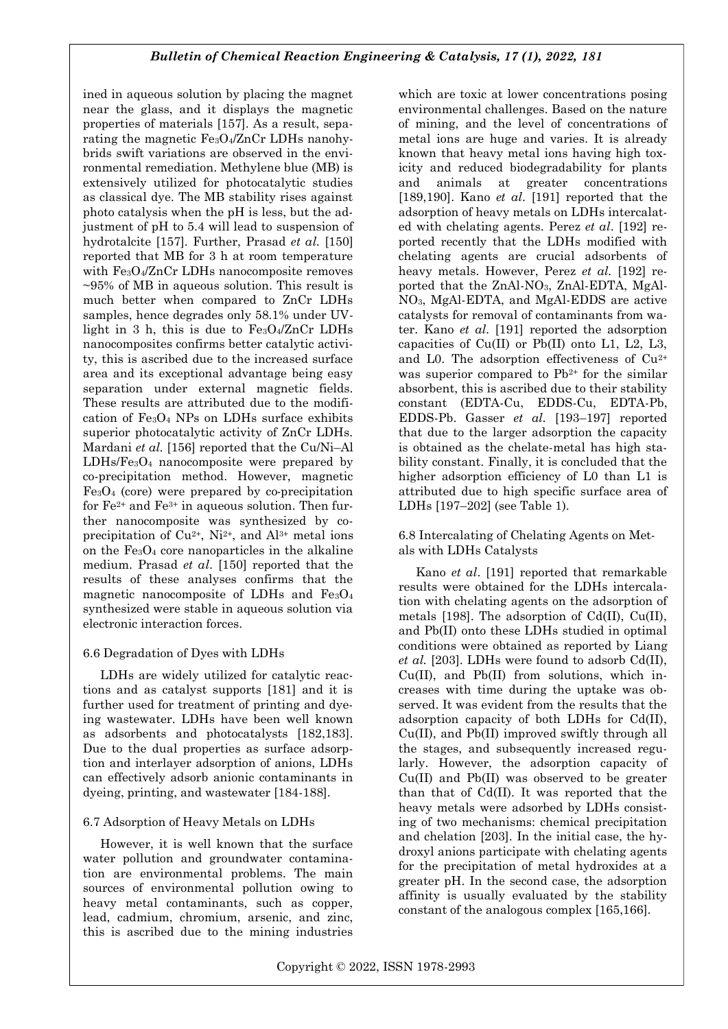ined in aqueous solution by placing the magnet near the glass, and it displays the magnetic properties of materials [157]. As a result, separating the magnetic Fe3O4/ZnCr LDHs nanohybrids swift variations are observed in the environmental remediation. Methylene blue (MB) is extensively utilized for photocatalytic studies as classical dye. The MB stability rises against photo catalysis when the pH is less, but the adjustment of pH to 5.4 will lead to suspension of hydrotalcite [157]. Further, Prasad *et al.* [150] reported that MB for 3 h at room temperature with Fe<sub>3</sub>O<sub>4</sub>/ZnCr LDHs nanocomposite removes ~95% of MB in aqueous solution. This result is much better when compared to ZnCr LDHs samples, hence degrades only 58.1% under UVlight in 3 h, this is due to  $Fe<sub>3</sub>O<sub>4</sub>/ZnCr$  LDHs nanocomposites confirms better catalytic activity, this is ascribed due to the increased surface area and its exceptional advantage being easy separation under external magnetic fields. These results are attributed due to the modification of Fe3O<sup>4</sup> NPs on LDHs surface exhibits superior photocatalytic activity of ZnCr LDHs. Mardani *et al.* [156] reported that the Cu/Ni–Al LDHs/Fe3O<sup>4</sup> nanocomposite were prepared by co-precipitation method. However, magnetic  $Fe<sub>3</sub>O<sub>4</sub>$  (core) were prepared by co-precipitation for  $Fe^{2+}$  and  $Fe^{3+}$  in aqueous solution. Then further nanocomposite was synthesized by coprecipitation of  $Cu^{2+}$ , Ni<sup>2+</sup>, and Al<sup>3+</sup> metal ions on the  $Fe<sub>3</sub>O<sub>4</sub>$  core nanoparticles in the alkaline medium. Prasad *et al*. [150] reported that the results of these analyses confirms that the magnetic nanocomposite of LDHs and Fe3O<sup>4</sup> synthesized were stable in aqueous solution via electronic interaction forces.

# 6.6 Degradation of Dyes with LDHs

LDHs are widely utilized for catalytic reactions and as catalyst supports [181] and it is further used for treatment of printing and dyeing wastewater. LDHs have been well known as adsorbents and photocatalysts [182,183]. Due to the dual properties as surface adsorption and interlayer adsorption of anions, LDHs can effectively adsorb anionic contaminants in dyeing, printing, and wastewater [184-188].

# 6.7 Adsorption of Heavy Metals on LDHs

However, it is well known that the surface water pollution and groundwater contamination are environmental problems. The main sources of environmental pollution owing to heavy metal contaminants, such as copper, lead, cadmium, chromium, arsenic, and zinc, this is ascribed due to the mining industries which are toxic at lower concentrations posing environmental challenges. Based on the nature of mining, and the level of concentrations of metal ions are huge and varies. It is already known that heavy metal ions having high toxicity and reduced biodegradability for plants and animals at greater concentrations [189,190]. Kano *et al*. [191] reported that the adsorption of heavy metals on LDHs intercalated with chelating agents. Perez *et al*. [192] reported recently that the LDHs modified with chelating agents are crucial adsorbents of heavy metals. However, Perez *et al.* [192] reported that the ZnAl-NO3, ZnAl-EDTA, MgAl-NO3, MgAl-EDTA, and MgAl-EDDS are active catalysts for removal of contaminants from water. Kano *et al.* [191] reported the adsorption capacities of Cu(II) or Pb(II) onto L1, L2, L3, and L0. The adsorption effectiveness of Cu2+ was superior compared to  $Pb^{2+}$  for the similar absorbent, this is ascribed due to their stability constant (EDTA-Cu, EDDS-Cu, EDTA-Pb, EDDS-Pb. Gasser *et al.* [193–197] reported that due to the larger adsorption the capacity is obtained as the chelate-metal has high stability constant. Finally, it is concluded that the higher adsorption efficiency of L0 than L1 is attributed due to high specific surface area of LDHs [197–202] (see Table 1).

# 6.8 Intercalating of Chelating Agents on Metals with LDHs Catalysts

Kano *et al*. [191] reported that remarkable results were obtained for the LDHs intercalation with chelating agents on the adsorption of metals [198]. The adsorption of Cd(II), Cu(II), and Pb(II) onto these LDHs studied in optimal conditions were obtained as reported by Liang *et al.* [203]. LDHs were found to adsorb Cd(II), Cu(II), and Pb(II) from solutions, which increases with time during the uptake was observed. It was evident from the results that the adsorption capacity of both LDHs for Cd(II), Cu(II), and Pb(II) improved swiftly through all the stages, and subsequently increased regularly. However, the adsorption capacity of Cu(II) and Pb(II) was observed to be greater than that of Cd(II). It was reported that the heavy metals were adsorbed by LDHs consisting of two mechanisms: chemical precipitation and chelation [203]. In the initial case, the hydroxyl anions participate with chelating agents for the precipitation of metal hydroxides at a greater pH. In the second case, the adsorption affinity is usually evaluated by the stability constant of the analogous complex [165,166].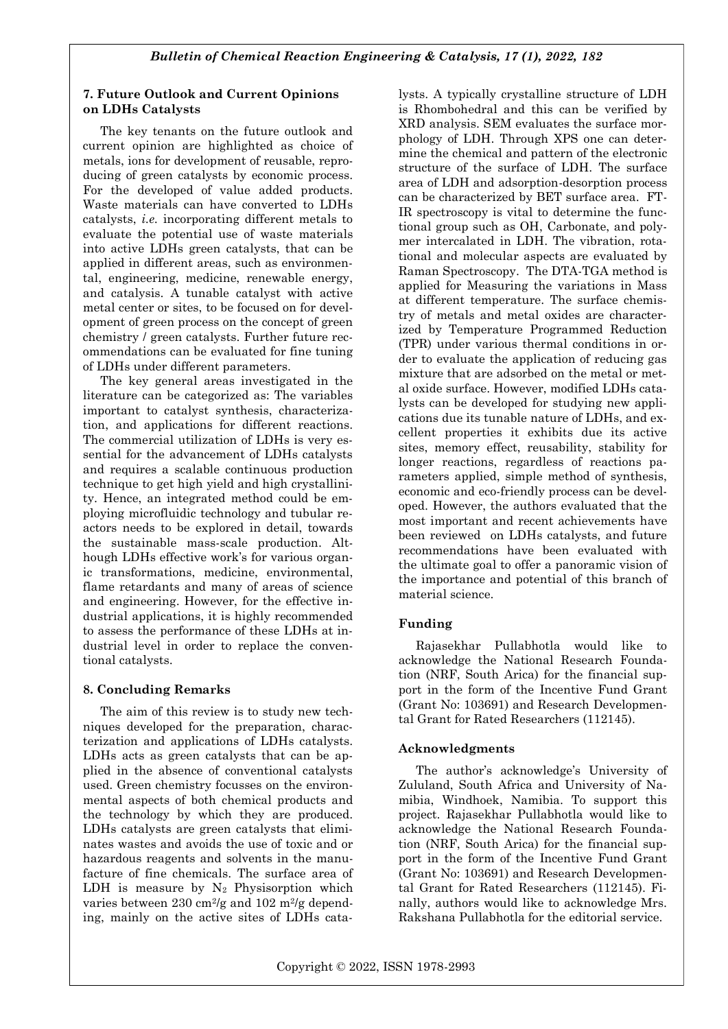### **7. Future Outlook and Current Opinions on LDHs Catalysts**

The key tenants on the future outlook and current opinion are highlighted as choice of metals, ions for development of reusable, reproducing of green catalysts by economic process. For the developed of value added products. Waste materials can have converted to LDHs catalysts, *i.e.* incorporating different metals to evaluate the potential use of waste materials into active LDHs green catalysts, that can be applied in different areas, such as environmental, engineering, medicine, renewable energy, and catalysis. A tunable catalyst with active metal center or sites, to be focused on for development of green process on the concept of green chemistry / green catalysts. Further future recommendations can be evaluated for fine tuning of LDHs under different parameters.

The key general areas investigated in the literature can be categorized as: The variables important to catalyst synthesis, characterization, and applications for different reactions. The commercial utilization of LDHs is very essential for the advancement of LDHs catalysts and requires a scalable continuous production technique to get high yield and high crystallinity. Hence, an integrated method could be employing microfluidic technology and tubular reactors needs to be explored in detail, towards the sustainable mass-scale production. Although LDHs effective work's for various organic transformations, medicine, environmental, flame retardants and many of areas of science and engineering. However, for the effective industrial applications, it is highly recommended to assess the performance of these LDHs at industrial level in order to replace the conventional catalysts.

# **8. Concluding Remarks**

The aim of this review is to study new techniques developed for the preparation, characterization and applications of LDHs catalysts. LDHs acts as green catalysts that can be applied in the absence of conventional catalysts used. Green chemistry focusses on the environmental aspects of both chemical products and the technology by which they are produced. LDHs catalysts are green catalysts that eliminates wastes and avoids the use of toxic and or hazardous reagents and solvents in the manufacture of fine chemicals. The surface area of LDH is measure by  $N_2$  Physisorption which varies between 230 cm<sup>2</sup>/g and 102 m<sup>2</sup>/g depending, mainly on the active sites of LDHs catalysts. A typically crystalline structure of LDH is Rhombohedral and this can be verified by XRD analysis. SEM evaluates the surface morphology of LDH. Through XPS one can determine the chemical and pattern of the electronic structure of the surface of LDH. The surface area of LDH and adsorption-desorption process can be characterized by BET surface area. FT-IR spectroscopy is vital to determine the functional group such as OH, Carbonate, and polymer intercalated in LDH. The vibration, rotational and molecular aspects are evaluated by Raman Spectroscopy. The DTA-TGA method is applied for Measuring the variations in Mass at different temperature. The surface chemistry of metals and metal oxides are characterized by Temperature Programmed Reduction (TPR) under various thermal conditions in order to evaluate the application of reducing gas mixture that are adsorbed on the metal or metal oxide surface. However, modified LDHs catalysts can be developed for studying new applications due its tunable nature of LDHs, and excellent properties it exhibits due its active sites, memory effect, reusability, stability for longer reactions, regardless of reactions parameters applied, simple method of synthesis, economic and eco-friendly process can be developed. However, the authors evaluated that the most important and recent achievements have been reviewed on LDHs catalysts, and future recommendations have been evaluated with the ultimate goal to offer a panoramic vision of the importance and potential of this branch of material science.

# **Funding**

Rajasekhar Pullabhotla would like to acknowledge the National Research Foundation (NRF, South Arica) for the financial support in the form of the Incentive Fund Grant (Grant No: 103691) and Research Developmental Grant for Rated Researchers (112145).

#### **Acknowledgments**

The author's acknowledge's University of Zululand, South Africa and University of Namibia, Windhoek, Namibia. To support this project. Rajasekhar Pullabhotla would like to acknowledge the National Research Foundation (NRF, South Arica) for the financial support in the form of the Incentive Fund Grant (Grant No: 103691) and Research Developmental Grant for Rated Researchers (112145). Finally, authors would like to acknowledge Mrs. Rakshana Pullabhotla for the editorial service.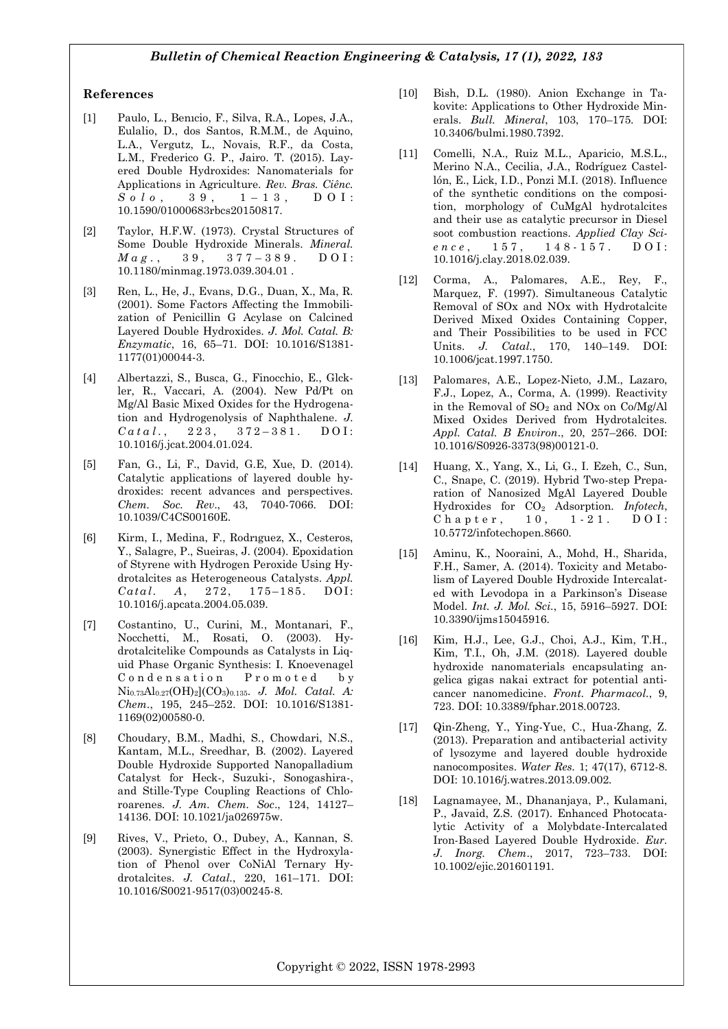#### **References**

- [1] Paulo, L., Benıcio, F., Silva, R.A., Lopes, J.A., Eulalio, D., dos Santos, R.M.M., de Aquino, L.A., Vergutz, L., Novais, R.F., da Costa, L.M., Frederico G. P., Jairo. T. (2015). Layered Double Hydroxides: Nanomaterials for Applications in Agriculture. *Rev. Bras. Ciênc.*   $S \circ l \circ , \quad 39, \quad 1-13, \quad D \circ l :$ 10.1590/01000683rbcs20150817.
- [2] Taylor, H.F.W. (1973). Crystal Structures of Some Double Hydroxide Minerals. *Mineral.*   $Mag.$ , 39, 377-389. DOI: 10.1180/minmag.1973.039.304.01 .
- [3] Ren, L., He, J., Evans, D.G., Duan, X., Ma, R. (2001). Some Factors Affecting the Immobilization of Penicillin G Acylase on Calcined Layered Double Hydroxides. *J. Mol. Catal. B: Enzymatic*, 16, 65–71. DOI: 10.1016/S1381- 1177(01)00044-3.
- [4] Albertazzi, S., Busca, G., Finocchio, E., Glckler, R., Vaccari, A. (2004). New Pd/Pt on Mg/Al Basic Mixed Oxides for the Hydrogenation and Hydrogenolysis of Naphthalene. *J.*   $Catal., 223, 372-381. DOI:$ 10.1016/j.jcat.2004.01.024.
- [5] Fan, G., Li, F., David, G.E, Xue, D. (2014). Catalytic applications of layered double hydroxides: recent advances and perspectives. *Chem. Soc. Rev*., 43, 7040-7066. DOI: 10.1039/C4CS00160E.
- [6] Kirm, I., Medina, F., Rodrıguez, X., Cesteros, Y., Salagre, P., Sueiras, J. (2004). Epoxidation of Styrene with Hydrogen Peroxide Using Hydrotalcites as Heterogeneous Catalysts. *Appl. Catal. A, 272, 175-185. DOI:* 10.1016/j.apcata.2004.05.039.
- [7] Costantino, U., Curini, M., Montanari, F., Nocchetti, M., Rosati, O. (2003). Hydrotalcitelike Compounds as Catalysts in Liquid Phase Organic Synthesis: I. Knoevenagel Condensation Promoted by Ni0.73Al0.27(OH)2](CO3)0.135. *J. Mol. Catal. A: Chem*., 195, 245–252. DOI: 10.1016/S1381- 1169(02)00580-0.
- [8] Choudary, B.M., Madhi, S., Chowdari, N.S., Kantam, M.L., Sreedhar, B. (2002). Layered Double Hydroxide Supported Nanopalladium Catalyst for Heck-, Suzuki-, Sonogashira-, and Stille-Type Coupling Reactions of Chloroarenes. *J. Am. Chem. Soc*., 124, 14127– 14136. DOI: 10.1021/ja026975w.
- [9] Rives, V., Prieto, O., Dubey, A., Kannan, S. (2003). Synergistic Effect in the Hydroxylation of Phenol over CoNiAl Ternary Hydrotalcites. *J. Catal*., 220, 161–171. DOI: 10.1016/S0021-9517(03)00245-8.
- [10] Bish, D.L. (1980). Anion Exchange in Takovite: Applications to Other Hydroxide Minerals. *Bull. Mineral*, 103, 170–175. DOI: 10.3406/bulmi.1980.7392.
- [11] Comelli, N.A., Ruiz M.L., Aparicio, M.S.L., Merino N.A., Cecilia, J.A., Rodríguez Castellón, E., Lick, I.D., Ponzi M.I. (2018). Influence of the synthetic conditions on the composition, morphology of CuMgAl hydrotalcites and their use as catalytic precursor in Diesel soot combustion reactions. *Applied Clay Science*, 157, 148-157. DOI: 10.1016/j.clay.2018.02.039.
- [12] Corma, A., Palomares, A.E., Rey, F., Marquez, F. (1997). Simultaneous Catalytic Removal of SOx and NOx with Hydrotalcite Derived Mixed Oxides Containing Copper, and Their Possibilities to be used in FCC Units. *J. Catal*., 170, 140–149. DOI: 10.1006/jcat.1997.1750.
- [13] Palomares, A.E., Lopez-Nieto, J.M., Lazaro, F.J., Lopez, A., Corma, A. (1999). Reactivity in the Removal of  $SO_2$  and  $NOx$  on  $Co/Mg/Al$ Mixed Oxides Derived from Hydrotalcites. *Appl. Catal. B Environ*., 20, 257–266. DOI: 10.1016/S0926-3373(98)00121-0.
- [14] Huang, X., Yang, X., Li, G., I. Ezeh, C., Sun, C., Snape, C. (2019). Hybrid Two-step Preparation of Nanosized MgAl Layered Double Hydroxides for CO<sup>2</sup> Adsorption. *Infotech*,  $Chapter, 10, 1-21. DOI:$ 10.5772/infotechopen.8660.
- [15] Aminu, K., Nooraini, A., Mohd, H., Sharida, F.H., Samer, A. (2014). Toxicity and Metabolism of Layered Double Hydroxide Intercalated with Levodopa in a Parkinson's Disease Model. *Int. J. Mol. Sci*., 15, 5916–5927. DOI: 10.3390/ijms15045916.
- [16] Kim, H.J., Lee, G.J., Choi, A.J., Kim, T.H., Kim, T.I., Oh, J.M. (2018). Layered double hydroxide nanomaterials encapsulating angelica gigas nakai extract for potential anticancer nanomedicine. *Front. Pharmacol*., 9, 723. DOI: 10.3389/fphar.2018.00723.
- [17] Qin-Zheng, Y., Ying-Yue, C., Hua-Zhang, Z. (2013). Preparation and antibacterial activity of lysozyme and layered double hydroxide nanocomposites. *Water Res.* 1; 47(17), 6712-8. DOI: 10.1016/j.watres.2013.09.002.
- [18] Lagnamayee, M., Dhananjaya, P., Kulamani, P., Javaid, Z.S. (2017). Enhanced Photocatalytic Activity of a Molybdate-Intercalated Iron-Based Layered Double Hydroxide. *Eur. J. Inorg. Chem*., 2017, 723–733. DOI: 10.1002/ejic.201601191.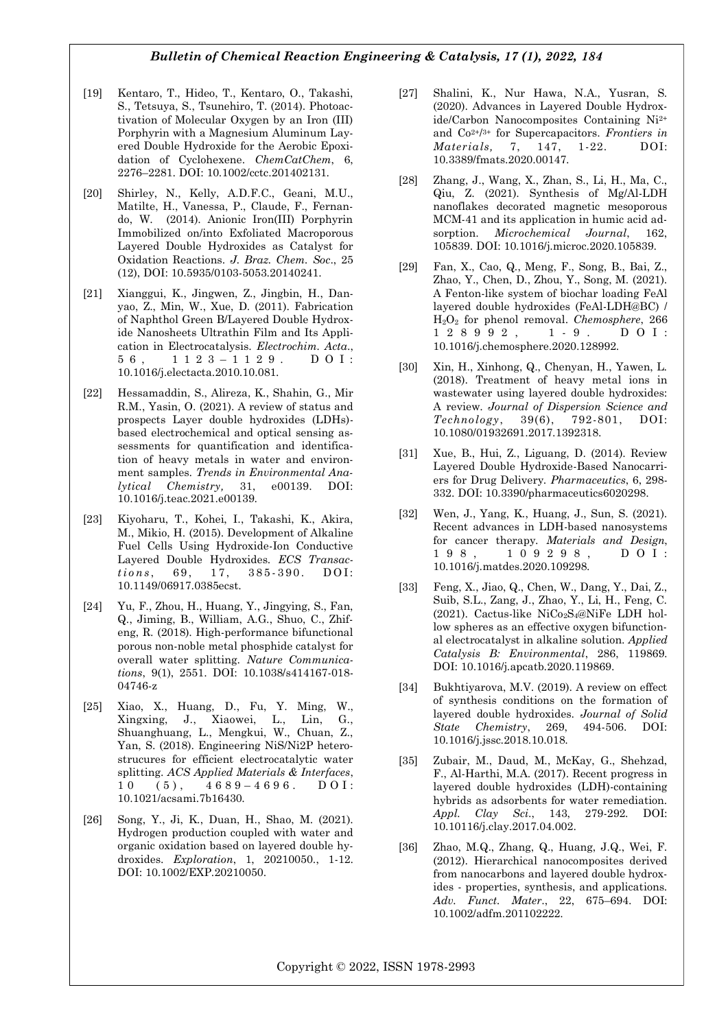- [19] Kentaro, T., Hideo, T., Kentaro, O., Takashi, S., Tetsuya, S., Tsunehiro, T. (2014). Photoactivation of Molecular Oxygen by an Iron (III) Porphyrin with a Magnesium Aluminum Layered Double Hydroxide for the Aerobic Epoxidation of Cyclohexene. *ChemCatChem*, 6, 2276–2281. DOI: 10.1002/cctc.201402131.
- [20] Shirley, N., Kelly, A.D.F.C., Geani, M.U., Matilte, H., Vanessa, P., Claude, F., Fernando, W. (2014). Anionic Iron(III) Porphyrin Immobilized on/into Exfoliated Macroporous Layered Double Hydroxides as Catalyst for Oxidation Reactions. *J. Braz. Chem. Soc*., 25 (12), DOI: 10.5935/0103-5053.20140241.
- [21] Xianggui, K., Jingwen, Z., Jingbin, H., Danyao, Z., Min, W., Xue, D. (2011). Fabrication of Naphthol Green B/Layered Double Hydroxide Nanosheets Ultrathin Film and Its Application in Electrocatalysis. *Electrochim. Acta*., 5 6 , 1 1 2 3 – 1 1 2 9 . D O I : 10.1016/j.electacta.2010.10.081.
- [22] Hessamaddin, S., Alireza, K., Shahin, G., Mir R.M., Yasin, O. (2021). A review of status and prospects Layer double hydroxides (LDHs) based electrochemical and optical sensing assessments for quantification and identification of heavy metals in water and environment samples. *Trends in Environmental Analytical Chemistry,* 31, e00139. DOI: 10.1016/j.teac.2021.e00139.
- [23] Kiyoharu, T., Kohei, I., Takashi, K., Akira, M., Mikio, H. (2015). Development of Alkaline Fuel Cells Using Hydroxide-Ion Conductive Layered Double Hydroxides. *ECS Transactions*, 69, 17, 385-390. DOI: 10.1149/06917.0385ecst.
- [24] Yu, F., Zhou, H., Huang, Y., Jingying, S., Fan, Q., Jiming, B., William, A.G., Shuo, C., Zhifeng, R. (2018). High-performance bifunctional porous non-noble metal phosphide catalyst for overall water splitting. *Nature Communications*, 9(1), 2551. DOI: 10.1038/s414167-018- 04746-z
- [25] Xiao, X., Huang, D., Fu, Y. Ming, W., Xingxing, J., Xiaowei, L., Lin, G., Shuanghuang, L., Mengkui, W., Chuan, Z., Yan, S. (2018). Engineering NiS/Ni2P heterostrucures for efficient electrocatalytic water splitting. *ACS Applied Materials & Interfaces*,  $10 (5)$ ,  $4689-4696$ .  $D O I$ : 10.1021/acsami.7b16430.
- [26] Song, Y., Ji, K., Duan, H., Shao, M. (2021). Hydrogen production coupled with water and organic oxidation based on layered double hydroxides. *Exploration*, 1, 20210050., 1-12. DOI: 10.1002/EXP.20210050.
- [27] Shalini, K., Nur Hawa, N.A., Yusran, S. (2020). Advances in Layered Double Hydroxide/Carbon Nanocomposites Containing Ni2+ and Co2+/ 3+ for Supercapacitors. *Frontiers in Materials,* 7, 147, 1-22. DOI: 10.3389/fmats.2020.00147.
- [28] Zhang, J., Wang, X., Zhan, S., Li, H., Ma, C., Qiu, Z. (2021). Synthesis of Mg/Al-LDH nanoflakes decorated magnetic mesoporous MCM-41 and its application in humic acid adsorption. *Microchemical Journal*, 162, 105839. DOI: 10.1016/j.microc.2020.105839.
- [29] Fan, X., Cao, Q., Meng, F., Song, B., Bai, Z., Zhao, Y., Chen, D., Zhou, Y., Song, M. (2021). A Fenton-like system of biochar loading FeAl layered double hydroxides (FeAl-LDH@BC) / H2O<sup>2</sup> for phenol removal. *Chemosphere*, 266  $1 \ 2 \ 8 \ 9 \ 9 \ 2$ ,  $1 \cdot 9$ .  $D \ 0 \ I$ : 10.1016/j.chemosphere.2020.128992.
- [30] Xin, H., Xinhong, Q., Chenyan, H., Yawen, L. (2018). Treatment of heavy metal ions in wastewater using layered double hydroxides: A review. *Journal of Dispersion Science and Technology*, 39(6), 792-801, DOI: 10.1080/01932691.2017.1392318.
- [31] Xue, B., Hui, Z., Liguang, D. (2014). Review Layered Double Hydroxide-Based Nanocarriers for Drug Delivery. *Pharmaceutics*, 6, 298- 332. DOI: 10.3390/pharmaceutics6020298.
- [32] Wen, J., Yang, K., Huang, J., Sun, S. (2021). Recent advances in LDH-based nanosystems for cancer therapy. *Materials and Design*,  $1 \t9 \t8 \t, \t1 \t0 \t9 \t2 \t9 \t8 \t, \tD \t0 \t1 :$ 10.1016/j.matdes.2020.109298.
- [33] Feng, X., Jiao, Q., Chen, W., Dang, Y., Dai, Z., Suib, S.L., Zang, J., Zhao, Y., Li, H., Feng, C. (2021). Cactus-like NiCo2S4@NiFe LDH hollow spheres as an effective oxygen bifunctional electrocatalyst in alkaline solution. *Applied Catalysis B: Environmental*, 286, 119869. DOI: 10.1016/j.apcatb.2020.119869.
- [34] Bukhtiyarova, M.V. (2019). A review on effect of synthesis conditions on the formation of layered double hydroxides. *Journal of Solid State Chemistry*, 269, 494-506. DOI: 10.1016/j.jssc.2018.10.018.
- [35] Zubair, M., Daud, M., McKay, G., Shehzad, F., Al-Harthi, M.A. (2017). Recent progress in layered double hydroxides (LDH)-containing hybrids as adsorbents for water remediation. *Appl. Clay Sci*., 143, 279-292. DOI: 10.10116/j.clay.2017.04.002.
- [36] Zhao, M.Q., Zhang, Q., Huang, J.Q., Wei, F. (2012). Hierarchical nanocomposites derived from nanocarbons and layered double hydroxides - properties, synthesis, and applications. *Adv. Funct. Mater*., 22, 675–694. DOI: 10.1002/adfm.201102222.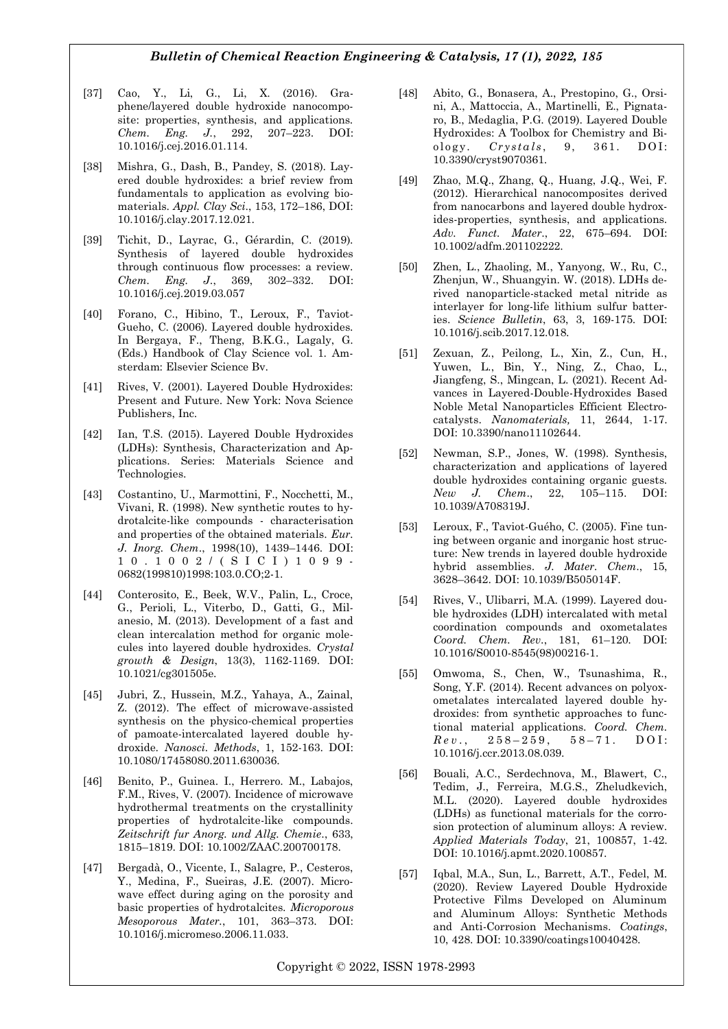- [37] Cao, Y., Li, G., Li, X. (2016). Graphene/layered double hydroxide nanocomposite: properties, synthesis, and applications. *Chem. Eng. J.*, 292, 207–223. DOI: 10.1016/j.cej.2016.01.114.
- [38] Mishra, G., Dash, B., Pandey, S. (2018). Layered double hydroxides: a brief review from fundamentals to application as evolving biomaterials. *Appl. Clay Sci*., 153, 172–186, DOI: 10.1016/j.clay.2017.12.021.
- [39] Tichit, D., Layrac, G., Gérardin, C. (2019). Synthesis of layered double hydroxides through continuous flow processes: a review. *Chem. Eng. J*., 369, 302–332. DOI: 10.1016/j.cej.2019.03.057
- [40] Forano, C., Hibino, T., Leroux, F., Taviot-Gueho, C. (2006). Layered double hydroxides. In Bergaya, F., Theng, B.K.G., Lagaly, G. (Eds.) Handbook of Clay Science vol. 1. Amsterdam: Elsevier Science Bv.
- [41] Rives, V. (2001). Layered Double Hydroxides: Present and Future. New York: Nova Science Publishers, Inc.
- [42] Ian, T.S. (2015). Layered Double Hydroxides (LDHs): Synthesis, Characterization and Applications. Series: Materials Science and Technologies.
- [43] Costantino, U., Marmottini, F., Nocchetti, M., Vivani, R. (1998). New synthetic routes to hydrotalcite-like compounds - characterisation and properties of the obtained materials. *Eur. J. Inorg. Chem*., 1998(10), 1439–1446. DOI: 1 0 . 1 0 0 2 / ( S I C I ) 1 0 9 9 - 0682(199810)1998:103.0.CO;2-1.
- [44] Conterosito, E., Beek, W.V., Palin, L., Croce, G., Perioli, L., Viterbo, D., Gatti, G., Milanesio, M. (2013). Development of a fast and clean intercalation method for organic molecules into layered double hydroxides. *Crystal growth & Design*, 13(3), 1162-1169. DOI: 10.1021/cg301505e.
- [45] Jubri, Z., Hussein, M.Z., Yahaya, A., Zainal, Z. (2012). The effect of microwave-assisted synthesis on the physico-chemical properties of pamoate-intercalated layered double hydroxide. *Nanosci. Methods*, 1, 152-163. DOI: 10.1080/17458080.2011.630036.
- [46] Benito, P., Guinea. I., Herrero. M., Labajos, F.M., Rives, V. (2007). Incidence of microwave hydrothermal treatments on the crystallinity properties of hydrotalcite-like compounds. *Zeitschrift fur Anorg. und Allg. Chemie*., 633, 1815–1819. DOI: 10.1002/ZAAC.200700178.
- [47] Bergadà, O., Vicente, I., Salagre, P., Cesteros, Y., Medina, F., Sueiras, J.E. (2007). Microwave effect during aging on the porosity and basic properties of hydrotalcites. *Microporous Mesoporous Mater.*, 101, 363–373. DOI: 10.1016/j.micromeso.2006.11.033.
- [48] Abito, G., Bonasera, A., Prestopino, G., Orsini, A., Mattoccia, A., Martinelli, E., Pignataro, B., Medaglia, P.G. (2019). Layered Double Hydroxides: A Toolbox for Chemistry and Bio lo gy. *Cry sta ls* , 9, 3 61. DO I: 10.3390/cryst9070361.
- [49] Zhao, M.Q., Zhang, Q., Huang, J.Q., Wei, F. (2012). Hierarchical nanocomposites derived from nanocarbons and layered double hydroxides-properties, synthesis, and applications. *Adv. Funct. Mater*., 22, 675–694. DOI: 10.1002/adfm.201102222.
- [50] Zhen, L., Zhaoling, M., Yanyong, W., Ru, C., Zhenjun, W., Shuangyin. W. (2018). LDHs derived nanoparticle-stacked metal nitride as interlayer for long-life lithium sulfur batteries. *Science Bulletin*, 63, 3, 169-175. DOI: 10.1016/j.scib.2017.12.018.
- [51] Zexuan, Z., Peilong, L., Xin, Z., Cun, H., Yuwen, L., Bin, Y., Ning, Z., Chao, L., Jiangfeng, S., Mingcan, L. (2021). Recent Advances in Layered-Double-Hydroxides Based Noble Metal Nanoparticles Efficient Electrocatalysts. *Nanomaterials,* 11, 2644, 1-17. DOI: 10.3390/nano11102644.
- [52] Newman, S.P., Jones, W. (1998). Synthesis, characterization and applications of layered double hydroxides containing organic guests. *New J. Chem*., 22, 105–115. DOI: 10.1039/A708319J.
- [53] Leroux, F., Taviot-Guého, C. (2005). Fine tuning between organic and inorganic host structure: New trends in layered double hydroxide hybrid assemblies. *J. Mater. Chem*., 15, 3628–3642. DOI: 10.1039/B505014F.
- [54] Rives, V., Ulibarri, M.A. (1999). Layered double hydroxides (LDH) intercalated with metal coordination compounds and oxometalates *Coord. Chem. Rev*., 181, 61–120. DOI: 10.1016/S0010-8545(98)00216-1.
- [55] Omwoma, S., Chen, W., Tsunashima, R., Song, Y.F. (2014). Recent advances on polyoxometalates intercalated layered double hydroxides: from synthetic approaches to functional material applications. *Coord. Chem.*   $Re\,v$ .,  $258-259$ ,  $58-71$ . DOI: 10.1016/j.ccr.2013.08.039.
- [56] Bouali, A.C., Serdechnova, M., Blawert, C., Tedim, J., Ferreira, M.G.S., Zheludkevich, M.L. (2020). Layered double hydroxides (LDHs) as functional materials for the corrosion protection of aluminum alloys: A review. *Applied Materials Today*, 21, 100857, 1-42. DOI: 10.1016/j.apmt.2020.100857.
- [57] Iqbal, M.A., Sun, L., Barrett, A.T., Fedel, M. (2020). Review Layered Double Hydroxide Protective Films Developed on Aluminum and Aluminum Alloys: Synthetic Methods and Anti-Corrosion Mechanisms. *Coatings*, 10, 428. DOI: 10.3390/coatings10040428.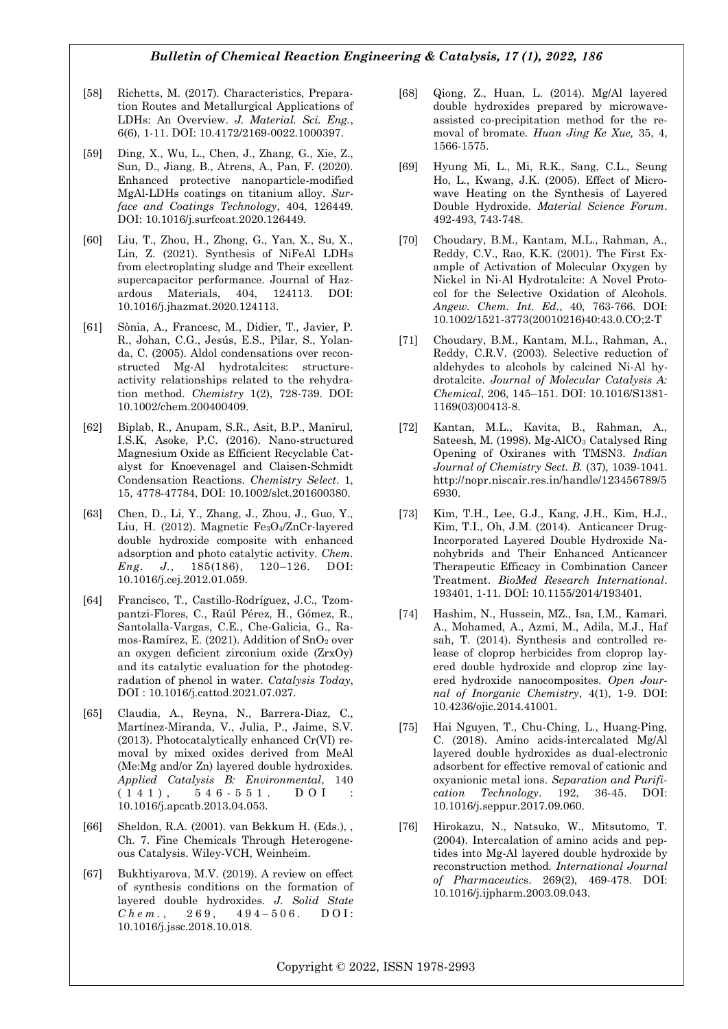- [58] Richetts, M. (2017). Characteristics, Preparation Routes and Metallurgical Applications of LDHs: An Overview. *J. Material. Sci. Eng.*, 6(6), 1-11. DOI: 10.4172/2169-0022.1000397.
- [59] Ding, X., Wu, L., Chen, J., Zhang, G., Xie, Z., Sun, D., Jiang, B., Atrens, A., Pan, F. (2020). Enhanced protective nanoparticle-modified MgAl-LDHs coatings on titanium alloy. *Surface and Coatings Technology*, 404, 126449. DOI: 10.1016/j.surfcoat.2020.126449.
- [60] Liu, T., Zhou, H., Zhong, G., Yan, X., Su, X., Lin, Z. (2021). Synthesis of NiFeAl LDHs from electroplating sludge and Their excellent supercapacitor performance. Journal of Hazardous Materials, 404, 124113. DOI: 10.1016/j.jhazmat.2020.124113.
- [61] Sònia, A., Francesc, M., Didier, T., Javier, P. R., Johan, C.G., Jesús, E.S., Pilar, S., Yolanda, C. (2005). Aldol condensations over reconstructed Mg-Al hydrotalcites: structureactivity relationships related to the rehydration method. *Chemistry* 1(2), 728-739. DOI: 10.1002/chem.200400409.
- [62] Biplab, R., Anupam, S.R., Asit, B.P., Manirul, I.S.K, Asoke, P.C. (2016). Nano-structured Magnesium Oxide as Efficient Recyclable Catalyst for Knoevenagel and Claisen-Schmidt Condensation Reactions. *Chemistry Select*. 1, 15, 4778-47784, DOI: 10.1002/slct.201600380.
- [63] Chen, D., Li, Y., Zhang, J., Zhou, J., Guo, Y., Liu, H. (2012). Magnetic Fe3O4/ZnCr-layered double hydroxide composite with enhanced adsorption and photo catalytic activity. *Chem. Eng. J.*, 185(186), 120–126. DOI: 10.1016/j.cej.2012.01.059.
- [64] Francisco, T., Castillo-Rodríguez, J.C., Tzompantzi-Flores, C., Raúl Pérez, H., Gómez, R., Santolalla-Vargas, C.E., Che-Galicia, G., Ramos-Ramírez, E. (2021). Addition of SnO<sup>2</sup> over an oxygen deficient zirconium oxide (ZrxOy) and its catalytic evaluation for the photodegradation of phenol in water. *Catalysis Today*, DOI : 10.1016/j.cattod.2021.07.027.
- [65] Claudia, A., Reyna, N., Barrera-Diaz, C., Martínez-Miranda, V., Julia, P., Jaime, S.V. (2013). Photocatalytically enhanced Cr(VI) removal by mixed oxides derived from MeAl (Me:Mg and/or Zn) layered double hydroxides. *Applied Catalysis B: Environmental*, 140  $(141)$ ,  $546-551$ .  $D O I$  : 10.1016/j.apcatb.2013.04.053.
- [66] Sheldon, R.A. (2001). van Bekkum H. (Eds.), , Ch. 7. Fine Chemicals Through Heterogeneous Catalysis. Wiley-VCH, Weinheim.
- [67] Bukhtiyarova, M.V. (2019). A review on effect of synthesis conditions on the formation of layered double hydroxides. *J. Solid State*   $269, 494 - 506.$  DOI: 10.1016/j.jssc.2018.10.018.
- [68] Qiong, Z., Huan, L. (2014). Mg/Al layered double hydroxides prepared by microwaveassisted co-precipitation method for the removal of bromate. *Huan Jing Ke Xue,* 35, 4, 1566-1575.
- [69] Hyung Mi, L., Mi, R.K., Sang, C.L., Seung Ho, L., Kwang, J.K. (2005). Effect of Microwave Heating on the Synthesis of Layered Double Hydroxide. *Material Science Forum*. 492-493, 743-748.
- [70] Choudary, B.M., Kantam, M.L., Rahman, A., Reddy, C.V., Rao, K.K. (2001). The First Example of Activation of Molecular Oxygen by Nickel in Ni-Al Hydrotalcite: A Novel Protocol for the Selective Oxidation of Alcohols. *Angew. Chem. Int. Ed*., 40, 763-766. DOI: 10.1002/1521-3773(20010216)40:43.0.CO;2-T
- [71] Choudary, B.M., Kantam, M.L., Rahman, A., Reddy, C.R.V. (2003). Selective reduction of aldehydes to alcohols by calcined Ni-Al hydrotalcite. *Journal of Molecular Catalysis A: Chemical*, 206, 145–151. DOI: 10.1016/S1381- 1169(03)00413-8.
- [72] Kantan, M.L., Kavita, B., Rahman, A., Sateesh, M. (1998). Mg-AlCO<sup>3</sup> Catalysed Ring Opening of Oxiranes with TMSN3. *Indian Journal of Chemistry Sect. B.* (37), 1039-1041. http://nopr.niscair.res.in/handle/123456789/5 6930.
- [73] Kim, T.H., Lee, G.J., Kang, J.H., Kim, H.J., Kim, T.I., Oh, J.M. (2014). Anticancer Drug-Incorporated Layered Double Hydroxide Nanohybrids and Their Enhanced Anticancer Therapeutic Efficacy in Combination Cancer Treatment. *BioMed Research International*. 193401, 1-11. DOI: 10.1155/2014/193401.
- [74] Hashim, N., Hussein, MZ., Isa, I.M., Kamari, A., Mohamed, A., Azmi, M., Adila, M.J., Haf sah, T. (2014). Synthesis and controlled release of cloprop herbicides from cloprop layered double hydroxide and cloprop zinc layered hydroxide nanocomposites. *Open Journal of Inorganic Chemistry*, 4(1), 1-9. DOI: 10.4236/ojic.2014.41001.
- [75] Hai Nguyen, T., Chu-Ching, L., Huang-Ping, C. (2018). Amino acids-intercalated Mg/Al layered double hydroxides as dual-electronic adsorbent for effective removal of cationic and oxyanionic metal ions. *Separation and Purification Technology*. 192, 36-45. DOI: 10.1016/j.seppur.2017.09.060.
- [76] Hirokazu, N., Natsuko, W., Mitsutomo, T. (2004). Intercalation of amino acids and peptides into Mg-Al layered double hydroxide by reconstruction method. *International Journal of Pharmaceutic*s. 269(2), 469-478. DOI: 10.1016/j.ijpharm.2003.09.043.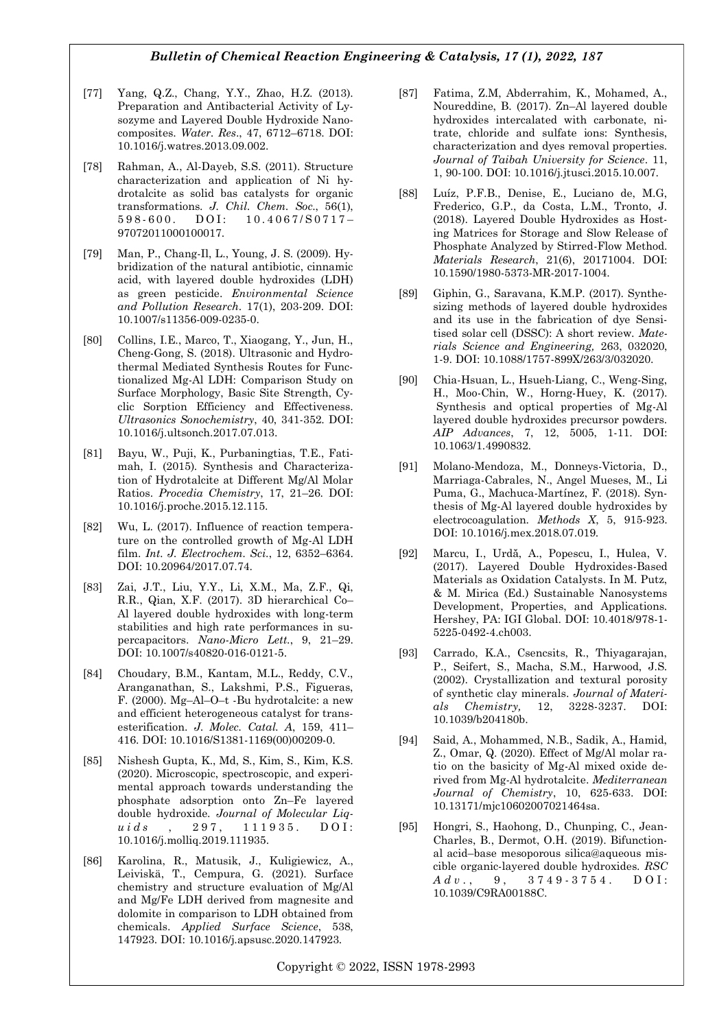- [77] Yang, Q.Z., Chang, Y.Y., Zhao, H.Z. (2013). Preparation and Antibacterial Activity of Lysozyme and Layered Double Hydroxide Nanocomposites. *Water. Res*., 47, 6712–6718. DOI: 10.1016/j.watres.2013.09.002.
- [78] Rahman, A., Al-Dayeb, S.S. (2011). Structure characterization and application of Ni hydrotalcite as solid bas catalysts for organic transformations. *J. Chil. Chem. Soc*., 56(1),  $598 - 600$ . DOI:  $10.4067$ /S0717-97072011000100017.
- [79] Man, P., Chang-Il, L., Young, J. S. (2009). Hybridization of the natural antibiotic, cinnamic acid, with layered double hydroxides (LDH) as green pesticide. *Environmental Science and Pollution Research*. 17(1), 203-209. DOI: 10.1007/s11356-009-0235-0.
- [80] Collins, I.E., Marco, T., Xiaogang, Y., Jun, H., Cheng-Gong, S. (2018). Ultrasonic and Hydrothermal Mediated Synthesis Routes for Functionalized Mg-Al LDH: Comparison Study on Surface Morphology, Basic Site Strength, Cyclic Sorption Efficiency and Effectiveness. *Ultrasonics Sonochemistry*, 40, 341-352. DOI: 10.1016/j.ultsonch.2017.07.013.
- [81] Bayu, W., Puji, K., Purbaningtias, T.E., Fatimah, I. (2015). Synthesis and Characterization of Hydrotalcite at Different Mg/Al Molar Ratios. *Procedia Chemistry*, 17, 21–26. DOI: 10.1016/j.proche.2015.12.115.
- [82] Wu, L. (2017). Influence of reaction temperature on the controlled growth of Mg-Al LDH film. *Int. J. Electrochem. Sci*., 12, 6352–6364. DOI: 10.20964/2017.07.74.
- [83] Zai, J.T., Liu, Y.Y., Li, X.M., Ma, Z.F., Qi, R.R., Qian, X.F. (2017). 3D hierarchical Co– Al layered double hydroxides with long-term stabilities and high rate performances in supercapacitors. *Nano-Micro Lett*., 9, 21–29. DOI: 10.1007/s40820-016-0121-5.
- [84] Choudary, B.M., Kantam, M.L., Reddy, C.V., Aranganathan, S., Lakshmi, P.S., Figueras, F. (2000). Mg–Al–O–t -Bu hydrotalcite: a new and efficient heterogeneous catalyst for transesterification. *J. Molec. Catal. A*, 159, 411– 416. DOI: 10.1016/S1381-1169(00)00209-0.
- [85] Nishesh Gupta, K., Md, S., Kim, S., Kim, K.S. (2020). Microscopic, spectroscopic, and experimental approach towards understanding the phosphate adsorption onto Zn–Fe layered double hydroxide. *Journal of Molecular Liquids* , 297, 111935, DOI: 10.1016/j.molliq.2019.111935.
- [86] Karolina, R., Matusik, J., Kuligiewicz, A., Leiviskä, T., Cempura, G. (2021). Surface chemistry and structure evaluation of Mg/Al and Mg/Fe LDH derived from magnesite and dolomite in comparison to LDH obtained from chemicals. *Applied Surface Science*, 538, 147923. DOI: 10.1016/j.apsusc.2020.147923.
- [87] Fatima, Z.M, Abderrahim, K., Mohamed, A., Noureddine, B. (2017). Zn–Al layered double hydroxides intercalated with carbonate, nitrate, chloride and sulfate ions: Synthesis, characterization and dyes removal properties. *Journal of Taibah University for Science*. 11, 1, 90-100. DOI: 10.1016/j.jtusci.2015.10.007.
- [88] Luíz, P.F.B., Denise, E., Luciano de, M.G, Frederico, G.P., da Costa, L.M., Tronto, J. (2018). Layered Double Hydroxides as Hosting Matrices for Storage and Slow Release of Phosphate Analyzed by Stirred-Flow Method. *Materials Research*, 21(6), 20171004. DOI: 10.1590/1980-5373-MR-2017-1004.
- [89] Giphin, G., Saravana, K.M.P. (2017). Synthesizing methods of layered double hydroxides and its use in the fabrication of dye Sensitised solar cell (DSSC): A short review. *Materials Science and Engineering,* 263, 032020, 1-9. DOI: 10.1088/1757-899X/263/3/032020.
- [90] Chia-Hsuan, L., Hsueh-Liang, C., Weng-Sing, H., Moo-Chin, W., Horng-Huey, K. (2017). Synthesis and optical properties of Mg-Al layered double hydroxides precursor powders. *AIP Advances*, 7, 12, 5005, 1-11. DOI: 10.1063/1.4990832.
- [91] Molano-Mendoza, M., Donneys-Victoria, D., Marriaga-Cabrales, N., Angel Mueses, M., Li Puma, G., Machuca-Martínez, F. (2018). Synthesis of Mg-Al layered double hydroxides by electrocoagulation. *Methods X*, 5, 915-923. DOI: 10.1016/j.mex.2018.07.019.
- [92] Marcu, I., Urdă, A., Popescu, I., Hulea, V. (2017). Layered Double Hydroxides-Based Materials as Oxidation Catalysts. In M. Putz, & M. Mirica (Ed.) Sustainable Nanosystems Development, Properties, and Applications. Hershey, PA: IGI Global. DOI: 10.4018/978-1- 5225-0492-4.ch003.
- [93] Carrado, K.A., Csencsits, R., Thiyagarajan, P., Seifert, S., Macha, S.M., Harwood, J.S. (2002). Crystallization and textural porosity of synthetic clay minerals. *Journal of Materials Chemistry,* 12, 3228-3237. DOI: 10.1039/b204180b.
- [94] Said, A., Mohammed, N.B., Sadik, A., Hamid, Z., Omar, Q. (2020). Effect of Mg/Al molar ratio on the basicity of Mg-Al mixed oxide derived from Mg-Al hydrotalcite. *Mediterranean Journal of Chemistry*, 10, 625-633. DOI: 10.13171/mjc10602007021464sa.
- [95] Hongri, S., Haohong, D., Chunping, C., Jean-Charles, B., Dermot, O.H. (2019). Bifunctional acid–base mesoporous silica@aqueous miscible organic-layered double hydroxides. *RSC A d v* . , 9, 3 7 4 9 - 3 7 5 4 . D O I : 10.1039/C9RA00188C.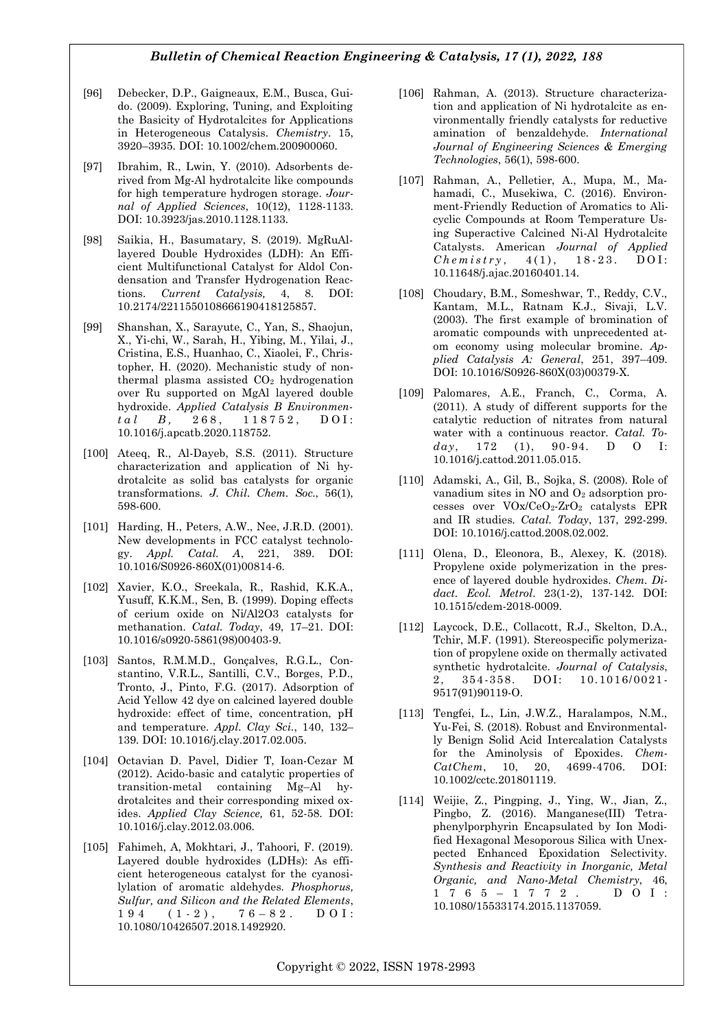- [96] Debecker, D.P., Gaigneaux, E.M., Busca, Guido. (2009). Exploring, Tuning, and Exploiting the Basicity of Hydrotalcites for Applications in Heterogeneous Catalysis. *Chemistry*. 15, 3920–3935. DOI: 10.1002/chem.200900060.
- [97] Ibrahim, R., Lwin, Y. (2010). Adsorbents derived from Mg-Al hydrotalcite like compounds for high temperature hydrogen storage. *Journal of Applied Sciences*, 10(12), 1128-1133. DOI: 10.3923/jas.2010.1128.1133.
- [98] Saikia, H., Basumatary, S. (2019). MgRuAllayered Double Hydroxides (LDH): An Efficient Multifunctional Catalyst for Aldol Condensation and Transfer Hydrogenation Reactions. *Current Catalysis,* 4, 8. DOI: 10.2174/2211550108666190418125857.
- [99] Shanshan, X., Sarayute, C., Yan, S., Shaojun, X., Yi-chi, W., Sarah, H., Yibing, M., Yilai, J., Cristina, E.S., Huanhao, C., Xiaolei, F., Christopher, H. (2020). Mechanistic study of nonthermal plasma assisted CO<sup>2</sup> hydrogenation over Ru supported on MgAl layered double hydroxide. *Applied Catalysis B Environmental B*, 268, 118752, DOI: 10.1016/j.apcatb.2020.118752.
- [100] Ateeq, R., Al-Dayeb, S.S. (2011). Structure characterization and application of Ni hydrotalcite as solid bas catalysts for organic transformations. *J. Chil. Chem. Soc*., 56(1), 598-600.
- [101] Harding, H., Peters, A.W., Nee, J.R.D. (2001). New developments in FCC catalyst technology. *Appl. Catal. A*, 221, 389. DOI: 10.1016/S0926-860X(01)00814-6.
- [102] Xavier, K.O., Sreekala, R., Rashid, K.K.A., Yusuff, K.K.M., Sen, B. (1999). Doping effects of cerium oxide on Ni/Al2O3 catalysts for methanation. *Catal. Today*, 49, 17–21. DOI: 10.1016/s0920-5861(98)00403-9.
- [103] Santos, R.M.M.D., Gonçalves, R.G.L., Constantino, V.R.L., Santilli, C.V., Borges, P.D., Tronto, J., Pinto, F.G. (2017). Adsorption of Acid Yellow 42 dye on calcined layered double hydroxide: effect of time, concentration, pH and temperature. *Appl. Clay Sci*., 140, 132– 139. DOI: 10.1016/j.clay.2017.02.005.
- [104] Octavian D. Pavel, Didier T, Ioan-Cezar M (2012). Acido-basic and catalytic properties of transition-metal containing Mg–Al hydrotalcites and their corresponding mixed oxides. *Applied Clay Science,* 61, 52-58. DOI: 10.1016/j.clay.2012.03.006.
- [105] Fahimeh, A, Mokhtari, J., Tahoori, F. (2019). Layered double hydroxides (LDHs): As efficient heterogeneous catalyst for the cyanosilylation of aromatic aldehydes. *Phosphorus, Sulfur, and Silicon and the Related Elements*,  $1 9 4$   $(1 - 2)$ ,  $7 6 - 8 2$ . DOI: 10.1080/10426507.2018.1492920.
- [106] Rahman, A. (2013). Structure characterization and application of Ni hydrotalcite as environmentally friendly catalysts for reductive amination of benzaldehyde. *International Journal of Engineering Sciences & Emerging Technologies*, 56(1), 598-600.
- [107] Rahman, A., Pelletier, A., Mupa, M., Mahamadi, C., Musekiwa, C. (2016). Environment-Friendly Reduction of Aromatics to Alicyclic Compounds at Room Temperature Using Superactive Calcined Ni-Al Hydrotalcite Catalysts. American *Journal of Applied*   $Chemistry, 4(1), 18-23. DOI:$ 10.11648/j.ajac.20160401.14.
- [108] Choudary, B.M., Someshwar, T., Reddy, C.V., Kantam, M.L., Ratnam K.J., Sivaji, L.V. (2003). The first example of bromination of aromatic compounds with unprecedented atom economy using molecular bromine. *Applied Catalysis A: General*, 251, 397–409. DOI: 10.1016/S0926-860X(03)00379-X.
- [109] Palomares, A.E., Franch, C., Corma, A. (2011). A study of different supports for the catalytic reduction of nitrates from natural water with a continuous reactor. *Catal. Today*, 172 (1), 90-94. D O I: 10.1016/j.cattod.2011.05.015.
- [110] Adamski, A., Gil, B., Sojka, S. (2008). Role of vanadium sites in  $NO$  and  $O<sub>2</sub>$  adsorption processes over VOx/CeO2-ZrO<sup>2</sup> catalysts EPR and IR studies. *Catal. Today*, 137, 292-299. DOI: 10.1016/j.cattod.2008.02.002.
- [111] Olena, D., Eleonora, B., Alexey, K. (2018). Propylene oxide polymerization in the presence of layered double hydroxides. *Chem. Didact. Ecol. Metrol*. 23(1-2), 137-142. DOI: 10.1515/cdem-2018-0009.
- [112] Laycock, D.E., Collacott, R.J., Skelton, D.A., Tchir, M.F. (1991). Stereospecific polymerization of propylene oxide on thermally activated synthetic hydrotalcite. *Journal of Catalysis*, 2, 354-358. DOI: 10.1016/0021-9517(91)90119-O.
- [113] Tengfei, L., Lin, J.W.Z., Haralampos, N.M., Yu-Fei, S. (2018). Robust and Environmentally Benign Solid Acid Intercalation Catalysts for the Aminolysis of Epoxides. *Chem-CatChem*, 10, 20, 4699-4706. DOI: 10.1002/cctc.201801119.
- [114] Weijie, Z., Pingping, J., Ying, W., Jian, Z., Pingbo, Z. (2016). Manganese(III) Tetraphenylporphyrin Encapsulated by Ion Modified Hexagonal Mesoporous Silica with Unexpected Enhanced Epoxidation Selectivity. *Synthesis and Reactivity in Inorganic, Metal Organic, and Nano-Metal Chemistry*, 46, 1765 – 1 7 7 2 . D O I : 10.1080/15533174.2015.1137059.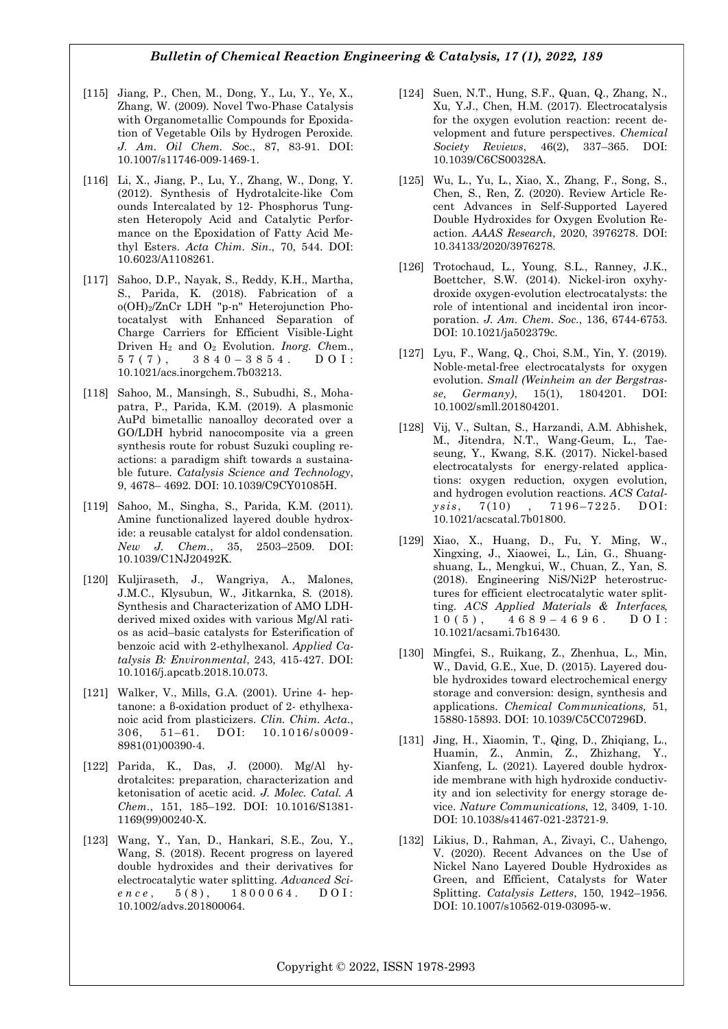- [115] Jiang, P., Chen, M., Dong, Y., Lu, Y., Ye, X., Zhang, W. (2009). Novel Two-Phase Catalysis with Organometallic Compounds for Epoxidation of Vegetable Oils by Hydrogen Peroxide. *J. Am. Oil Chem. So*c., 87, 83-91. DOI: 10.1007/s11746-009-1469-1.
- [116] Li, X., Jiang, P., Lu, Y., Zhang, W., Dong, Y. (2012). Synthesis of Hydrotalcite-like Com ounds Intercalated by 12- Phosphorus Tungsten Heteropoly Acid and Catalytic Performance on the Epoxidation of Fatty Acid Methyl Esters. *Acta Chim. Sin*., 70, 544. DOI: 10.6023/A1108261.
- [117] Sahoo, D.P., Nayak, S., Reddy, K.H., Martha, S., Parida, K. (2018). Fabrication of a o(OH)2/ZnCr LDH "p-n" Heterojunction Photocatalyst with Enhanced Separation of Charge Carriers for Efficient Visible-Light Driven H<sup>2</sup> and O<sup>2</sup> Evolution. *Inorg. Ch*em.,  $57(7)$ ,  $3840-3854$ ,  $DQI$ ; 10.1021/acs.inorgchem.7b03213.
- [118] Sahoo, M., Mansingh, S., Subudhi, S., Mohapatra, P., Parida, K.M. (2019). A plasmonic AuPd bimetallic nanoalloy decorated over a GO/LDH hybrid nanocomposite via a green synthesis route for robust Suzuki coupling reactions: a paradigm shift towards a sustainable future. *Catalysis Science and Technology*, 9, 4678– 4692. DOI: 10.1039/C9CY01085H.
- [119] Sahoo, M., Singha, S., Parida, K.M. (2011). Amine functionalized layered double hydroxide: a reusable catalyst for aldol condensation. *New J. Chem.*, 35, 2503–2509. DOI: 10.1039/C1NJ20492K.
- [120] Kuljiraseth, J., Wangriya, A., Malones, J.M.C., Klysubun, W., Jitkarnka, S. (2018). Synthesis and Characterization of AMO LDHderived mixed oxides with various Mg/Al ratios as acid–basic catalysts for Esterification of benzoic acid with 2-ethylhexanol. *Applied Catalysis B: Environmental*, 243, 415-427. DOI: 10.1016/j.apcatb.2018.10.073.
- [121] Walker, V., Mills, G.A. (2001). Urine 4- heptanone: a β-oxidation product of 2- ethylhexanoic acid from plasticizers. *Clin. Chim. Acta*., 306, 51–61. DOI: 10.1016/s0009- 8981(01)00390-4.
- [122] Parida, K., Das, J. (2000). Mg/Al hydrotalcites: preparation, characterization and ketonisation of acetic acid. *J. Molec. Catal. A Chem*., 151, 185–192. DOI: 10.1016/S1381- 1169(99)00240-X.
- [123] Wang, Y., Yan, D., Hankari, S.E., Zou, Y., Wang, S. (2018). Recent progress on layered double hydroxides and their derivatives for electrocatalytic water splitting. *Advanced Science*, 5(8), 1800064. DOI: 10.1002/advs.201800064.
- [124] Suen, N.T., Hung, S.F., Quan, Q., Zhang, N., Xu, Y.J., Chen, H.M. (2017). Electrocatalysis for the oxygen evolution reaction: recent development and future perspectives. *Chemical Society Reviews*, 46(2), 337–365. DOI: 10.1039/C6CS00328A.
- [125] Wu, L., Yu, L., Xiao, X., Zhang, F., Song, S., Chen, S., Ren, Z. (2020). Review Article Recent Advances in Self-Supported Layered Double Hydroxides for Oxygen Evolution Reaction. *AAAS Research*, 2020, 3976278. DOI: 10.34133/2020/3976278.
- [126] Trotochaud, L., Young, S.L., Ranney, J.K., Boettcher, S.W. (2014). Nickel-iron oxyhydroxide oxygen-evolution electrocatalysts: the role of intentional and incidental iron incorporation. *J. Am. Chem. Soc*., 136, 6744-6753. DOI: 10.1021/ja502379c.
- [127] Lyu, F., Wang, Q., Choi, S.M., Yin, Y. (2019). Noble-metal-free electrocatalysts for oxygen evolution. *Small (Weinheim an der Bergstrasse, Germany)*, 15(1), 1804201. DOI: 10.1002/smll.201804201.
- [128] Vij, V., Sultan, S., Harzandi, A.M. Abhishek, M., Jitendra, N.T., Wang-Geum, L., Taeseung, Y., Kwang, S.K. (2017). Nickel-based electrocatalysts for energy-related applications: oxygen reduction, oxygen evolution, and hydrogen evolution reactions. *ACS Catalysis*, 7(10), 7196-7225. DOI: 10.1021/acscatal.7b01800.
- [129] Xiao, X., Huang, D., Fu, Y. Ming, W., Xingxing, J., Xiaowei, L., Lin, G., Shuangshuang, L., Mengkui, W., Chuan, Z., Yan, S. (2018). Engineering NiS/Ni2P heterostructures for efficient electrocatalytic water splitting. *ACS Applied Materials & Interfaces*,  $1 0 (5)$ ,  $4 6 8 9 - 4 6 9 6$ .  $D O I$ : 10.1021/acsami.7b16430.
- [130] Mingfei, S., Ruikang, Z., Zhenhua, L., Min, W., David, G.E., Xue, D. (2015). Layered double hydroxides toward electrochemical energy storage and conversion: design, synthesis and applications. *Chemical Communications,* 51, 15880-15893. DOI: 10.1039/C5CC07296D.
- [131] Jing, H., Xiaomin, T., Qing, D., Zhiqiang, L., Huamin, Z., Anmin, Z., Zhizhang, Y., Xianfeng, L. (2021). Layered double hydroxide membrane with high hydroxide conductivity and ion selectivity for energy storage device. *Nature Communications*, 12, 3409, 1-10. DOI: 10.1038/s41467-021-23721-9.
- [132] Likius, D., Rahman, A., Zivayi, C., Uahengo, V. (2020). Recent Advances on the Use of Nickel Nano Layered Double Hydroxides as Green, and Efficient, Catalysts for Water Splitting. *Catalysis Letters*, 150, 1942–1956. DOI: 10.1007/s10562-019-03095-w.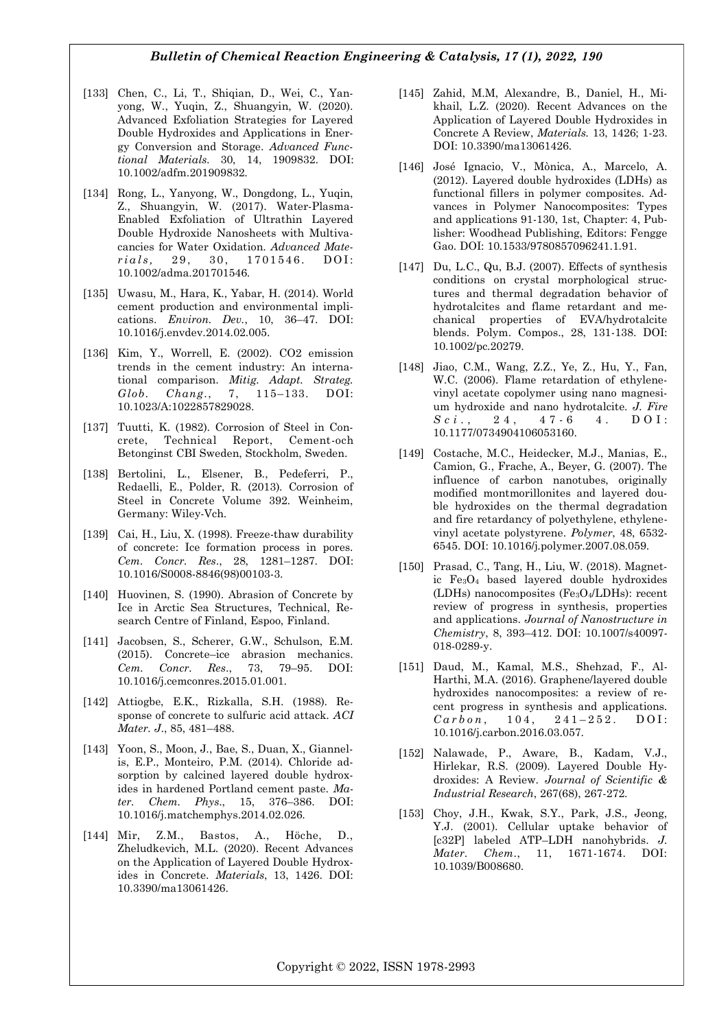- [133] Chen, C., Li, T., Shiqian, D., Wei, C., Yanyong, W., Yuqin, Z., Shuangyin, W. (2020). Advanced Exfoliation Strategies for Layered Double Hydroxides and Applications in Energy Conversion and Storage. *Advanced Functional Materials*. 30, 14, 1909832. DOI: 10.1002/adfm.201909832.
- [134] Rong, L., Yanyong, W., Dongdong, L., Yuqin, Z., Shuangyin, W. (2017). Water-Plasma-Enabled Exfoliation of Ultrathin Layered Double Hydroxide Nanosheets with Multivacancies for Water Oxidation. *Advanced Materials*, 29, 30, 1701546. DOI: 10.1002/adma.201701546.
- [135] Uwasu, M., Hara, K., Yabar, H. (2014). World cement production and environmental implications. *Environ. Dev.*, 10, 36–47. DOI: 10.1016/j.envdev.2014.02.005.
- [136] Kim, Y., Worrell, E. (2002). CO2 emission trends in the cement industry: An international comparison. *Mitig. Adapt. Strateg. Glob. Chang*., 7, 115–133. DOI: 10.1023/A:1022857829028.
- [137] Tuutti, K. (1982). Corrosion of Steel in Concrete, Technical Report, Cement-och Betonginst CBI Sweden, Stockholm, Sweden.
- [138] Bertolini, L., Elsener, B., Pedeferri, P., Redaelli, E., Polder, R. (2013). Corrosion of Steel in Concrete Volume 392. Weinheim, Germany: Wiley-Vch.
- [139] Cai, H., Liu, X. (1998). Freeze-thaw durability of concrete: Ice formation process in pores. *Cem. Concr. Res*., 28, 1281–1287. DOI: 10.1016/S0008-8846(98)00103-3.
- [140] Huovinen, S. (1990). Abrasion of Concrete by Ice in Arctic Sea Structures, Technical, Research Centre of Finland, Espoo, Finland.
- [141] Jacobsen, S., Scherer, G.W., Schulson, E.M. (2015). Concrete–ice abrasion mechanics. *Cem. Concr. Res*., 73, 79–95. DOI: 10.1016/j.cemconres.2015.01.001.
- [142] Attiogbe, E.K., Rizkalla, S.H. (1988). Response of concrete to sulfuric acid attack. *ACI Mater. J*., 85, 481–488.
- [143] Yoon, S., Moon, J., Bae, S., Duan, X., Giannelis, E.P., Monteiro, P.M. (2014). Chloride adsorption by calcined layered double hydroxides in hardened Portland cement paste. *Mater. Chem. Phys*., 15, 376–386. DOI: 10.1016/j.matchemphys.2014.02.026.
- [144] Mir, Z.M., Bastos, A., Höche, D., Zheludkevich, M.L. (2020). Recent Advances on the Application of Layered Double Hydroxides in Concrete. *Materials*, 13, 1426. DOI: 10.3390/ma13061426.
- [145] Zahid, M.M, Alexandre, B., Daniel, H., Mikhail, L.Z. (2020). Recent Advances on the Application of Layered Double Hydroxides in Concrete A Review, *Materials.* 13, 1426; 1-23. DOI: 10.3390/ma13061426.
- [146] José Ignacio, V., Mònica, A., Marcelo, A. (2012). Layered double hydroxides (LDHs) as functional fillers in polymer composites. Advances in Polymer Nanocomposites: Types and applications 91-130, 1st, Chapter: 4, Publisher: Woodhead Publishing, Editors: Fengge Gao. DOI: 10.1533/9780857096241.1.91.
- [147] Du, L.C., Qu, B.J. (2007). Effects of synthesis conditions on crystal morphological structures and thermal degradation behavior of hydrotalcites and flame retardant and mechanical properties of EVA/hydrotalcite blends. Polym. Compos., 28, 131-138. DOI: 10.1002/pc.20279.
- [148] Jiao, C.M., Wang, Z.Z., Ye, Z., Hu, Y., Fan, W.C. (2006). Flame retardation of ethylenevinyl acetate copolymer using nano magnesium hydroxide and nano hydrotalcite. *J. Fire*   $Sci$ ., 24, 47-6 4. DOI: 10.1177/0734904106053160.
- [149] Costache, M.C., Heidecker, M.J., Manias, E., Camion, G., Frache, A., Beyer, G. (2007). The influence of carbon nanotubes, originally modified montmorillonites and layered double hydroxides on the thermal degradation and fire retardancy of polyethylene, ethylenevinyl acetate polystyrene. *Polymer*, 48, 6532- 6545. DOI: 10.1016/j.polymer.2007.08.059.
- [150] Prasad, C., Tang, H., Liu, W. (2018). Magnetic Fe3O<sup>4</sup> based layered double hydroxides (LDHs) nanocomposites (Fe3O4/LDHs): recent review of progress in synthesis, properties and applications. *Journal of Nanostructure in Chemistry*, 8, 393–412. DOI: 10.1007/s40097- 018-0289-y.
- [151] Daud, M., Kamal, M.S., Shehzad, F., Al-Harthi, M.A. (2016). Graphene/layered double hydroxides nanocomposites: a review of recent progress in synthesis and applications.  $Carbon, 104, 241-252. DOI:$ 10.1016/j.carbon.2016.03.057.
- [152] Nalawade, P., Aware, B., Kadam, V.J., Hirlekar, R.S. (2009). Layered Double Hydroxides: A Review. *Journal of Scientific & Industrial Research*, 267(68), 267-272.
- [153] Choy, J.H., Kwak, S.Y., Park, J.S., Jeong, Y.J. (2001). Cellular uptake behavior of [c32P] labeled ATP–LDH nanohybrids. *J. Mater. Chem*., 11, 1671-1674. DOI: 10.1039/B008680.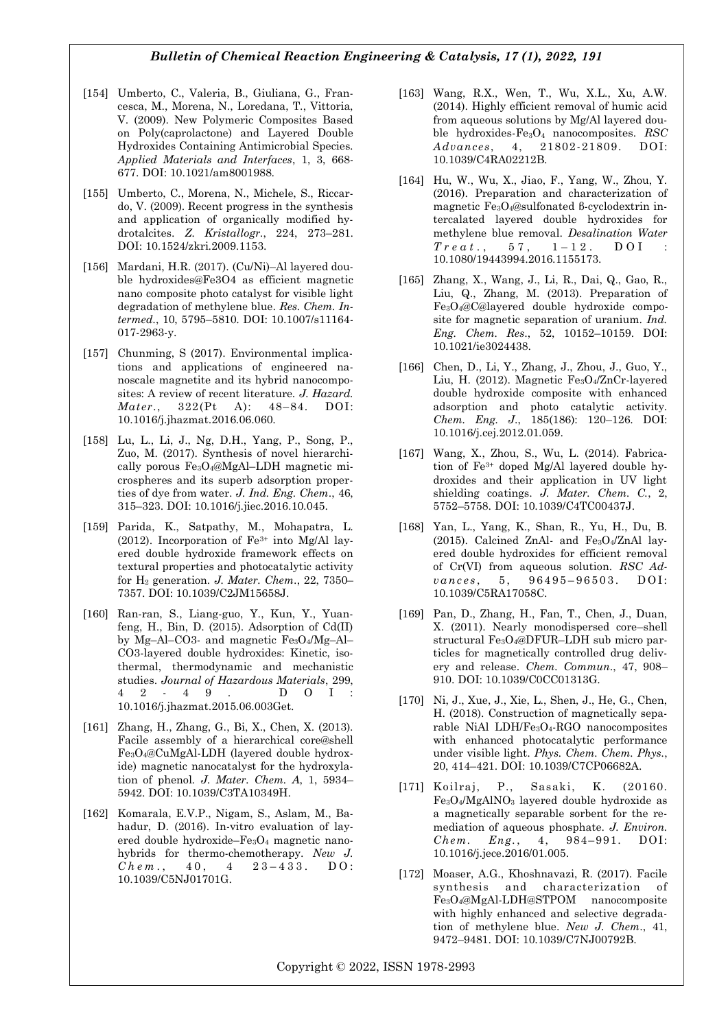- [154] Umberto, C., Valeria, B., Giuliana, G., Francesca, M., Morena, N., Loredana, T., Vittoria, V. (2009). New Polymeric Composites Based on Poly(caprolactone) and Layered Double Hydroxides Containing Antimicrobial Species. *Applied Materials and Interfaces*, 1, 3, 668- 677. DOI: 10.1021/am8001988.
- [155] Umberto, C., Morena, N., Michele, S., Riccardo, V. (2009). Recent progress in the synthesis and application of organically modified hydrotalcites. *Z. Kristallogr*., 224, 273–281. DOI: 10.1524/zkri.2009.1153.
- [156] Mardani, H.R. (2017). (Cu/Ni)–Al layered double hydroxides@Fe3O4 as efficient magnetic nano composite photo catalyst for visible light degradation of methylene blue. *Res. Chem. Intermed*., 10, 5795–5810. DOI: 10.1007/s11164- 017-2963-y.
- [157] Chunming, S (2017). Environmental implications and applications of engineered nanoscale magnetite and its hybrid nanocomposites: A review of recent literature. *J. Hazard. Mater*., 322(Pt A): 48–84. DOI: 10.1016/j.jhazmat.2016.06.060.
- [158] Lu, L., Li, J., Ng, D.H., Yang, P., Song, P., Zuo, M. (2017). Synthesis of novel hierarchically porous Fe3O4@MgAl–LDH magnetic microspheres and its superb adsorption properties of dye from water. *J. Ind. Eng. Chem*., 46, 315–323. DOI: 10.1016/j.jiec.2016.10.045.
- [159] Parida, K., Satpathy, M., Mohapatra, L. (2012). Incorporation of  $Fe^{3+}$  into Mg/Al layered double hydroxide framework effects on textural properties and photocatalytic activity for H<sup>2</sup> generation. *J. Mater. Chem*., 22, 7350– 7357. DOI: 10.1039/C2JM15658J.
- [160] Ran-ran, S., Liang-guo, Y., Kun, Y., Yuanfeng, H., Bin, D. (2015). Adsorption of Cd(II) by Mg–Al–CO3- and magnetic Fe3O4/Mg–Al– CO3-layered double hydroxides: Kinetic, isothermal, thermodynamic and mechanistic studies. *Journal of Hazardous Materials*, 299, 4 2 - 4 9 . D O I : 10.1016/j.jhazmat.2015.06.003Get.
- [161] Zhang, H., Zhang, G., Bi, X., Chen, X. (2013). Facile assembly of a hierarchical core@shell Fe3O4@CuMgAl-LDH (layered double hydroxide) magnetic nanocatalyst for the hydroxylation of phenol. *J. Mater. Chem. A*, 1, 5934– 5942. DOI: 10.1039/C3TA10349H.
- [162] Komarala, E.V.P., Nigam, S., Aslam, M., Bahadur, D. (2016). In-vitro evaluation of layered double hydroxide–Fe3O<sup>4</sup> magnetic nanohybrids for thermo-chemotherapy. *New J.*   $Chem.$ , 40, 4 2 3 – 4 3 3. DO: 10.1039/C5NJ01701G.
- [163] Wang, R.X., Wen, T., Wu, X.L., Xu, A.W. (2014). Highly efficient removal of humic acid from aqueous solutions by Mg/Al layered double hydroxides-Fe3O<sup>4</sup> nanocomposites. *RSC Advances* , 4, 21802-21809. DOI: 10.1039/C4RA02212B.
- [164] Hu, W., Wu, X., Jiao, F., Yang, W., Zhou, Y. (2016). Preparation and characterization of magnetic Fe3O4@sulfonated β-cyclodextrin intercalated layered double hydroxides for methylene blue removal. *Desalination Water*   $T$  *r* e a t . , 57, 1 – 12. DOI 10.1080/19443994.2016.1155173.
- [165] Zhang, X., Wang, J., Li, R., Dai, Q., Gao, R., Liu, Q., Zhang, M. (2013). Preparation of Fe3O4@C@layered double hydroxide composite for magnetic separation of uranium. *Ind. Eng. Chem. Res*., 52, 10152–10159. DOI: 10.1021/ie3024438.
- [166] Chen, D., Li, Y., Zhang, J., Zhou, J., Guo, Y., Liu, H. (2012). Magnetic Fe3O4/ZnCr-layered double hydroxide composite with enhanced adsorption and photo catalytic activity. *Chem. Eng. J*., 185(186): 120–126. DOI: 10.1016/j.cej.2012.01.059.
- [167] Wang, X., Zhou, S., Wu, L. (2014). Fabrication of Fe3+ doped Mg/Al layered double hydroxides and their application in UV light shielding coatings. *J. Mater. Chem. C.*, 2, 5752–5758. DOI: 10.1039/C4TC00437J.
- [168] Yan, L., Yang, K., Shan, R., Yu, H., Du, B. (2015). Calcined ZnAl- and  $Fe<sub>3</sub>O<sub>4</sub>/ZnAl$  layered double hydroxides for efficient removal of Cr(VI) from aqueous solution. *RSC Advances*, 5, 96495-96503. DOI: 10.1039/C5RA17058C.
- [169] Pan, D., Zhang, H., Fan, T., Chen, J., Duan, X. (2011). Nearly monodispersed core–shell structural Fe3O4@DFUR–LDH sub micro particles for magnetically controlled drug delivery and release. *Chem. Commun*., 47, 908– 910. DOI: 10.1039/C0CC01313G.
- [170] Ni, J., Xue, J., Xie, L., Shen, J., He, G., Chen, H. (2018). Construction of magnetically separable NiAl LDH/Fe3O4-RGO nanocomposites with enhanced photocatalytic performance under visible light. *Phys. Chem. Chem. Phys.*, 20, 414–421. DOI: 10.1039/C7CP06682A.
- [171] Koilraj, P., Sasaki, K. (20160. Fe3O4/MgAlNO<sup>3</sup> layered double hydroxide as a magnetically separable sorbent for the remediation of aqueous phosphate. *J. Environ. Chem. Eng.*, 4, 984–991. DOI: 10.1016/j.jece.2016/01.005.
- [172] Moaser, A.G., Khoshnavazi, R. (2017). Facile synthesis and characterization of Fe3O4@MgAl-LDH@STPOM nanocomposite with highly enhanced and selective degradation of methylene blue. *New J. Chem*., 41, 9472–9481. DOI: 10.1039/C7NJ00792B.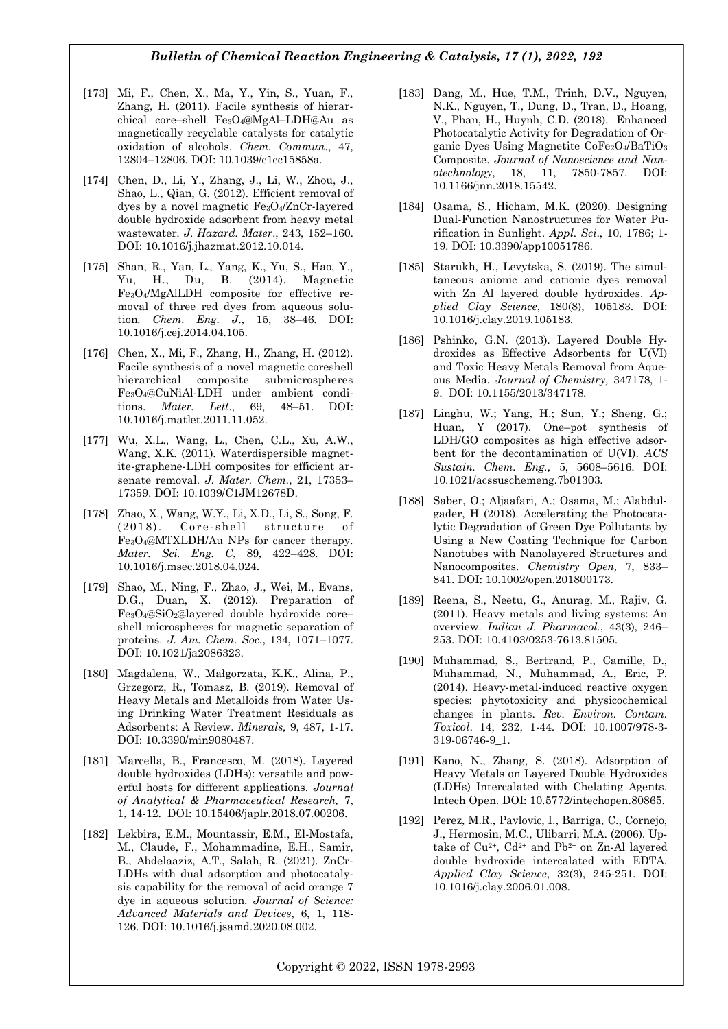- [173] Mi, F., Chen, X., Ma, Y., Yin, S., Yuan, F., Zhang, H. (2011). Facile synthesis of hierarchical core–shell Fe3O4@MgAl–LDH@Au as magnetically recyclable catalysts for catalytic oxidation of alcohols. *Chem. Commun*., 47, 12804–12806. DOI: 10.1039/c1cc15858a.
- [174] Chen, D., Li, Y., Zhang, J., Li, W., Zhou, J., Shao, L., Qian, G. (2012). Efficient removal of dyes by a novel magnetic Fe3O4/ZnCr-layered double hydroxide adsorbent from heavy metal wastewater. *J. Hazard. Mater*., 243, 152–160. DOI: 10.1016/j.jhazmat.2012.10.014.
- [175] Shan, R., Yan, L., Yang, K., Yu, S., Hao, Y., Yu, H., Du, B. (2014). Magnetic Fe3O4/MgAlLDH composite for effective removal of three red dyes from aqueous solution*. Chem. Eng. J*., 15, 38–46. DOI: 10.1016/j.cej.2014.04.105.
- [176] Chen, X., Mi, F., Zhang, H., Zhang, H. (2012). Facile synthesis of a novel magnetic coreshell hierarchical composite submicrospheres Fe3O4@CuNiAl-LDH under ambient conditions. *Mater. Lett*., 69, 48–51. DOI: 10.1016/j.matlet.2011.11.052.
- [177] Wu, X.L., Wang, L., Chen, C.L., Xu, A.W., Wang, X.K. (2011). Waterdispersible magnetite-graphene-LDH composites for efficient arsenate removal. *J. Mater. Chem*., 21, 17353– 17359. DOI: 10.1039/C1JM12678D.
- [178] Zhao, X., Wang, W.Y., Li, X.D., Li, S., Song, F.  $(2018)$ . Core-shell structure of Fe3O4@MTXLDH/Au NPs for cancer therapy. *Mater. Sci. Eng. C*, 89, 422–428. DOI: 10.1016/j.msec.2018.04.024.
- [179] Shao, M., Ning, F., Zhao, J., Wei, M., Evans, D.G., Duan, X. (2012). Preparation of Fe3O4@SiO2@layered double hydroxide core– shell microspheres for magnetic separation of proteins. *J. Am. Chem. Soc*., 134, 1071–1077. DOI: 10.1021/ja2086323.
- [180] Magdalena, W., Małgorzata, K.K., Alina, P., Grzegorz, R., Tomasz, B. (2019). Removal of Heavy Metals and Metalloids from Water Using Drinking Water Treatment Residuals as Adsorbents: A Review. *Minerals,* 9, 487, 1-17. DOI: 10.3390/min9080487.
- [181] Marcella, B., Francesco, M. (2018). Layered double hydroxides (LDHs): versatile and powerful hosts for different applications. *Journal of Analytical & Pharmaceutical Research,* 7, 1, 14-12. DOI: 10.15406/japlr.2018.07.00206.
- [182] Lekbira, E.M., Mountassir, E.M., El-Mostafa, M., Claude, F., Mohammadine, E.H., Samir, B., Abdelaaziz, A.T., Salah, R. (2021). ZnCr-LDHs with dual adsorption and photocatalysis capability for the removal of acid orange 7 dye in aqueous solution. *Journal of Science: Advanced Materials and Devices*, 6, 1, 118- 126. DOI: 10.1016/j.jsamd.2020.08.002.
- [183] Dang, M., Hue, T.M., Trinh, D.V., Nguyen, N.K., Nguyen, T., Dung, D., Tran, D., Hoang, V., Phan, H., Huynh, C.D. (2018). Enhanced Photocatalytic Activity for Degradation of Organic Dyes Using Magnetite CoFe2O4/BaTiO<sup>3</sup> Composite. *Journal of Nanoscience and Nanotechnology*, 18, 11, 7850-7857. DOI: 10.1166/jnn.2018.15542.
- [184] Osama, S., Hicham, M.K. (2020). Designing Dual-Function Nanostructures for Water Purification in Sunlight. *Appl. Sci*., 10, 1786; 1- 19. DOI: 10.3390/app10051786.
- [185] Starukh, H., Levytska, S. (2019). The simultaneous anionic and cationic dyes removal with Zn Al layered double hydroxides. *Applied Clay Science*, 180(8), 105183. DOI: 10.1016/j.clay.2019.105183.
- [186] Pshinko, G.N. (2013). Layered Double Hydroxides as Effective Adsorbents for U(VI) and Toxic Heavy Metals Removal from Aqueous Media. *Journal of Chemistry,* 347178, 1- 9. DOI: 10.1155/2013/347178.
- [187] Linghu, W.; Yang, H.; Sun, Y.; Sheng, G.; Huan, Y (2017). One–pot synthesis of LDH/GO composites as high effective adsorbent for the decontamination of U(VI). *ACS Sustain. Chem. Eng.,* 5, 5608–5616. DOI: 10.1021/acssuschemeng.7b01303.
- [188] Saber, O.; Aljaafari, A.; Osama, M.; Alabdulgader, H (2018). Accelerating the Photocatalytic Degradation of Green Dye Pollutants by Using a New Coating Technique for Carbon Nanotubes with Nanolayered Structures and Nanocomposites. *Chemistry Open,* 7, 833– 841. DOI: 10.1002/open.201800173.
- [189] Reena, S., Neetu, G., Anurag, M., Rajiv, G. (2011). Heavy metals and living systems: An overview. *Indian J. Pharmacol.*, 43(3), 246– 253. DOI: 10.4103/0253-7613.81505.
- [190] Muhammad, S., Bertrand, P., Camille, D., Muhammad, N., Muhammad, A., Eric, P. (2014). Heavy-metal-induced reactive oxygen species: phytotoxicity and physicochemical changes in plants. *Rev. Environ. Contam. Toxicol*. 14, 232, 1-44. DOI: 10.1007/978-3- 319-06746-9\_1.
- [191] Kano, N., Zhang, S. (2018). Adsorption of Heavy Metals on Layered Double Hydroxides (LDHs) Intercalated with Chelating Agents. Intech Open. DOI: 10.5772/intechopen.80865.
- [192] Perez, M.R., Pavlovic, I., Barriga, C., Cornejo, J., Hermosin, M.C., Ulibarri, M.A. (2006). Uptake of  $Cu^{2+}$ ,  $Cd^{2+}$  and  $Pb^{2+}$  on Zn-Al layered double hydroxide intercalated with EDTA. *Applied Clay Science*, 32(3), 245-251. DOI: 10.1016/j.clay.2006.01.008.